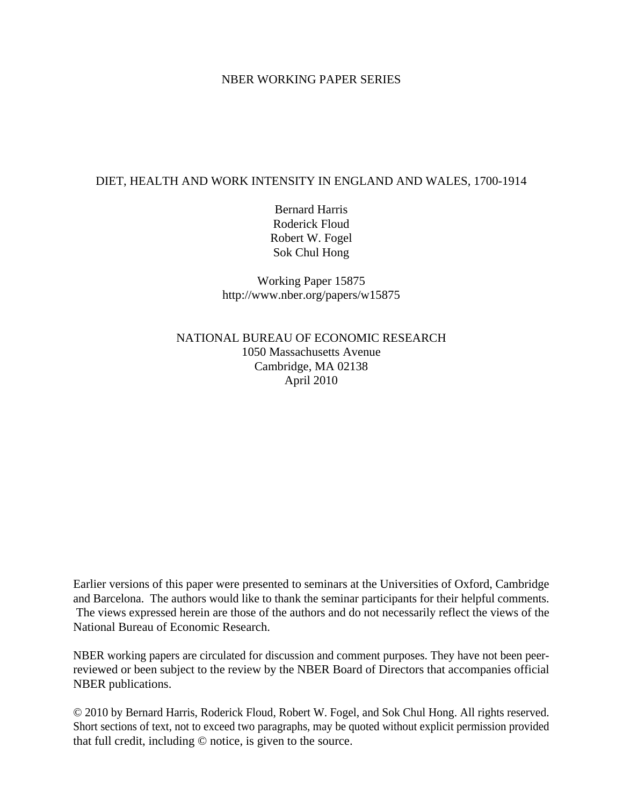## NBER WORKING PAPER SERIES

## DIET, HEALTH AND WORK INTENSITY IN ENGLAND AND WALES, 1700-1914

Bernard Harris Roderick Floud Robert W. Fogel Sok Chul Hong

Working Paper 15875 http://www.nber.org/papers/w15875

NATIONAL BUREAU OF ECONOMIC RESEARCH 1050 Massachusetts Avenue Cambridge, MA 02138 April 2010

Earlier versions of this paper were presented to seminars at the Universities of Oxford, Cambridge and Barcelona. The authors would like to thank the seminar participants for their helpful comments. The views expressed herein are those of the authors and do not necessarily reflect the views of the National Bureau of Economic Research.

NBER working papers are circulated for discussion and comment purposes. They have not been peerreviewed or been subject to the review by the NBER Board of Directors that accompanies official NBER publications.

© 2010 by Bernard Harris, Roderick Floud, Robert W. Fogel, and Sok Chul Hong. All rights reserved. Short sections of text, not to exceed two paragraphs, may be quoted without explicit permission provided that full credit, including © notice, is given to the source.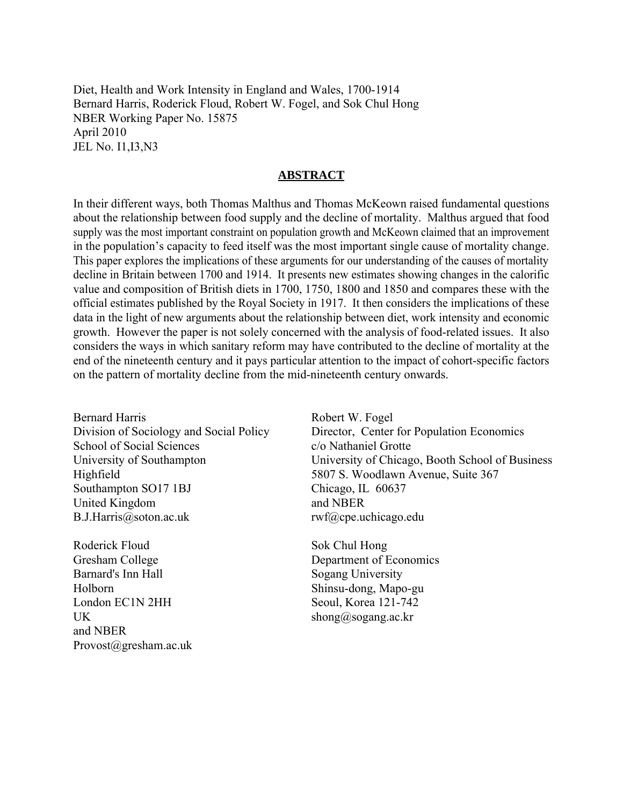Diet, Health and Work Intensity in England and Wales, 1700-1914 Bernard Harris, Roderick Floud, Robert W. Fogel, and Sok Chul Hong NBER Working Paper No. 15875 April 2010 JEL No. I1,I3,N3

## **ABSTRACT**

In their different ways, both Thomas Malthus and Thomas McKeown raised fundamental questions about the relationship between food supply and the decline of mortality. Malthus argued that food supply was the most important constraint on population growth and McKeown claimed that an improvement in the population's capacity to feed itself was the most important single cause of mortality change. This paper explores the implications of these arguments for our understanding of the causes of mortality decline in Britain between 1700 and 1914. It presents new estimates showing changes in the calorific value and composition of British diets in 1700, 1750, 1800 and 1850 and compares these with the official estimates published by the Royal Society in 1917. It then considers the implications of these data in the light of new arguments about the relationship between diet, work intensity and economic growth. However the paper is not solely concerned with the analysis of food-related issues. It also considers the ways in which sanitary reform may have contributed to the decline of mortality at the end of the nineteenth century and it pays particular attention to the impact of cohort-specific factors on the pattern of mortality decline from the mid-nineteenth century onwards.

Bernard Harris Division of Sociology and Social Policy School of Social Sciences University of Southampton Highfield Southampton SO17 1BJ United Kingdom B.J.Harris@soton.ac.uk

Roderick Floud Gresham College Barnard's Inn Hall Holborn London EC1N 2HH UK and NBER Provost@gresham.ac.uk Robert W. Fogel Director, Center for Population Economics c/o Nathaniel Grotte University of Chicago, Booth School of Business 5807 S. Woodlawn Avenue, Suite 367 Chicago, IL 60637 and NBER rwf@cpe.uchicago.edu

Sok Chul Hong Department of Economics Sogang University Shinsu-dong, Mapo-gu Seoul, Korea 121-742 shong@sogang.ac.kr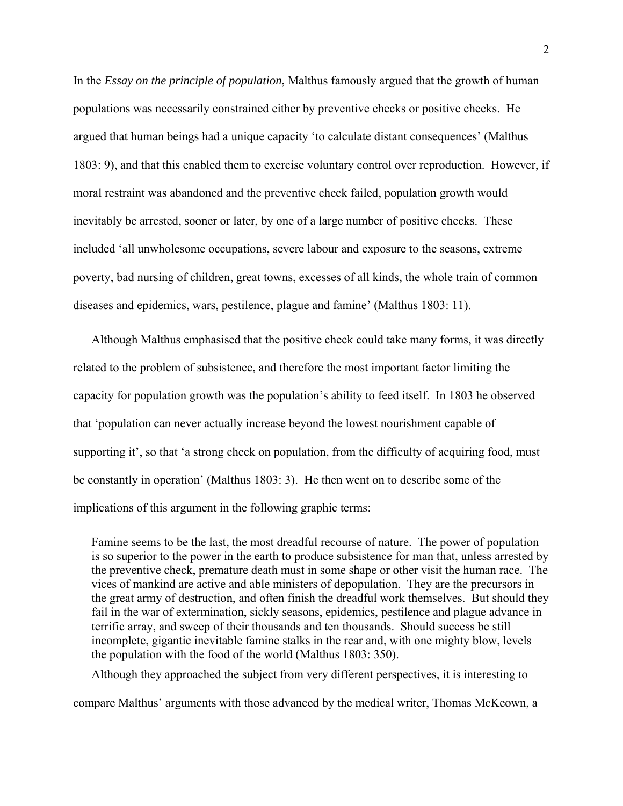In the *Essay on the principle of population*, Malthus famously argued that the growth of human populations was necessarily constrained either by preventive checks or positive checks. He argued that human beings had a unique capacity 'to calculate distant consequences' (Malthus 1803: 9), and that this enabled them to exercise voluntary control over reproduction. However, if moral restraint was abandoned and the preventive check failed, population growth would inevitably be arrested, sooner or later, by one of a large number of positive checks. These included 'all unwholesome occupations, severe labour and exposure to the seasons, extreme poverty, bad nursing of children, great towns, excesses of all kinds, the whole train of common diseases and epidemics, wars, pestilence, plague and famine' (Malthus 1803: 11).

Although Malthus emphasised that the positive check could take many forms, it was directly related to the problem of subsistence, and therefore the most important factor limiting the capacity for population growth was the population's ability to feed itself. In 1803 he observed that 'population can never actually increase beyond the lowest nourishment capable of supporting it', so that 'a strong check on population, from the difficulty of acquiring food, must be constantly in operation' (Malthus 1803: 3). He then went on to describe some of the implications of this argument in the following graphic terms:

Famine seems to be the last, the most dreadful recourse of nature. The power of population is so superior to the power in the earth to produce subsistence for man that, unless arrested by the preventive check, premature death must in some shape or other visit the human race. The vices of mankind are active and able ministers of depopulation. They are the precursors in the great army of destruction, and often finish the dreadful work themselves. But should they fail in the war of extermination, sickly seasons, epidemics, pestilence and plague advance in terrific array, and sweep of their thousands and ten thousands. Should success be still incomplete, gigantic inevitable famine stalks in the rear and, with one mighty blow, levels the population with the food of the world (Malthus 1803: 350).

Although they approached the subject from very different perspectives, it is interesting to compare Malthus' arguments with those advanced by the medical writer, Thomas McKeown, a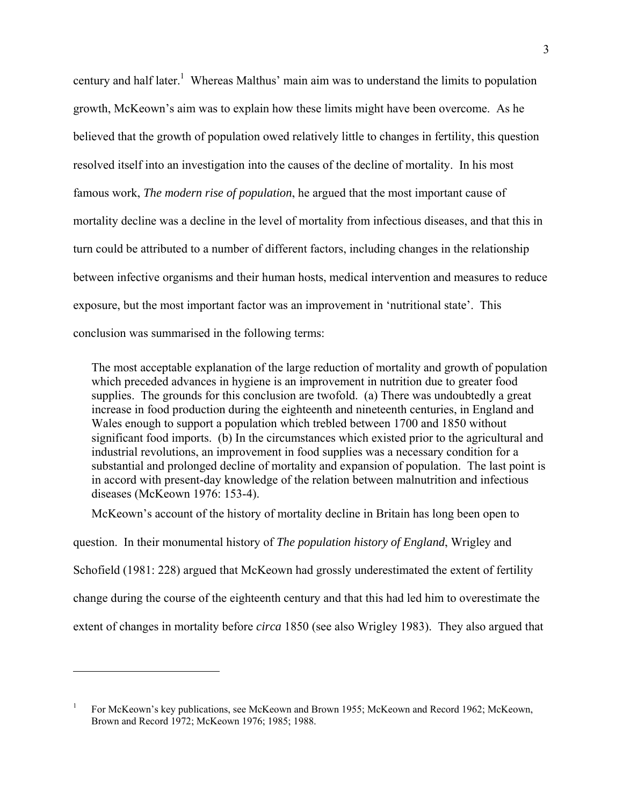century and half later.<sup>1</sup> Whereas Malthus' main aim was to understand the limits to population growth, McKeown's aim was to explain how these limits might have been overcome. As he believed that the growth of population owed relatively little to changes in fertility, this question resolved itself into an investigation into the causes of the decline of mortality. In his most famous work, *The modern rise of population*, he argued that the most important cause of mortality decline was a decline in the level of mortality from infectious diseases, and that this in turn could be attributed to a number of different factors, including changes in the relationship between infective organisms and their human hosts, medical intervention and measures to reduce exposure, but the most important factor was an improvement in 'nutritional state'. This conclusion was summarised in the following terms:

The most acceptable explanation of the large reduction of mortality and growth of population which preceded advances in hygiene is an improvement in nutrition due to greater food supplies. The grounds for this conclusion are twofold. (a) There was undoubtedly a great increase in food production during the eighteenth and nineteenth centuries, in England and Wales enough to support a population which trebled between 1700 and 1850 without significant food imports. (b) In the circumstances which existed prior to the agricultural and industrial revolutions, an improvement in food supplies was a necessary condition for a substantial and prolonged decline of mortality and expansion of population. The last point is in accord with present-day knowledge of the relation between malnutrition and infectious diseases (McKeown 1976: 153-4).

McKeown's account of the history of mortality decline in Britain has long been open to question. In their monumental history of *The population history of England*, Wrigley and Schofield (1981: 228) argued that McKeown had grossly underestimated the extent of fertility change during the course of the eighteenth century and that this had led him to overestimate the extent of changes in mortality before *circa* 1850 (see also Wrigley 1983). They also argued that

 $\overline{a}$ 

<sup>1</sup> For McKeown's key publications, see McKeown and Brown 1955; McKeown and Record 1962; McKeown, Brown and Record 1972; McKeown 1976; 1985; 1988.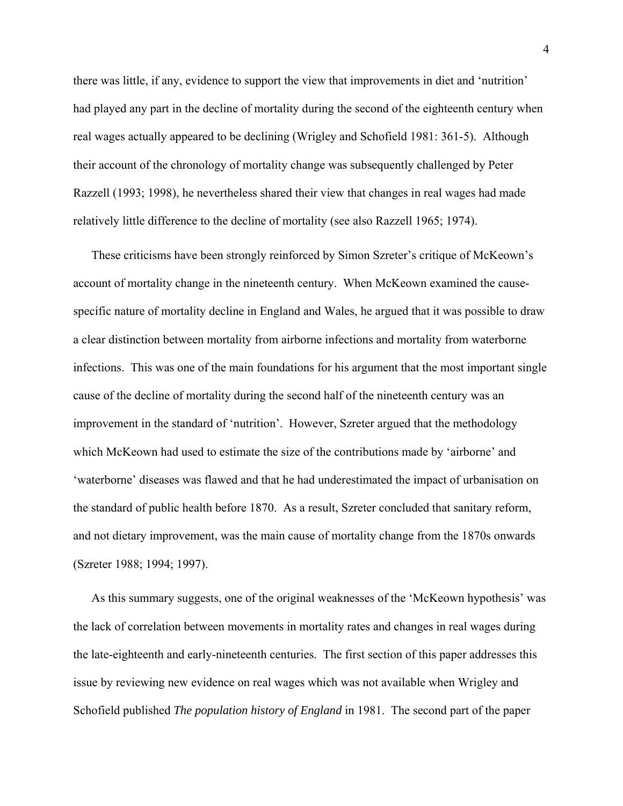there was little, if any, evidence to support the view that improvements in diet and 'nutrition' had played any part in the decline of mortality during the second of the eighteenth century when real wages actually appeared to be declining (Wrigley and Schofield 1981: 361-5). Although their account of the chronology of mortality change was subsequently challenged by Peter Razzell (1993; 1998), he nevertheless shared their view that changes in real wages had made relatively little difference to the decline of mortality (see also Razzell 1965; 1974).

These criticisms have been strongly reinforced by Simon Szreter's critique of McKeown's account of mortality change in the nineteenth century. When McKeown examined the causespecific nature of mortality decline in England and Wales, he argued that it was possible to draw a clear distinction between mortality from airborne infections and mortality from waterborne infections. This was one of the main foundations for his argument that the most important single cause of the decline of mortality during the second half of the nineteenth century was an improvement in the standard of 'nutrition'. However, Szreter argued that the methodology which McKeown had used to estimate the size of the contributions made by 'airborne' and 'waterborne' diseases was flawed and that he had underestimated the impact of urbanisation on the standard of public health before 1870. As a result, Szreter concluded that sanitary reform, and not dietary improvement, was the main cause of mortality change from the 1870s onwards (Szreter 1988; 1994; 1997).

As this summary suggests, one of the original weaknesses of the 'McKeown hypothesis' was the lack of correlation between movements in mortality rates and changes in real wages during the late-eighteenth and early-nineteenth centuries. The first section of this paper addresses this issue by reviewing new evidence on real wages which was not available when Wrigley and Schofield published *The population history of England* in 1981. The second part of the paper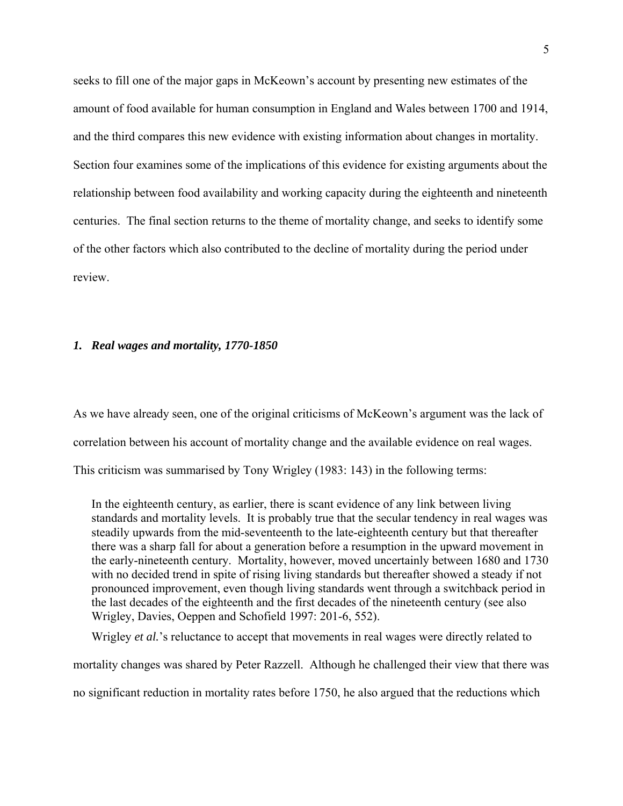seeks to fill one of the major gaps in McKeown's account by presenting new estimates of the amount of food available for human consumption in England and Wales between 1700 and 1914, and the third compares this new evidence with existing information about changes in mortality. Section four examines some of the implications of this evidence for existing arguments about the relationship between food availability and working capacity during the eighteenth and nineteenth centuries. The final section returns to the theme of mortality change, and seeks to identify some of the other factors which also contributed to the decline of mortality during the period under review.

### *1. Real wages and mortality, 1770-1850*

As we have already seen, one of the original criticisms of McKeown's argument was the lack of correlation between his account of mortality change and the available evidence on real wages. This criticism was summarised by Tony Wrigley (1983: 143) in the following terms:

In the eighteenth century, as earlier, there is scant evidence of any link between living standards and mortality levels. It is probably true that the secular tendency in real wages was steadily upwards from the mid-seventeenth to the late-eighteenth century but that thereafter there was a sharp fall for about a generation before a resumption in the upward movement in the early-nineteenth century. Mortality, however, moved uncertainly between 1680 and 1730 with no decided trend in spite of rising living standards but thereafter showed a steady if not pronounced improvement, even though living standards went through a switchback period in the last decades of the eighteenth and the first decades of the nineteenth century (see also Wrigley, Davies, Oeppen and Schofield 1997: 201-6, 552).

Wrigley *et al.*'s reluctance to accept that movements in real wages were directly related to

mortality changes was shared by Peter Razzell. Although he challenged their view that there was

no significant reduction in mortality rates before 1750, he also argued that the reductions which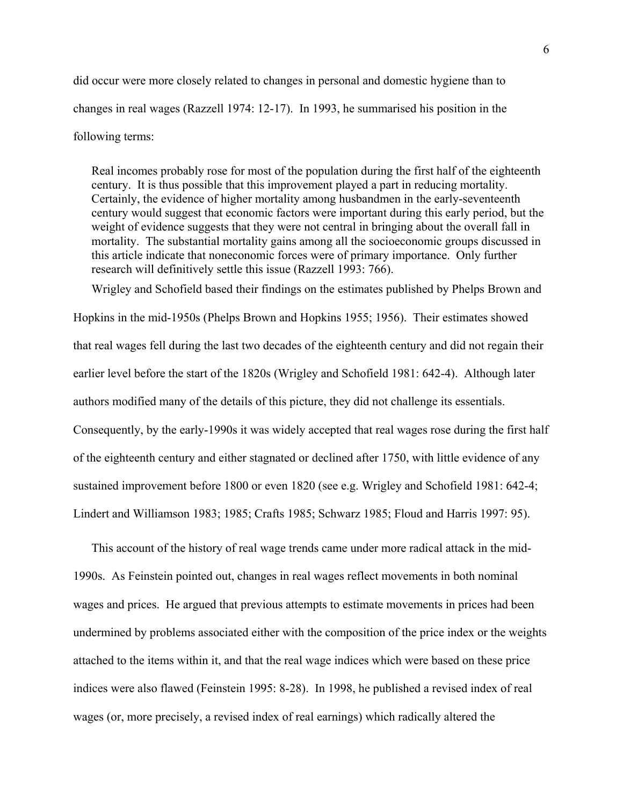did occur were more closely related to changes in personal and domestic hygiene than to changes in real wages (Razzell 1974: 12-17). In 1993, he summarised his position in the following terms:

Real incomes probably rose for most of the population during the first half of the eighteenth century. It is thus possible that this improvement played a part in reducing mortality. Certainly, the evidence of higher mortality among husbandmen in the early-seventeenth century would suggest that economic factors were important during this early period, but the weight of evidence suggests that they were not central in bringing about the overall fall in mortality. The substantial mortality gains among all the socioeconomic groups discussed in this article indicate that noneconomic forces were of primary importance. Only further research will definitively settle this issue (Razzell 1993: 766).

Wrigley and Schofield based their findings on the estimates published by Phelps Brown and Hopkins in the mid-1950s (Phelps Brown and Hopkins 1955; 1956). Their estimates showed that real wages fell during the last two decades of the eighteenth century and did not regain their earlier level before the start of the 1820s (Wrigley and Schofield 1981: 642-4). Although later authors modified many of the details of this picture, they did not challenge its essentials. Consequently, by the early-1990s it was widely accepted that real wages rose during the first half of the eighteenth century and either stagnated or declined after 1750, with little evidence of any sustained improvement before 1800 or even 1820 (see e.g. Wrigley and Schofield 1981: 642-4; Lindert and Williamson 1983; 1985; Crafts 1985; Schwarz 1985; Floud and Harris 1997: 95).

This account of the history of real wage trends came under more radical attack in the mid-1990s. As Feinstein pointed out, changes in real wages reflect movements in both nominal wages and prices. He argued that previous attempts to estimate movements in prices had been undermined by problems associated either with the composition of the price index or the weights attached to the items within it, and that the real wage indices which were based on these price indices were also flawed (Feinstein 1995: 8-28). In 1998, he published a revised index of real wages (or, more precisely, a revised index of real earnings) which radically altered the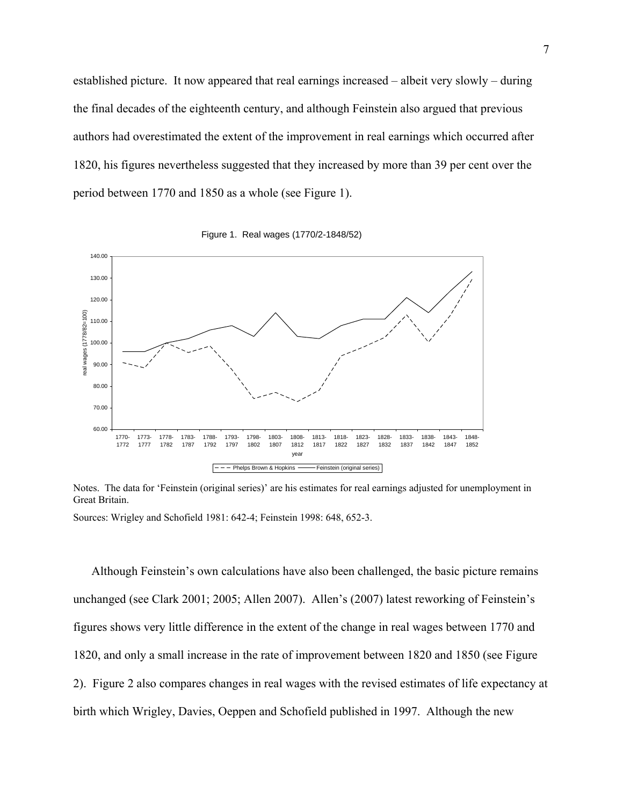established picture. It now appeared that real earnings increased – albeit very slowly – during the final decades of the eighteenth century, and although Feinstein also argued that previous authors had overestimated the extent of the improvement in real earnings which occurred after 1820, his figures nevertheless suggested that they increased by more than 39 per cent over the period between 1770 and 1850 as a whole (see Figure 1).





Notes. The data for 'Feinstein (original series)' are his estimates for real earnings adjusted for unemployment in Great Britain.

Sources: Wrigley and Schofield 1981: 642-4; Feinstein 1998: 648, 652-3.

Although Feinstein's own calculations have also been challenged, the basic picture remains unchanged (see Clark 2001; 2005; Allen 2007). Allen's (2007) latest reworking of Feinstein's figures shows very little difference in the extent of the change in real wages between 1770 and 1820, and only a small increase in the rate of improvement between 1820 and 1850 (see Figure 2). Figure 2 also compares changes in real wages with the revised estimates of life expectancy at birth which Wrigley, Davies, Oeppen and Schofield published in 1997. Although the new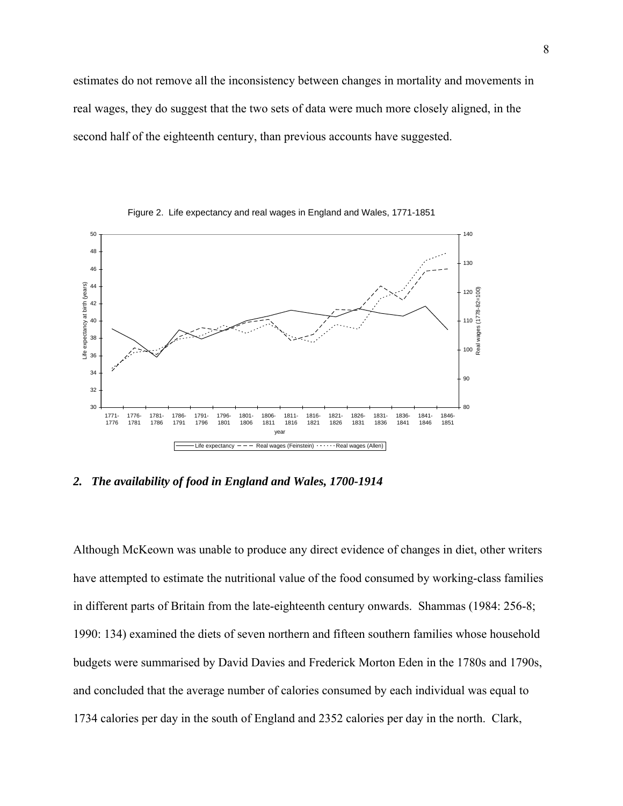estimates do not remove all the inconsistency between changes in mortality and movements in real wages, they do suggest that the two sets of data were much more closely aligned, in the second half of the eighteenth century, than previous accounts have suggested.



Figure 2. Life expectancy and real wages in England and Wales, 1771-1851

*2. The availability of food in England and Wales, 1700-1914* 

Although McKeown was unable to produce any direct evidence of changes in diet, other writers have attempted to estimate the nutritional value of the food consumed by working-class families in different parts of Britain from the late-eighteenth century onwards. Shammas (1984: 256-8; 1990: 134) examined the diets of seven northern and fifteen southern families whose household budgets were summarised by David Davies and Frederick Morton Eden in the 1780s and 1790s, and concluded that the average number of calories consumed by each individual was equal to 1734 calories per day in the south of England and 2352 calories per day in the north. Clark,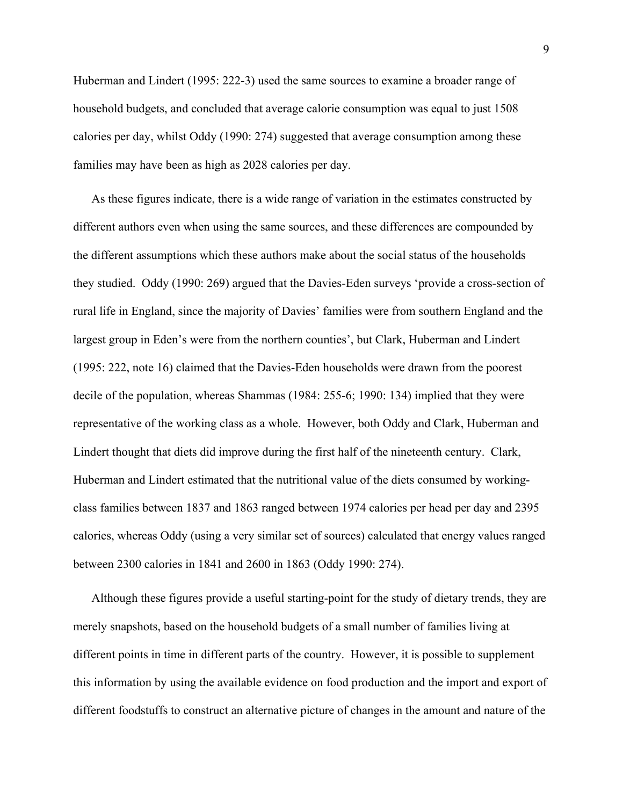Huberman and Lindert (1995: 222-3) used the same sources to examine a broader range of household budgets, and concluded that average calorie consumption was equal to just 1508 calories per day, whilst Oddy (1990: 274) suggested that average consumption among these families may have been as high as 2028 calories per day.

As these figures indicate, there is a wide range of variation in the estimates constructed by different authors even when using the same sources, and these differences are compounded by the different assumptions which these authors make about the social status of the households they studied. Oddy (1990: 269) argued that the Davies-Eden surveys 'provide a cross-section of rural life in England, since the majority of Davies' families were from southern England and the largest group in Eden's were from the northern counties', but Clark, Huberman and Lindert (1995: 222, note 16) claimed that the Davies-Eden households were drawn from the poorest decile of the population, whereas Shammas (1984: 255-6; 1990: 134) implied that they were representative of the working class as a whole. However, both Oddy and Clark, Huberman and Lindert thought that diets did improve during the first half of the nineteenth century. Clark, Huberman and Lindert estimated that the nutritional value of the diets consumed by workingclass families between 1837 and 1863 ranged between 1974 calories per head per day and 2395 calories, whereas Oddy (using a very similar set of sources) calculated that energy values ranged between 2300 calories in 1841 and 2600 in 1863 (Oddy 1990: 274).

Although these figures provide a useful starting-point for the study of dietary trends, they are merely snapshots, based on the household budgets of a small number of families living at different points in time in different parts of the country. However, it is possible to supplement this information by using the available evidence on food production and the import and export of different foodstuffs to construct an alternative picture of changes in the amount and nature of the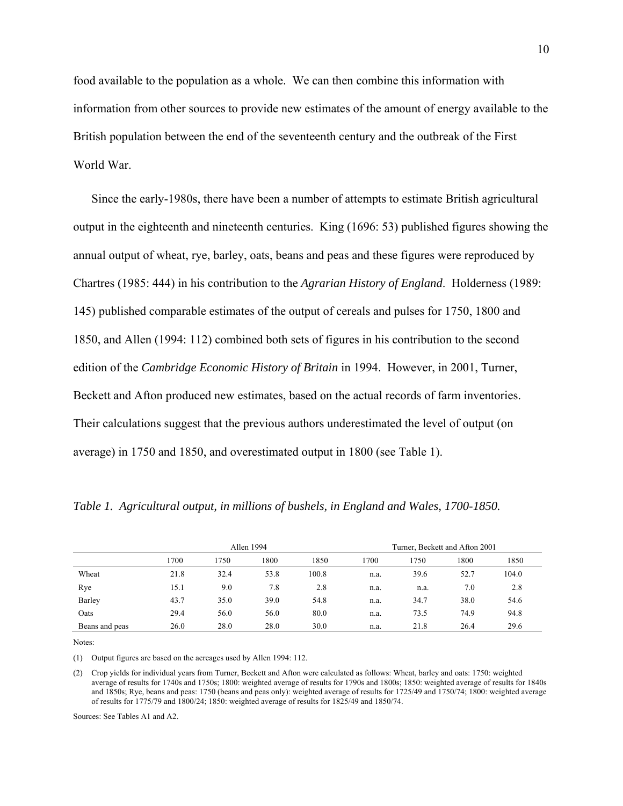food available to the population as a whole. We can then combine this information with information from other sources to provide new estimates of the amount of energy available to the British population between the end of the seventeenth century and the outbreak of the First World War.

Since the early-1980s, there have been a number of attempts to estimate British agricultural output in the eighteenth and nineteenth centuries. King (1696: 53) published figures showing the annual output of wheat, rye, barley, oats, beans and peas and these figures were reproduced by Chartres (1985: 444) in his contribution to the *Agrarian History of England*. Holderness (1989: 145) published comparable estimates of the output of cereals and pulses for 1750, 1800 and 1850, and Allen (1994: 112) combined both sets of figures in his contribution to the second edition of the *Cambridge Economic History of Britain* in 1994. However, in 2001, Turner, Beckett and Afton produced new estimates, based on the actual records of farm inventories. Their calculations suggest that the previous authors underestimated the level of output (on average) in 1750 and 1850, and overestimated output in 1800 (see Table 1).

|                |      |      | Allen 1994 |       |      |      | Turner, Beckett and Afton 2001 |       |
|----------------|------|------|------------|-------|------|------|--------------------------------|-------|
|                | 1700 | 1750 | 1800       | 1850  | 1700 | 1750 | 1800                           | 1850  |
| Wheat          | 21.8 | 32.4 | 53.8       | 100.8 | n.a. | 39.6 | 52.7                           | 104.0 |
| Rye            | 15.1 | 9.0  | 7.8        | 2.8   | n.a. | n.a. | 7.0                            | 2.8   |
| Barley         | 43.7 | 35.0 | 39.0       | 54.8  | n.a. | 34.7 | 38.0                           | 54.6  |
| Oats           | 29.4 | 56.0 | 56.0       | 80.0  | n.a. | 73.5 | 74.9                           | 94.8  |
| Beans and peas | 26.0 | 28.0 | 28.0       | 30.0  | n.a. | 21.8 | 26.4                           | 29.6  |

*Table 1. Agricultural output, in millions of bushels, in England and Wales, 1700-1850.*

Notes:

(1) Output figures are based on the acreages used by Allen 1994: 112.

(2) Crop yields for individual years from Turner, Beckett and Afton were calculated as follows: Wheat, barley and oats: 1750: weighted average of results for 1740s and 1750s; 1800: weighted average of results for 1790s and 1800s; 1850: weighted average of results for 1840s and 1850s; Rye, beans and peas: 1750 (beans and peas only): weighted average of results for 1725/49 and 1750/74; 1800: weighted average of results for 1775/79 and 1800/24; 1850: weighted average of results for 1825/49 and 1850/74.

Sources: See Tables A1 and A2.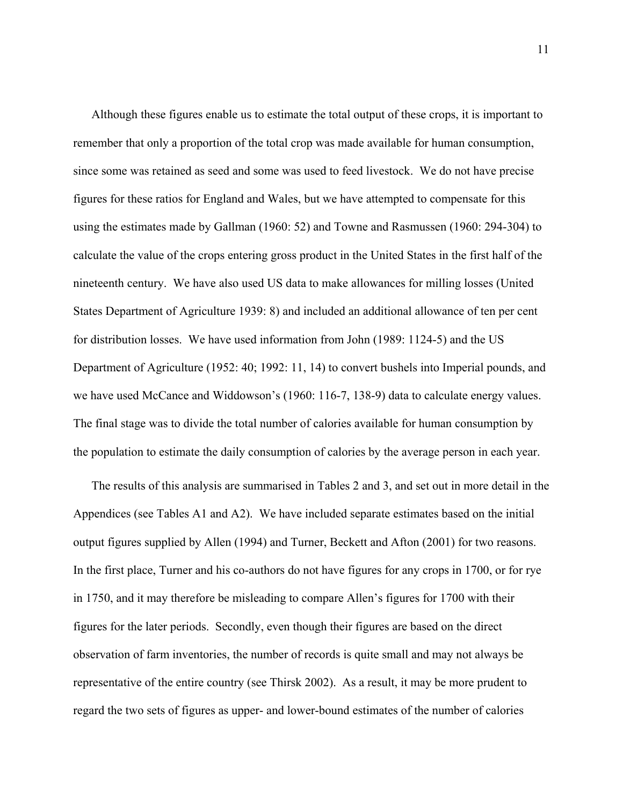Although these figures enable us to estimate the total output of these crops, it is important to remember that only a proportion of the total crop was made available for human consumption, since some was retained as seed and some was used to feed livestock. We do not have precise figures for these ratios for England and Wales, but we have attempted to compensate for this using the estimates made by Gallman (1960: 52) and Towne and Rasmussen (1960: 294-304) to calculate the value of the crops entering gross product in the United States in the first half of the nineteenth century. We have also used US data to make allowances for milling losses (United States Department of Agriculture 1939: 8) and included an additional allowance of ten per cent for distribution losses. We have used information from John (1989: 1124-5) and the US Department of Agriculture (1952: 40; 1992: 11, 14) to convert bushels into Imperial pounds, and we have used McCance and Widdowson's (1960: 116-7, 138-9) data to calculate energy values. The final stage was to divide the total number of calories available for human consumption by the population to estimate the daily consumption of calories by the average person in each year.

The results of this analysis are summarised in Tables 2 and 3, and set out in more detail in the Appendices (see Tables A1 and A2). We have included separate estimates based on the initial output figures supplied by Allen (1994) and Turner, Beckett and Afton (2001) for two reasons. In the first place, Turner and his co-authors do not have figures for any crops in 1700, or for rye in 1750, and it may therefore be misleading to compare Allen's figures for 1700 with their figures for the later periods. Secondly, even though their figures are based on the direct observation of farm inventories, the number of records is quite small and may not always be representative of the entire country (see Thirsk 2002). As a result, it may be more prudent to regard the two sets of figures as upper- and lower-bound estimates of the number of calories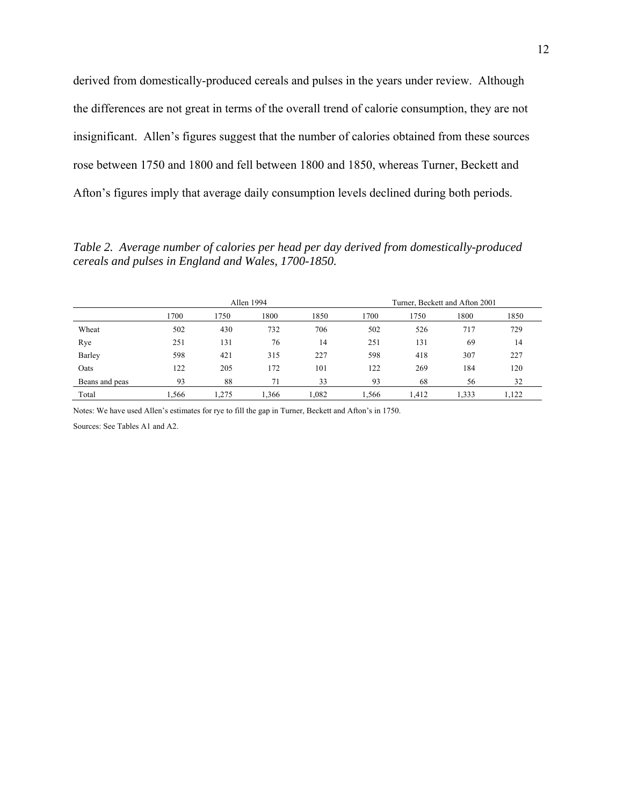derived from domestically-produced cereals and pulses in the years under review. Although the differences are not great in terms of the overall trend of calorie consumption, they are not insignificant. Allen's figures suggest that the number of calories obtained from these sources rose between 1750 and 1800 and fell between 1800 and 1850, whereas Turner, Beckett and Afton's figures imply that average daily consumption levels declined during both periods.

*Table 2. Average number of calories per head per day derived from domestically-produced cereals and pulses in England and Wales, 1700-1850.*

|                |      |       | Allen 1994 |       |       |       | Turner, Beckett and Afton 2001 |       |
|----------------|------|-------|------------|-------|-------|-------|--------------------------------|-------|
|                | 1700 | 1750  | 1800       | 1850  | 1700  | 1750  | 1800                           | 1850  |
| Wheat          | 502  | 430   | 732        | 706   | 502   | 526   | 717                            | 729   |
| Rye            | 251  | 131   | 76         | 14    | 251   | 131   | 69                             | 14    |
| Barley         | 598  | 421   | 315        | 227   | 598   | 418   | 307                            | 227   |
| Oats           | 122  | 205   | 172        | 101   | 122   | 269   | 184                            | 120   |
| Beans and peas | 93   | 88    | 71         | 33    | 93    | 68    | 56                             | 32    |
| Total          | .566 | 1.275 | .366       | 1,082 | 1.566 | 1.412 | 1,333                          | 1.122 |

Notes: We have used Allen's estimates for rye to fill the gap in Turner, Beckett and Afton's in 1750.

Sources: See Tables A1 and A2.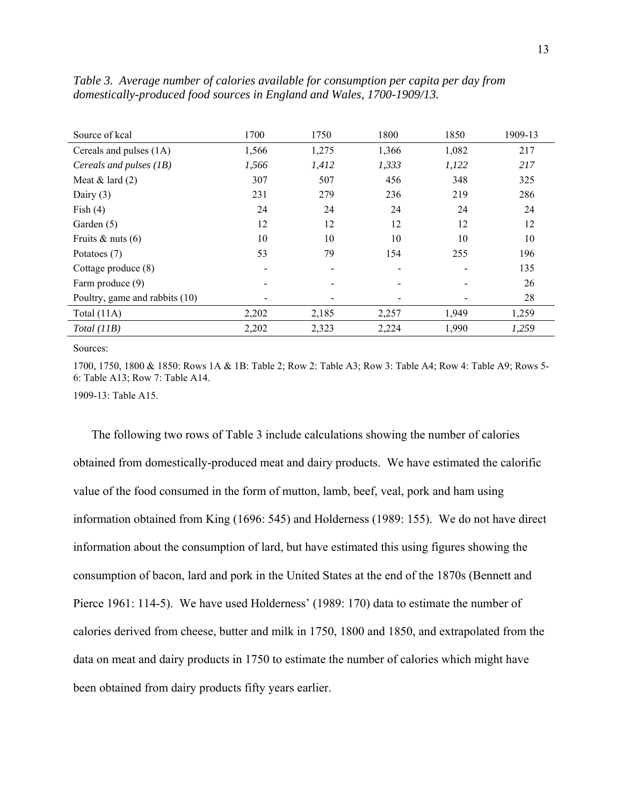| Source of kcal                 | 1700  | 1750                     | 1800  | 1850  | 1909-13 |
|--------------------------------|-------|--------------------------|-------|-------|---------|
| Cereals and pulses (1A)        | 1,566 | 1,275                    | 1,366 | 1,082 | 217     |
| Cereals and pulses (1B)        | 1,566 | 1,412                    | 1,333 | 1,122 | 217     |
| Meat $&$ lard $(2)$            | 307   | 507                      | 456   | 348   | 325     |
| Dairy $(3)$                    | 231   | 279                      | 236   | 219   | 286     |
| Fish $(4)$                     | 24    | 24                       | 24    | 24    | 24      |
| Garden (5)                     | 12    | 12                       | 12    | 12    | 12      |
| Fruits $&$ nuts (6)            | 10    | 10                       | 10    | 10    | 10      |
| Potatoes (7)                   | 53    | 79                       | 154   | 255   | 196     |
| Cottage produce (8)            |       | $\overline{\phantom{a}}$ |       |       | 135     |
| Farm produce (9)               |       |                          |       |       | 26      |
| Poultry, game and rabbits (10) |       |                          |       |       | 28      |
| Total $(11A)$                  | 2,202 | 2,185                    | 2,257 | 1,949 | 1,259   |
| Total (11B)                    | 2,202 | 2,323                    | 2,224 | 1,990 | 1,259   |

*Table 3. Average number of calories available for consumption per capita per day from domestically-produced food sources in England and Wales, 1700-1909/13.* 

1700, 1750, 1800 & 1850: Rows 1A & 1B: Table 2; Row 2: Table A3; Row 3: Table A4; Row 4: Table A9; Rows 5- 6: Table A13; Row 7: Table A14.

1909-13: Table A15.

The following two rows of Table 3 include calculations showing the number of calories obtained from domestically-produced meat and dairy products. We have estimated the calorific value of the food consumed in the form of mutton, lamb, beef, veal, pork and ham using information obtained from King (1696: 545) and Holderness (1989: 155). We do not have direct information about the consumption of lard, but have estimated this using figures showing the consumption of bacon, lard and pork in the United States at the end of the 1870s (Bennett and Pierce 1961: 114-5). We have used Holderness' (1989: 170) data to estimate the number of calories derived from cheese, butter and milk in 1750, 1800 and 1850, and extrapolated from the data on meat and dairy products in 1750 to estimate the number of calories which might have been obtained from dairy products fifty years earlier.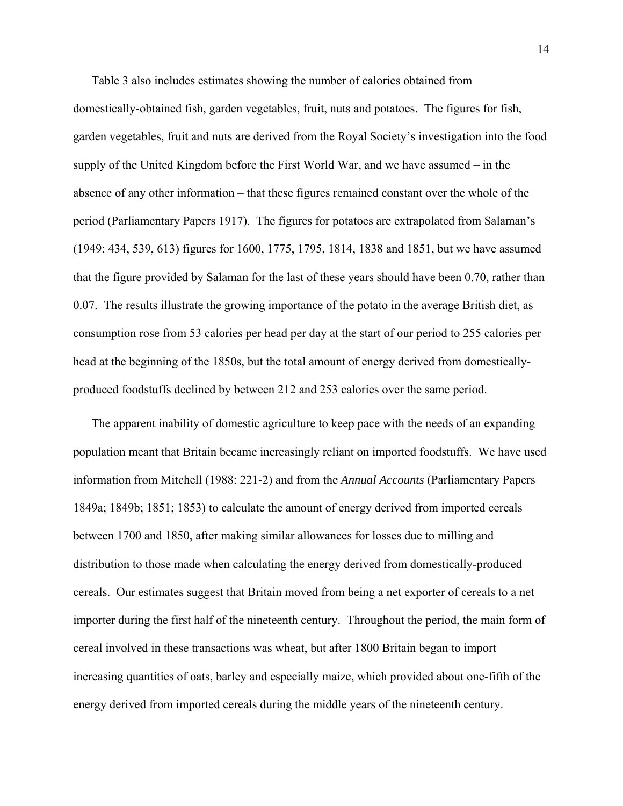Table 3 also includes estimates showing the number of calories obtained from domestically-obtained fish, garden vegetables, fruit, nuts and potatoes. The figures for fish, garden vegetables, fruit and nuts are derived from the Royal Society's investigation into the food supply of the United Kingdom before the First World War, and we have assumed – in the absence of any other information – that these figures remained constant over the whole of the period (Parliamentary Papers 1917). The figures for potatoes are extrapolated from Salaman's (1949: 434, 539, 613) figures for 1600, 1775, 1795, 1814, 1838 and 1851, but we have assumed that the figure provided by Salaman for the last of these years should have been 0.70, rather than 0.07. The results illustrate the growing importance of the potato in the average British diet, as consumption rose from 53 calories per head per day at the start of our period to 255 calories per head at the beginning of the 1850s, but the total amount of energy derived from domesticallyproduced foodstuffs declined by between 212 and 253 calories over the same period.

The apparent inability of domestic agriculture to keep pace with the needs of an expanding population meant that Britain became increasingly reliant on imported foodstuffs. We have used information from Mitchell (1988: 221-2) and from the *Annual Accounts* (Parliamentary Papers 1849a; 1849b; 1851; 1853) to calculate the amount of energy derived from imported cereals between 1700 and 1850, after making similar allowances for losses due to milling and distribution to those made when calculating the energy derived from domestically-produced cereals. Our estimates suggest that Britain moved from being a net exporter of cereals to a net importer during the first half of the nineteenth century. Throughout the period, the main form of cereal involved in these transactions was wheat, but after 1800 Britain began to import increasing quantities of oats, barley and especially maize, which provided about one-fifth of the energy derived from imported cereals during the middle years of the nineteenth century.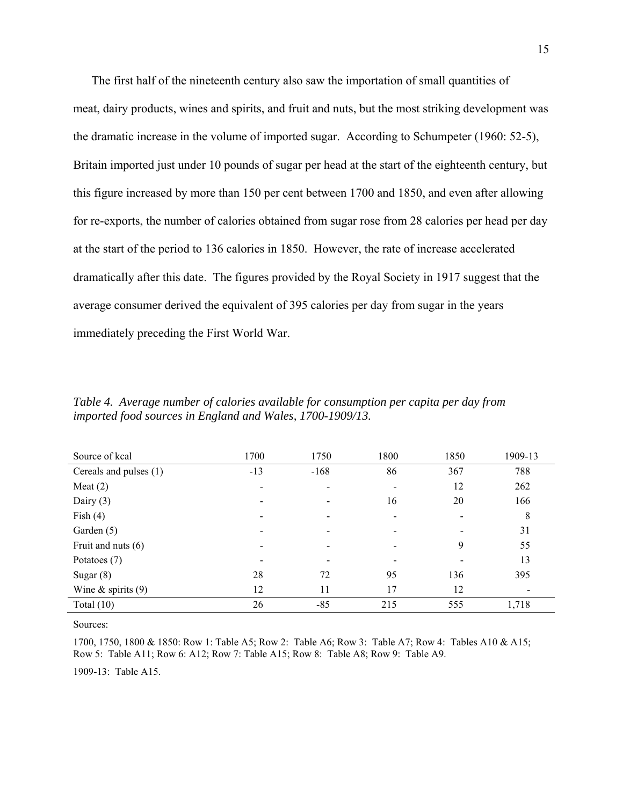The first half of the nineteenth century also saw the importation of small quantities of meat, dairy products, wines and spirits, and fruit and nuts, but the most striking development was the dramatic increase in the volume of imported sugar. According to Schumpeter (1960: 52-5), Britain imported just under 10 pounds of sugar per head at the start of the eighteenth century, but this figure increased by more than 150 per cent between 1700 and 1850, and even after allowing for re-exports, the number of calories obtained from sugar rose from 28 calories per head per day at the start of the period to 136 calories in 1850. However, the rate of increase accelerated dramatically after this date. The figures provided by the Royal Society in 1917 suggest that the average consumer derived the equivalent of 395 calories per day from sugar in the years immediately preceding the First World War.

| Source of kcal         | 1700  | 1750   | 1800 | 1850 | 1909-13                  |
|------------------------|-------|--------|------|------|--------------------------|
| Cereals and pulses (1) | $-13$ | $-168$ | 86   | 367  | 788                      |
| Meat $(2)$             |       |        |      | 12   | 262                      |
| Dairy $(3)$            |       |        | 16   | 20   | 166                      |
| Fish $(4)$             |       |        |      |      | 8                        |
| Garden (5)             |       |        |      |      | 31                       |
| Fruit and nuts $(6)$   |       |        |      | 9    | 55                       |
| Potatoes (7)           |       |        |      |      | 13                       |
| Sugar $(8)$            | 28    | 72     | 95   | 136  | 395                      |
| Wine $\&$ spirits (9)  | 12    | 11     | 17   | 12   | $\overline{\phantom{a}}$ |
| Total $(10)$           | 26    | $-85$  | 215  | 555  | 1,718                    |

*Table 4. Average number of calories available for consumption per capita per day from imported food sources in England and Wales, 1700-1909/13.* 

Sources:

1700, 1750, 1800 & 1850: Row 1: Table A5; Row 2: Table A6; Row 3: Table A7; Row 4: Tables A10 & A15; Row 5: Table A11; Row 6: A12; Row 7: Table A15; Row 8: Table A8; Row 9: Table A9.

1909-13: Table A15.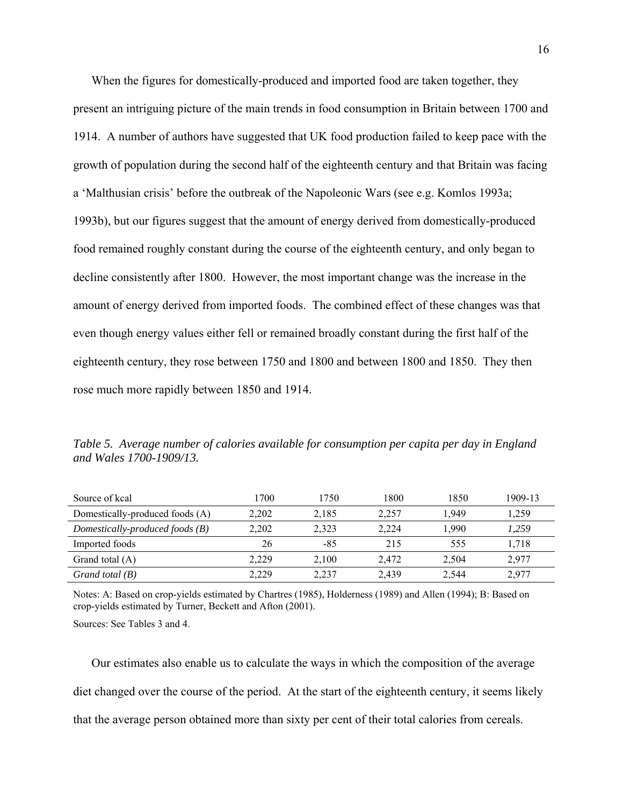When the figures for domestically-produced and imported food are taken together, they present an intriguing picture of the main trends in food consumption in Britain between 1700 and 1914. A number of authors have suggested that UK food production failed to keep pace with the growth of population during the second half of the eighteenth century and that Britain was facing a 'Malthusian crisis' before the outbreak of the Napoleonic Wars (see e.g. Komlos 1993a; 1993b), but our figures suggest that the amount of energy derived from domestically-produced food remained roughly constant during the course of the eighteenth century, and only began to decline consistently after 1800. However, the most important change was the increase in the amount of energy derived from imported foods. The combined effect of these changes was that even though energy values either fell or remained broadly constant during the first half of the eighteenth century, they rose between 1750 and 1800 and between 1800 and 1850. They then rose much more rapidly between 1850 and 1914.

*Table 5. Average number of calories available for consumption per capita per day in England and Wales 1700-1909/13.* 

| Source of kcal                    | 1700  | 1750  | 1800  | 1850  | 1909-13 |
|-----------------------------------|-------|-------|-------|-------|---------|
| Domestically-produced foods (A)   | 2.202 | 2,185 | 2,257 | 1.949 | 1,259   |
| Domestically-produced foods $(B)$ | 2,202 | 2,323 | 2,224 | 1,990 | 1,259   |
| Imported foods                    | 26    | $-85$ | 215   | 555   | 1,718   |
| Grand total (A)                   | 2.229 | 2.100 | 2.472 | 2,504 | 2,977   |
| Grand total $(B)$                 | 2,229 | 2,237 | 2,439 | 2,544 | 2,977   |

Notes: A: Based on crop-yields estimated by Chartres (1985), Holderness (1989) and Allen (1994); B: Based on crop-yields estimated by Turner, Beckett and Afton (2001).

Sources: See Tables 3 and 4.

Our estimates also enable us to calculate the ways in which the composition of the average diet changed over the course of the period. At the start of the eighteenth century, it seems likely that the average person obtained more than sixty per cent of their total calories from cereals.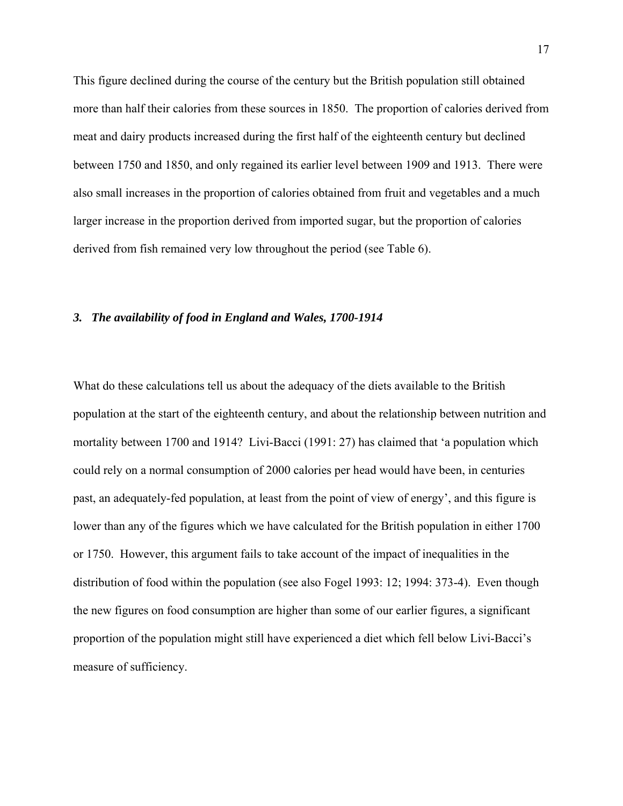This figure declined during the course of the century but the British population still obtained more than half their calories from these sources in 1850. The proportion of calories derived from meat and dairy products increased during the first half of the eighteenth century but declined between 1750 and 1850, and only regained its earlier level between 1909 and 1913. There were also small increases in the proportion of calories obtained from fruit and vegetables and a much larger increase in the proportion derived from imported sugar, but the proportion of calories derived from fish remained very low throughout the period (see Table 6).

### *3. The availability of food in England and Wales, 1700-1914*

What do these calculations tell us about the adequacy of the diets available to the British population at the start of the eighteenth century, and about the relationship between nutrition and mortality between 1700 and 1914? Livi-Bacci (1991: 27) has claimed that 'a population which could rely on a normal consumption of 2000 calories per head would have been, in centuries past, an adequately-fed population, at least from the point of view of energy', and this figure is lower than any of the figures which we have calculated for the British population in either 1700 or 1750. However, this argument fails to take account of the impact of inequalities in the distribution of food within the population (see also Fogel 1993: 12; 1994: 373-4). Even though the new figures on food consumption are higher than some of our earlier figures, a significant proportion of the population might still have experienced a diet which fell below Livi-Bacci's measure of sufficiency.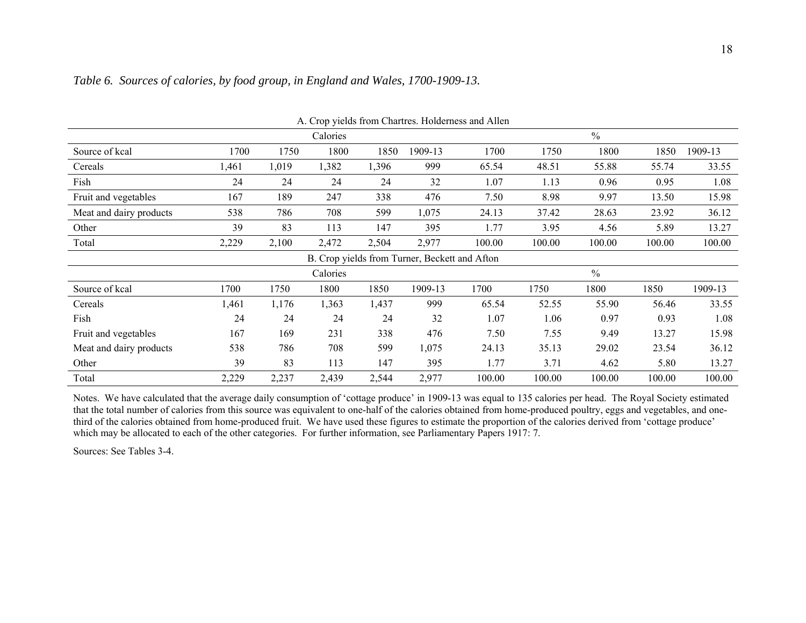|                         |       |       |          |       |                                               | A. Crop yields from Chartres. Holderness and Allen |        |               |        |         |
|-------------------------|-------|-------|----------|-------|-----------------------------------------------|----------------------------------------------------|--------|---------------|--------|---------|
|                         |       |       | Calories |       |                                               |                                                    |        | $\frac{0}{0}$ |        |         |
| Source of kcal          | 1700  | 1750  | 1800     | 1850  | 1909-13                                       | 1700                                               | 1750   | 1800          | 1850   | 1909-13 |
| Cereals                 | l,461 | 1,019 | 1,382    | 1,396 | 999                                           | 65.54                                              | 48.51  | 55.88         | 55.74  | 33.55   |
| Fish                    | 24    | 24    | 24       | 24    | 32                                            | 1.07                                               | 1.13   | 0.96          | 0.95   | 1.08    |
| Fruit and vegetables    | 167   | 189   | 247      | 338   | 476                                           | 7.50                                               | 8.98   | 9.97          | 13.50  | 15.98   |
| Meat and dairy products | 538   | 786   | 708      | 599   | 1,075                                         | 24.13                                              | 37.42  | 28.63         | 23.92  | 36.12   |
| Other                   | 39    | 83    | 113      | 147   | 395                                           | 1.77                                               | 3.95   | 4.56          | 5.89   | 13.27   |
| Total                   | 2,229 | 2,100 | 2,472    | 2,504 | 2,977                                         | 100.00                                             | 100.00 | 100.00        | 100.00 | 100.00  |
|                         |       |       |          |       | B. Crop yields from Turner, Beckett and Afton |                                                    |        |               |        |         |
|                         |       |       | Calories |       |                                               |                                                    |        | $\frac{0}{0}$ |        |         |
| Source of kcal          | 1700  | 1750  | 1800     | 1850  | 1909-13                                       | 1700                                               | 1750   | 1800          | 1850   | 1909-13 |
| Cereals                 | 1,461 | 1,176 | 1,363    | 1,437 | 999                                           | 65.54                                              | 52.55  | 55.90         | 56.46  | 33.55   |
| Fish                    | 24    | 24    | 24       | 24    | 32                                            | 1.07                                               | 1.06   | 0.97          | 0.93   | 1.08    |
| Fruit and vegetables    | 167   | 169   | 231      | 338   | 476                                           | 7.50                                               | 7.55   | 9.49          | 13.27  | 15.98   |
| Meat and dairy products | 538   | 786   | 708      | 599   | 1,075                                         | 24.13                                              | 35.13  | 29.02         | 23.54  | 36.12   |
| Other                   | 39    | 83    | 113      | 147   | 395                                           | 1.77                                               | 3.71   | 4.62          | 5.80   | 13.27   |
| Total                   | 2,229 | 2,237 | 2,439    | 2,544 | 2,977                                         | 100.00                                             | 100.00 | 100.00        | 100.00 | 100.00  |

## *Table 6. Sources of calories, by food group, in England and Wales, 1700-1909-13.*

Notes. We have calculated that the average daily consumption of 'cottage produce' in 1909-13 was equal to 135 calories per head. The Royal Society estimated that the total number of calories from this source was equivalent to one-half of the calories obtained from home-produced poultry, eggs and vegetables, and onethird of the calories obtained from home-produced fruit. We have used these figures to estimate the proportion of the calories derived from 'cottage produce' which may be allocated to each of the other categories. For further information, see Parliamentary Papers 1917: 7.

Sources: See Tables 3-4.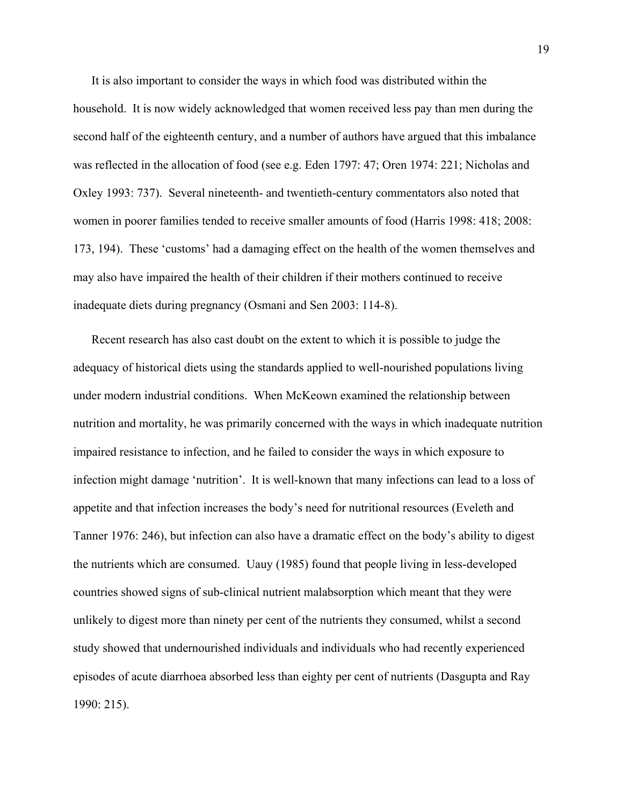It is also important to consider the ways in which food was distributed within the household. It is now widely acknowledged that women received less pay than men during the second half of the eighteenth century, and a number of authors have argued that this imbalance was reflected in the allocation of food (see e.g. Eden 1797: 47; Oren 1974: 221; Nicholas and Oxley 1993: 737). Several nineteenth- and twentieth-century commentators also noted that women in poorer families tended to receive smaller amounts of food (Harris 1998: 418; 2008: 173, 194). These 'customs' had a damaging effect on the health of the women themselves and may also have impaired the health of their children if their mothers continued to receive inadequate diets during pregnancy (Osmani and Sen 2003: 114-8).

Recent research has also cast doubt on the extent to which it is possible to judge the adequacy of historical diets using the standards applied to well-nourished populations living under modern industrial conditions. When McKeown examined the relationship between nutrition and mortality, he was primarily concerned with the ways in which inadequate nutrition impaired resistance to infection, and he failed to consider the ways in which exposure to infection might damage 'nutrition'. It is well-known that many infections can lead to a loss of appetite and that infection increases the body's need for nutritional resources (Eveleth and Tanner 1976: 246), but infection can also have a dramatic effect on the body's ability to digest the nutrients which are consumed. Uauy (1985) found that people living in less-developed countries showed signs of sub-clinical nutrient malabsorption which meant that they were unlikely to digest more than ninety per cent of the nutrients they consumed, whilst a second study showed that undernourished individuals and individuals who had recently experienced episodes of acute diarrhoea absorbed less than eighty per cent of nutrients (Dasgupta and Ray 1990: 215).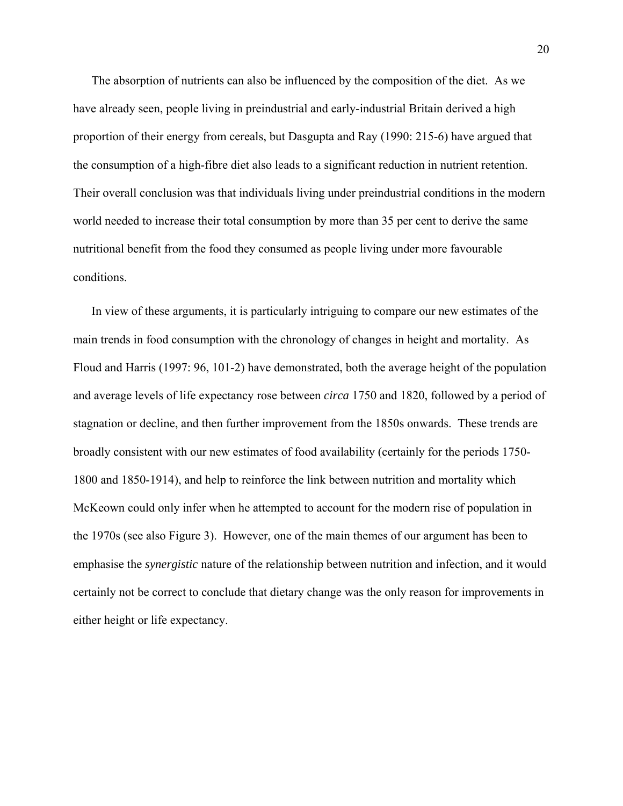The absorption of nutrients can also be influenced by the composition of the diet. As we have already seen, people living in preindustrial and early-industrial Britain derived a high proportion of their energy from cereals, but Dasgupta and Ray (1990: 215-6) have argued that the consumption of a high-fibre diet also leads to a significant reduction in nutrient retention. Their overall conclusion was that individuals living under preindustrial conditions in the modern world needed to increase their total consumption by more than 35 per cent to derive the same nutritional benefit from the food they consumed as people living under more favourable conditions.

In view of these arguments, it is particularly intriguing to compare our new estimates of the main trends in food consumption with the chronology of changes in height and mortality. As Floud and Harris (1997: 96, 101-2) have demonstrated, both the average height of the population and average levels of life expectancy rose between *circa* 1750 and 1820, followed by a period of stagnation or decline, and then further improvement from the 1850s onwards. These trends are broadly consistent with our new estimates of food availability (certainly for the periods 1750- 1800 and 1850-1914), and help to reinforce the link between nutrition and mortality which McKeown could only infer when he attempted to account for the modern rise of population in the 1970s (see also Figure 3). However, one of the main themes of our argument has been to emphasise the *synergistic* nature of the relationship between nutrition and infection, and it would certainly not be correct to conclude that dietary change was the only reason for improvements in either height or life expectancy.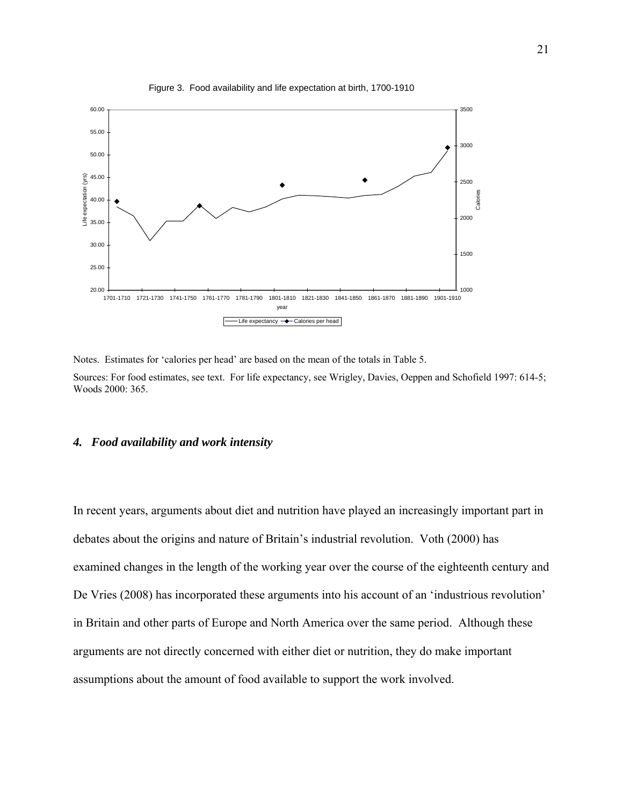

Figure 3. Food availability and life expectation at birth, 1700-1910

Notes. Estimates for 'calories per head' are based on the mean of the totals in Table 5.

Sources: For food estimates, see text. For life expectancy, see Wrigley, Davies, Oeppen and Schofield 1997: 614-5; Woods 2000: 365.

## *4. Food availability and work intensity*

In recent years, arguments about diet and nutrition have played an increasingly important part in debates about the origins and nature of Britain's industrial revolution. Voth (2000) has examined changes in the length of the working year over the course of the eighteenth century and De Vries (2008) has incorporated these arguments into his account of an 'industrious revolution' in Britain and other parts of Europe and North America over the same period. Although these arguments are not directly concerned with either diet or nutrition, they do make important assumptions about the amount of food available to support the work involved.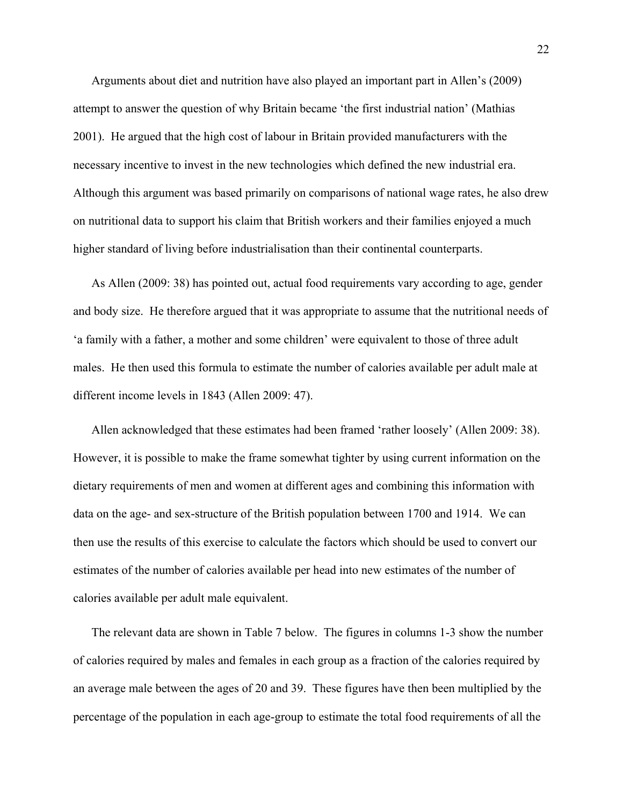Arguments about diet and nutrition have also played an important part in Allen's (2009) attempt to answer the question of why Britain became 'the first industrial nation' (Mathias 2001). He argued that the high cost of labour in Britain provided manufacturers with the necessary incentive to invest in the new technologies which defined the new industrial era. Although this argument was based primarily on comparisons of national wage rates, he also drew on nutritional data to support his claim that British workers and their families enjoyed a much higher standard of living before industrialisation than their continental counterparts.

As Allen (2009: 38) has pointed out, actual food requirements vary according to age, gender and body size. He therefore argued that it was appropriate to assume that the nutritional needs of 'a family with a father, a mother and some children' were equivalent to those of three adult males. He then used this formula to estimate the number of calories available per adult male at different income levels in 1843 (Allen 2009: 47).

Allen acknowledged that these estimates had been framed 'rather loosely' (Allen 2009: 38). However, it is possible to make the frame somewhat tighter by using current information on the dietary requirements of men and women at different ages and combining this information with data on the age- and sex-structure of the British population between 1700 and 1914. We can then use the results of this exercise to calculate the factors which should be used to convert our estimates of the number of calories available per head into new estimates of the number of calories available per adult male equivalent.

The relevant data are shown in Table 7 below. The figures in columns 1-3 show the number of calories required by males and females in each group as a fraction of the calories required by an average male between the ages of 20 and 39. These figures have then been multiplied by the percentage of the population in each age-group to estimate the total food requirements of all the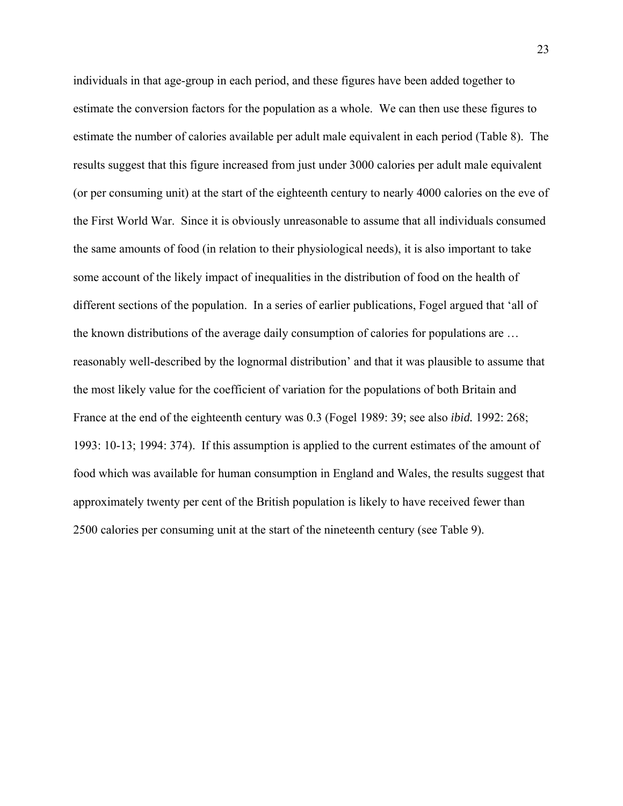individuals in that age-group in each period, and these figures have been added together to estimate the conversion factors for the population as a whole. We can then use these figures to estimate the number of calories available per adult male equivalent in each period (Table 8). The results suggest that this figure increased from just under 3000 calories per adult male equivalent (or per consuming unit) at the start of the eighteenth century to nearly 4000 calories on the eve of the First World War. Since it is obviously unreasonable to assume that all individuals consumed the same amounts of food (in relation to their physiological needs), it is also important to take some account of the likely impact of inequalities in the distribution of food on the health of different sections of the population. In a series of earlier publications, Fogel argued that 'all of the known distributions of the average daily consumption of calories for populations are … reasonably well-described by the lognormal distribution' and that it was plausible to assume that the most likely value for the coefficient of variation for the populations of both Britain and France at the end of the eighteenth century was 0.3 (Fogel 1989: 39; see also *ibid.* 1992: 268; 1993: 10-13; 1994: 374). If this assumption is applied to the current estimates of the amount of food which was available for human consumption in England and Wales, the results suggest that approximately twenty per cent of the British population is likely to have received fewer than 2500 calories per consuming unit at the start of the nineteenth century (see Table 9).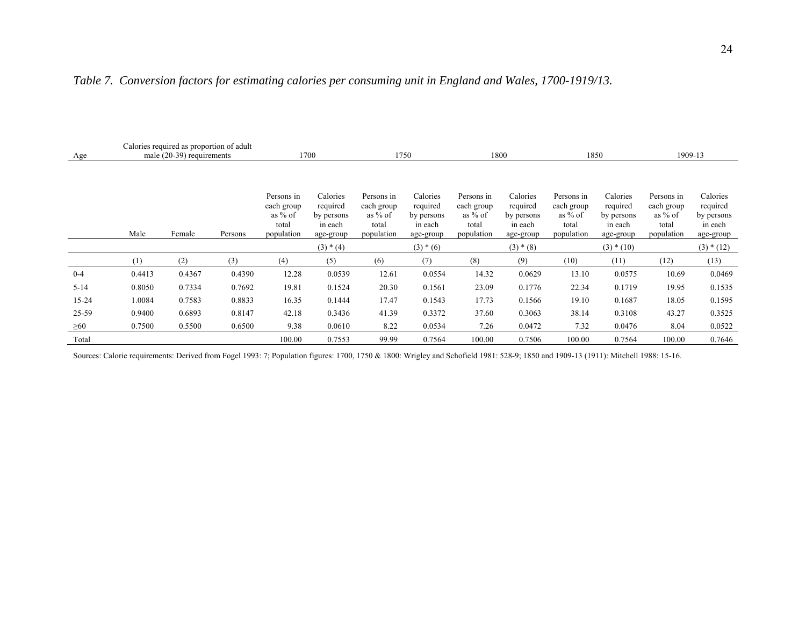| Age       | Calories required as proportion of adult<br>male (20-39) requirements |        |         |                                                              | 1700                                                       | 1750                                                         |                                                            | 1800                                                         |                                                            | 1850                                                         |                                                            | 1909-13                                                      |                                                            |
|-----------|-----------------------------------------------------------------------|--------|---------|--------------------------------------------------------------|------------------------------------------------------------|--------------------------------------------------------------|------------------------------------------------------------|--------------------------------------------------------------|------------------------------------------------------------|--------------------------------------------------------------|------------------------------------------------------------|--------------------------------------------------------------|------------------------------------------------------------|
|           | Male                                                                  | Female | Persons | Persons in<br>each group<br>as $%$ of<br>total<br>population | Calories<br>required<br>by persons<br>in each<br>age-group | Persons in<br>each group<br>as $%$ of<br>total<br>population | Calories<br>required<br>by persons<br>in each<br>age-group | Persons in<br>each group<br>as $%$ of<br>total<br>population | Calories<br>required<br>by persons<br>in each<br>age-group | Persons in<br>each group<br>as $%$ of<br>total<br>population | Calories<br>required<br>by persons<br>in each<br>age-group | Persons in<br>each group<br>as $%$ of<br>total<br>population | Calories<br>required<br>by persons<br>in each<br>age-group |
|           |                                                                       |        |         |                                                              | $(3) * (4)$                                                |                                                              | $(3) * (6)$                                                |                                                              | $(3) * (8)$                                                |                                                              | $(3) * (10)$                                               |                                                              | $(3) * (12)$                                               |
|           | (1)                                                                   | (2)    | (3)     | (4)                                                          | (5)                                                        | (6)                                                          | (7)                                                        | (8)                                                          | (9)                                                        | (10)                                                         | (11)                                                       | (12)                                                         | (13)                                                       |
| $0 - 4$   | 0.4413                                                                | 0.4367 | 0.4390  | 12.28                                                        | 0.0539                                                     | 12.61                                                        | 0.0554                                                     | 14.32                                                        | 0.0629                                                     | 13.10                                                        | 0.0575                                                     | 10.69                                                        | 0.0469                                                     |
| $5 - 14$  | 0.8050                                                                | 0.7334 | 0.7692  | 19.81                                                        | 0.1524                                                     | 20.30                                                        | 0.1561                                                     | 23.09                                                        | 0.1776                                                     | 22.34                                                        | 0.1719                                                     | 19.95                                                        | 0.1535                                                     |
| 15-24     | 1.0084                                                                | 0.7583 | 0.8833  | 16.35                                                        | 0.1444                                                     | 17.47                                                        | 0.1543                                                     | 17.73                                                        | 0.1566                                                     | 19.10                                                        | 0.1687                                                     | 18.05                                                        | 0.1595                                                     |
| 25-59     | 0.9400                                                                | 0.6893 | 0.8147  | 42.18                                                        | 0.3436                                                     | 41.39                                                        | 0.3372                                                     | 37.60                                                        | 0.3063                                                     | 38.14                                                        | 0.3108                                                     | 43.27                                                        | 0.3525                                                     |
| $\geq 60$ | 0.7500                                                                | 0.5500 | 0.6500  | 9.38                                                         | 0.0610                                                     | 8.22                                                         | 0.0534                                                     | 7.26                                                         | 0.0472                                                     | 7.32                                                         | 0.0476                                                     | 8.04                                                         | 0.0522                                                     |
| Total     |                                                                       |        |         | 100.00                                                       | 0.7553                                                     | 99.99                                                        | 0.7564                                                     | 100.00                                                       | 0.7506                                                     | 100.00                                                       | 0.7564                                                     | 100.00                                                       | 0.7646                                                     |

## *Table 7. Conversion factors for estimating calories per consuming unit in England and Wales, 1700-1919/13.*

Sources: Calorie requirements: Derived from Fogel 1993: 7; Population figures: 1700, 1750 & 1800: Wrigley and Schofield 1981: 528-9; 1850 and 1909-13 (1911): Mitchell 1988: 15-16.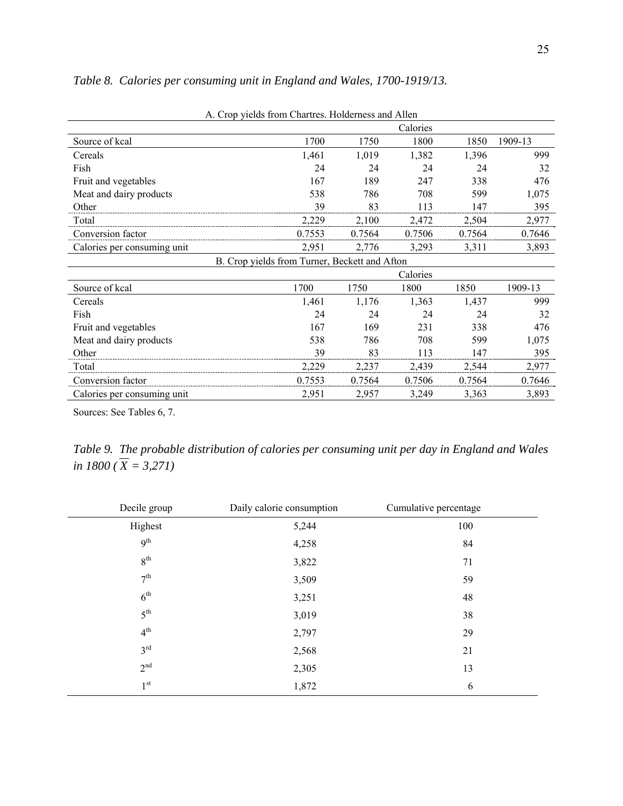| A. Crop yields from Chartres. Holderness and Allen |                                               |        |          |        |         |  |  |  |  |  |  |
|----------------------------------------------------|-----------------------------------------------|--------|----------|--------|---------|--|--|--|--|--|--|
|                                                    |                                               |        | Calories |        |         |  |  |  |  |  |  |
| Source of kcal                                     | 1700                                          | 1750   | 1800     | 1850   | 1909-13 |  |  |  |  |  |  |
| Cereals                                            | 1,461                                         | 1,019  | 1,382    | 1,396  | 999     |  |  |  |  |  |  |
| Fish                                               | 24                                            | 24     | 24       | 24     | 32      |  |  |  |  |  |  |
| Fruit and vegetables                               | 167                                           | 189    | 247      | 338    | 476     |  |  |  |  |  |  |
| Meat and dairy products                            | 538                                           | 786    | 708      | 599    | 1,075   |  |  |  |  |  |  |
| Other                                              | 39                                            | 83     | 113      | 147    | 395     |  |  |  |  |  |  |
| Total                                              | 2,229                                         | 2,100  | 2,472    | 2,504  | 2,977   |  |  |  |  |  |  |
| Conversion factor                                  | 0.7553                                        | 0.7564 | 0.7506   | 0.7564 | 0.7646  |  |  |  |  |  |  |
| Calories per consuming unit                        | 2,951                                         | 2,776  | 3,293    | 3,311  | 3,893   |  |  |  |  |  |  |
|                                                    | B. Crop yields from Turner, Beckett and Afton |        |          |        |         |  |  |  |  |  |  |
|                                                    |                                               |        | Calories |        |         |  |  |  |  |  |  |
| Source of kcal                                     | 1700                                          | 1750   | 1800     | 1850   | 1909-13 |  |  |  |  |  |  |
| Cereals                                            | 1,461                                         | 1,176  | 1,363    | 1,437  | 999     |  |  |  |  |  |  |
| Fish                                               | 24                                            | 24     | 24       | 24     | 32      |  |  |  |  |  |  |
| Fruit and vegetables                               | 167                                           | 169    | 231      | 338    | 476     |  |  |  |  |  |  |
| Meat and dairy products                            | 538                                           | 786    | 708      | 599    | 1,075   |  |  |  |  |  |  |
| Other                                              | 39                                            | 83     | 113      | 147    | 395     |  |  |  |  |  |  |
| Total                                              | 2,229                                         | 2,237  | 2,439    | 2,544  | 2,977   |  |  |  |  |  |  |
| Conversion factor                                  | 0.7553                                        | 0.7564 | 0.7506   | 0.7564 | 0.7646  |  |  |  |  |  |  |
| Calories per consuming unit                        | 2,951                                         | 2,957  | 3,249    | 3,363  | 3,893   |  |  |  |  |  |  |

*Table 8. Calories per consuming unit in England and Wales, 1700-1919/13.* 

Sources: See Tables 6, 7.

*Table 9. The probable distribution of calories per consuming unit per day in England and Wales in 1800 ( X = 3,271)*

| Decile group    | Daily calorie consumption | Cumulative percentage |
|-----------------|---------------------------|-----------------------|
| Highest         | 5,244                     | 100                   |
| 9 <sup>th</sup> | 4,258                     | 84                    |
| $8^{\rm th}$    | 3,822                     | 71                    |
| 7 <sup>th</sup> | 3,509                     | 59                    |
| $6^{\text{th}}$ | 3,251                     | 48                    |
| $5^{\text{th}}$ | 3,019                     | 38                    |
| 4 <sup>th</sup> | 2,797                     | 29                    |
| 3 <sup>rd</sup> | 2,568                     | 21                    |
| 2 <sup>nd</sup> | 2,305                     | 13                    |
| 1 <sup>st</sup> | 1,872                     | 6                     |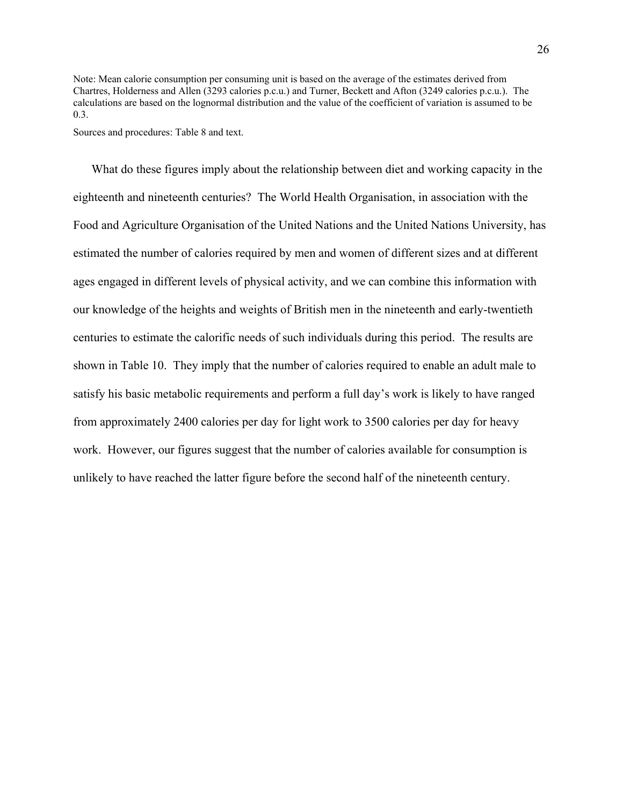Note: Mean calorie consumption per consuming unit is based on the average of the estimates derived from Chartres, Holderness and Allen (3293 calories p.c.u.) and Turner, Beckett and Afton (3249 calories p.c.u.). The calculations are based on the lognormal distribution and the value of the coefficient of variation is assumed to be 0.3.

Sources and procedures: Table 8 and text.

What do these figures imply about the relationship between diet and working capacity in the eighteenth and nineteenth centuries? The World Health Organisation, in association with the Food and Agriculture Organisation of the United Nations and the United Nations University, has estimated the number of calories required by men and women of different sizes and at different ages engaged in different levels of physical activity, and we can combine this information with our knowledge of the heights and weights of British men in the nineteenth and early-twentieth centuries to estimate the calorific needs of such individuals during this period. The results are shown in Table 10. They imply that the number of calories required to enable an adult male to satisfy his basic metabolic requirements and perform a full day's work is likely to have ranged from approximately 2400 calories per day for light work to 3500 calories per day for heavy work. However, our figures suggest that the number of calories available for consumption is unlikely to have reached the latter figure before the second half of the nineteenth century.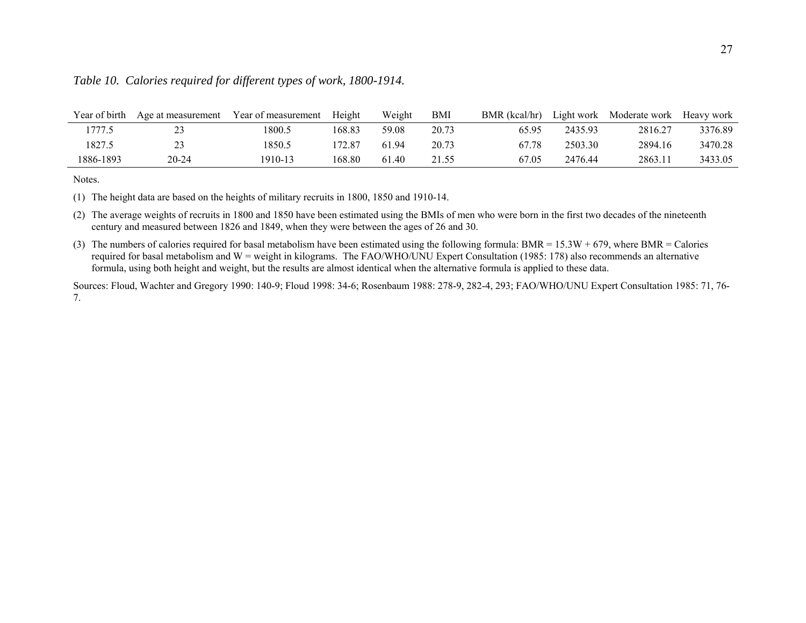| Year of birth | Age at measurement | Year of measurement | Height | Weight | BMI   | BMR (kcal/hr) |         | Light work Moderate work | Heavy work |
|---------------|--------------------|---------------------|--------|--------|-------|---------------|---------|--------------------------|------------|
| 1777.5        |                    | 1800.5              | 168.83 | 59.08  | 20.73 | 65.95         | 2435.93 | 2816.27                  | 3376.89    |
| 1827.5        |                    | 1850.5              | 172.87 | 6194   | 20.73 | 67.78         | 2503.30 | 2894.16                  | 3470.28    |
| 1886-1893     | $20 - 24$          | 1910-13             | 168.80 | 61.40  | 21.55 | 67.05         | 2476.44 | 2863.11                  | 3433.05    |

## *Table 10. Calories required for different types of work, 1800-1914.*

Notes.

(1) The height data are based on the heights of military recruits in 1800, 1850 and 1910-14.

(2) The average weights of recruits in 1800 and 1850 have been estimated using the BMIs of men who were born in the first two decades of the nineteenth century and measured between 1826 and 1849, when they were between the ages of 26 and 30.

(3) The numbers of calories required for basal metabolism have been estimated using the following formula: BMR =  $15.3W + 679$ , where BMR = Calories required for basal metabolism and W = weight in kilograms. The FAO/WHO/UNU Expert Consultation (1985: 178) also recommends an alternative formula, using both height and weight, but the results are almost identical when the alternative formula is applied to these data.

Sources: Floud, Wachter and Gregory 1990: 140-9; Floud 1998: 34-6; Rosenbaum 1988: 278-9, 282-4, 293; FAO/WHO/UNU Expert Consultation 1985: 71, 76- 7.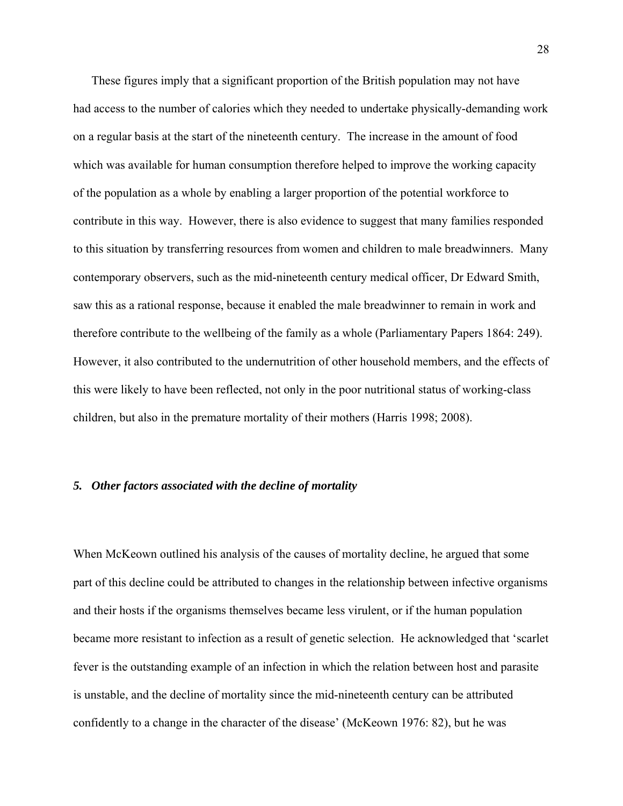These figures imply that a significant proportion of the British population may not have had access to the number of calories which they needed to undertake physically-demanding work on a regular basis at the start of the nineteenth century. The increase in the amount of food which was available for human consumption therefore helped to improve the working capacity of the population as a whole by enabling a larger proportion of the potential workforce to contribute in this way. However, there is also evidence to suggest that many families responded to this situation by transferring resources from women and children to male breadwinners. Many contemporary observers, such as the mid-nineteenth century medical officer, Dr Edward Smith, saw this as a rational response, because it enabled the male breadwinner to remain in work and therefore contribute to the wellbeing of the family as a whole (Parliamentary Papers 1864: 249). However, it also contributed to the undernutrition of other household members, and the effects of this were likely to have been reflected, not only in the poor nutritional status of working-class children, but also in the premature mortality of their mothers (Harris 1998; 2008).

## *5. Other factors associated with the decline of mortality*

When McKeown outlined his analysis of the causes of mortality decline, he argued that some part of this decline could be attributed to changes in the relationship between infective organisms and their hosts if the organisms themselves became less virulent, or if the human population became more resistant to infection as a result of genetic selection. He acknowledged that 'scarlet fever is the outstanding example of an infection in which the relation between host and parasite is unstable, and the decline of mortality since the mid-nineteenth century can be attributed confidently to a change in the character of the disease' (McKeown 1976: 82), but he was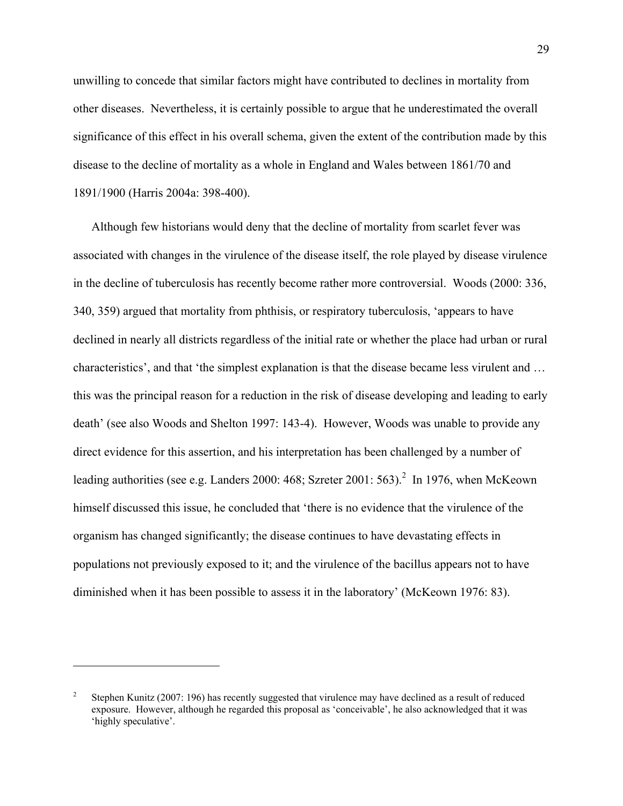unwilling to concede that similar factors might have contributed to declines in mortality from other diseases. Nevertheless, it is certainly possible to argue that he underestimated the overall significance of this effect in his overall schema, given the extent of the contribution made by this disease to the decline of mortality as a whole in England and Wales between 1861/70 and 1891/1900 (Harris 2004a: 398-400).

Although few historians would deny that the decline of mortality from scarlet fever was associated with changes in the virulence of the disease itself, the role played by disease virulence in the decline of tuberculosis has recently become rather more controversial. Woods (2000: 336, 340, 359) argued that mortality from phthisis, or respiratory tuberculosis, 'appears to have declined in nearly all districts regardless of the initial rate or whether the place had urban or rural characteristics', and that 'the simplest explanation is that the disease became less virulent and … this was the principal reason for a reduction in the risk of disease developing and leading to early death' (see also Woods and Shelton 1997: 143-4). However, Woods was unable to provide any direct evidence for this assertion, and his interpretation has been challenged by a number of leading authorities (see e.g. Landers 2000: 468; Szreter 2001: 563).<sup>2</sup> In 1976, when McKeown himself discussed this issue, he concluded that 'there is no evidence that the virulence of the organism has changed significantly; the disease continues to have devastating effects in populations not previously exposed to it; and the virulence of the bacillus appears not to have diminished when it has been possible to assess it in the laboratory' (McKeown 1976: 83).

 $\overline{a}$ 

<sup>2</sup> Stephen Kunitz (2007: 196) has recently suggested that virulence may have declined as a result of reduced exposure. However, although he regarded this proposal as 'conceivable', he also acknowledged that it was 'highly speculative'.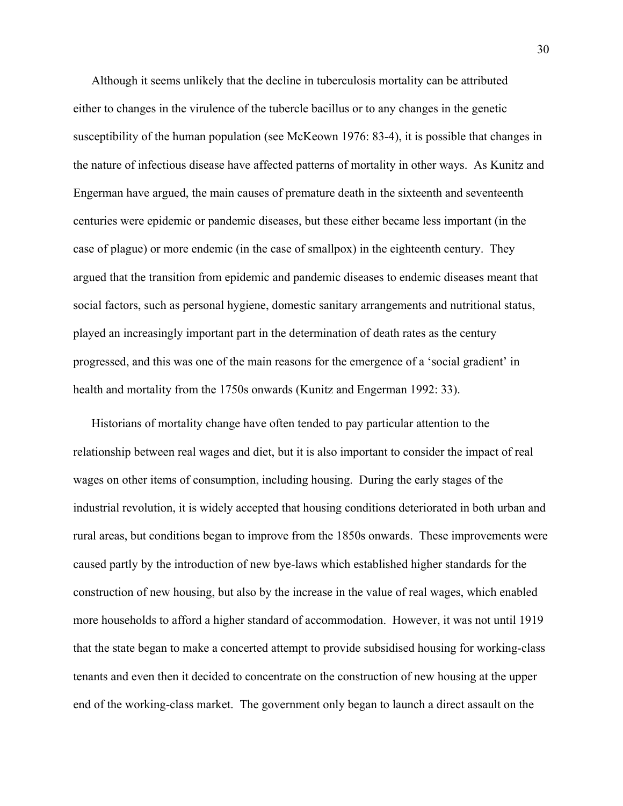Although it seems unlikely that the decline in tuberculosis mortality can be attributed either to changes in the virulence of the tubercle bacillus or to any changes in the genetic susceptibility of the human population (see McKeown 1976: 83-4), it is possible that changes in the nature of infectious disease have affected patterns of mortality in other ways. As Kunitz and Engerman have argued, the main causes of premature death in the sixteenth and seventeenth centuries were epidemic or pandemic diseases, but these either became less important (in the case of plague) or more endemic (in the case of smallpox) in the eighteenth century. They argued that the transition from epidemic and pandemic diseases to endemic diseases meant that social factors, such as personal hygiene, domestic sanitary arrangements and nutritional status, played an increasingly important part in the determination of death rates as the century progressed, and this was one of the main reasons for the emergence of a 'social gradient' in health and mortality from the 1750s onwards (Kunitz and Engerman 1992: 33).

Historians of mortality change have often tended to pay particular attention to the relationship between real wages and diet, but it is also important to consider the impact of real wages on other items of consumption, including housing. During the early stages of the industrial revolution, it is widely accepted that housing conditions deteriorated in both urban and rural areas, but conditions began to improve from the 1850s onwards. These improvements were caused partly by the introduction of new bye-laws which established higher standards for the construction of new housing, but also by the increase in the value of real wages, which enabled more households to afford a higher standard of accommodation. However, it was not until 1919 that the state began to make a concerted attempt to provide subsidised housing for working-class tenants and even then it decided to concentrate on the construction of new housing at the upper end of the working-class market. The government only began to launch a direct assault on the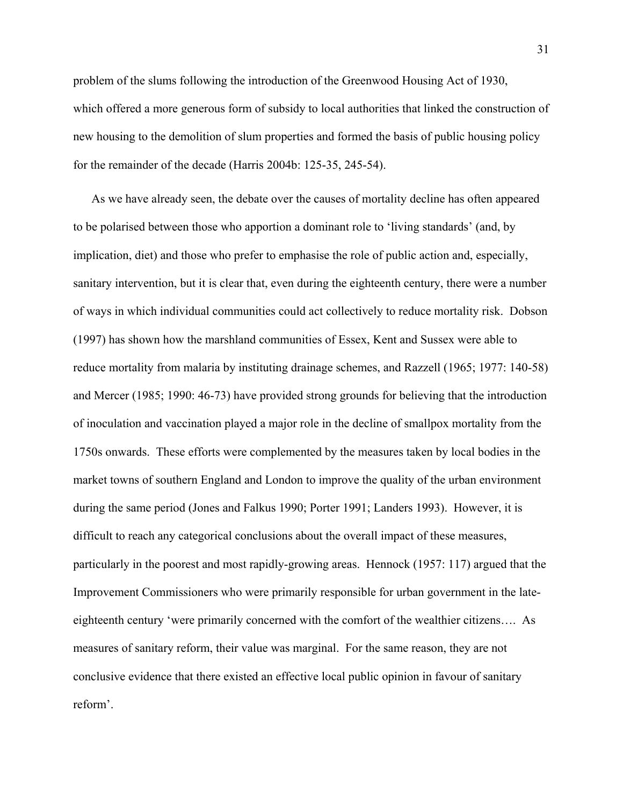problem of the slums following the introduction of the Greenwood Housing Act of 1930, which offered a more generous form of subsidy to local authorities that linked the construction of new housing to the demolition of slum properties and formed the basis of public housing policy for the remainder of the decade (Harris 2004b: 125-35, 245-54).

As we have already seen, the debate over the causes of mortality decline has often appeared to be polarised between those who apportion a dominant role to 'living standards' (and, by implication, diet) and those who prefer to emphasise the role of public action and, especially, sanitary intervention, but it is clear that, even during the eighteenth century, there were a number of ways in which individual communities could act collectively to reduce mortality risk. Dobson (1997) has shown how the marshland communities of Essex, Kent and Sussex were able to reduce mortality from malaria by instituting drainage schemes, and Razzell (1965; 1977: 140-58) and Mercer (1985; 1990: 46-73) have provided strong grounds for believing that the introduction of inoculation and vaccination played a major role in the decline of smallpox mortality from the 1750s onwards. These efforts were complemented by the measures taken by local bodies in the market towns of southern England and London to improve the quality of the urban environment during the same period (Jones and Falkus 1990; Porter 1991; Landers 1993). However, it is difficult to reach any categorical conclusions about the overall impact of these measures, particularly in the poorest and most rapidly-growing areas. Hennock (1957: 117) argued that the Improvement Commissioners who were primarily responsible for urban government in the lateeighteenth century 'were primarily concerned with the comfort of the wealthier citizens…. As measures of sanitary reform, their value was marginal. For the same reason, they are not conclusive evidence that there existed an effective local public opinion in favour of sanitary reform'.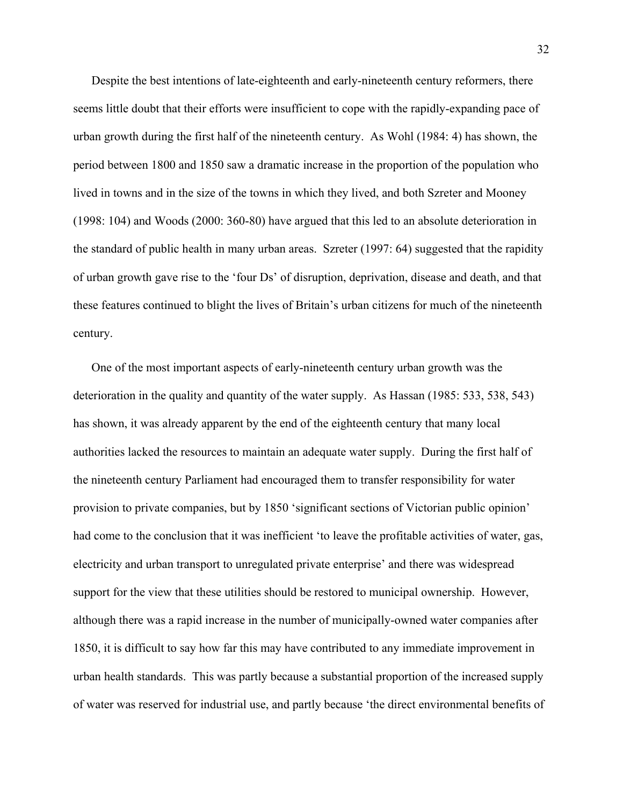Despite the best intentions of late-eighteenth and early-nineteenth century reformers, there seems little doubt that their efforts were insufficient to cope with the rapidly-expanding pace of urban growth during the first half of the nineteenth century. As Wohl (1984: 4) has shown, the period between 1800 and 1850 saw a dramatic increase in the proportion of the population who lived in towns and in the size of the towns in which they lived, and both Szreter and Mooney (1998: 104) and Woods (2000: 360-80) have argued that this led to an absolute deterioration in the standard of public health in many urban areas. Szreter (1997: 64) suggested that the rapidity of urban growth gave rise to the 'four Ds' of disruption, deprivation, disease and death, and that these features continued to blight the lives of Britain's urban citizens for much of the nineteenth century.

One of the most important aspects of early-nineteenth century urban growth was the deterioration in the quality and quantity of the water supply. As Hassan (1985: 533, 538, 543) has shown, it was already apparent by the end of the eighteenth century that many local authorities lacked the resources to maintain an adequate water supply. During the first half of the nineteenth century Parliament had encouraged them to transfer responsibility for water provision to private companies, but by 1850 'significant sections of Victorian public opinion' had come to the conclusion that it was inefficient 'to leave the profitable activities of water, gas, electricity and urban transport to unregulated private enterprise' and there was widespread support for the view that these utilities should be restored to municipal ownership. However, although there was a rapid increase in the number of municipally-owned water companies after 1850, it is difficult to say how far this may have contributed to any immediate improvement in urban health standards. This was partly because a substantial proportion of the increased supply of water was reserved for industrial use, and partly because 'the direct environmental benefits of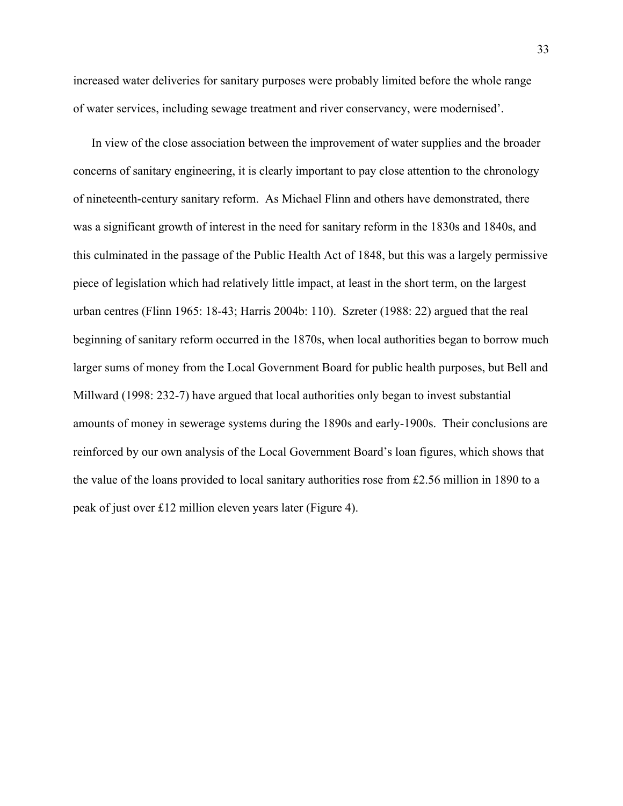increased water deliveries for sanitary purposes were probably limited before the whole range of water services, including sewage treatment and river conservancy, were modernised'.

In view of the close association between the improvement of water supplies and the broader concerns of sanitary engineering, it is clearly important to pay close attention to the chronology of nineteenth-century sanitary reform. As Michael Flinn and others have demonstrated, there was a significant growth of interest in the need for sanitary reform in the 1830s and 1840s, and this culminated in the passage of the Public Health Act of 1848, but this was a largely permissive piece of legislation which had relatively little impact, at least in the short term, on the largest urban centres (Flinn 1965: 18-43; Harris 2004b: 110). Szreter (1988: 22) argued that the real beginning of sanitary reform occurred in the 1870s, when local authorities began to borrow much larger sums of money from the Local Government Board for public health purposes, but Bell and Millward (1998: 232-7) have argued that local authorities only began to invest substantial amounts of money in sewerage systems during the 1890s and early-1900s. Their conclusions are reinforced by our own analysis of the Local Government Board's loan figures, which shows that the value of the loans provided to local sanitary authorities rose from £2.56 million in 1890 to a peak of just over £12 million eleven years later (Figure 4).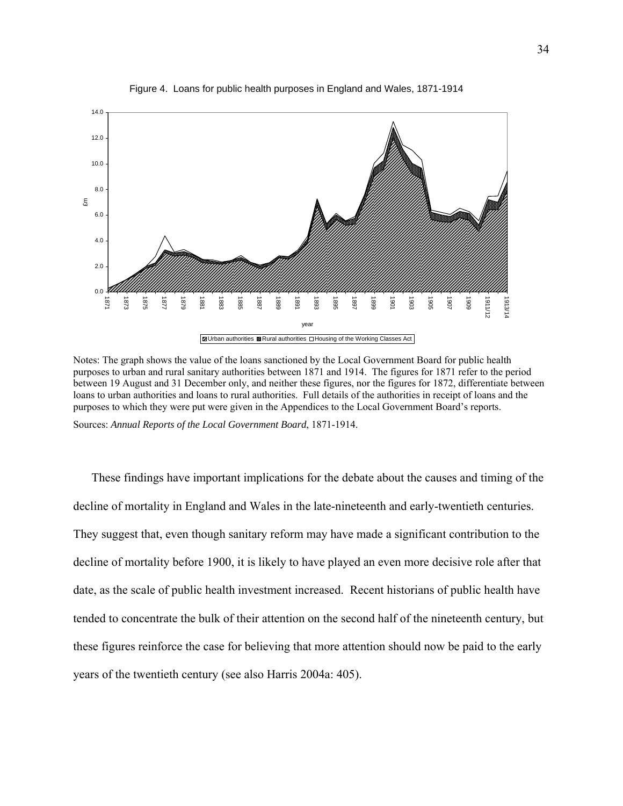

Figure 4. Loans for public health purposes in England and Wales, 1871-1914

Notes: The graph shows the value of the loans sanctioned by the Local Government Board for public health purposes to urban and rural sanitary authorities between 1871 and 1914. The figures for 1871 refer to the period between 19 August and 31 December only, and neither these figures, nor the figures for 1872, differentiate between loans to urban authorities and loans to rural authorities. Full details of the authorities in receipt of loans and the purposes to which they were put were given in the Appendices to the Local Government Board's reports.

Sources: *Annual Reports of the Local Government Board*, 1871-1914.

These findings have important implications for the debate about the causes and timing of the decline of mortality in England and Wales in the late-nineteenth and early-twentieth centuries. They suggest that, even though sanitary reform may have made a significant contribution to the decline of mortality before 1900, it is likely to have played an even more decisive role after that date, as the scale of public health investment increased. Recent historians of public health have tended to concentrate the bulk of their attention on the second half of the nineteenth century, but these figures reinforce the case for believing that more attention should now be paid to the early years of the twentieth century (see also Harris 2004a: 405).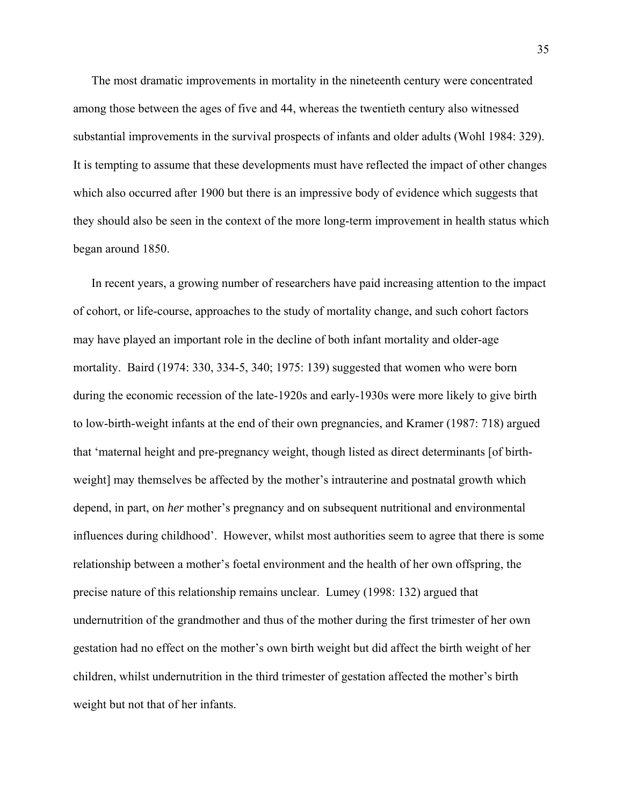The most dramatic improvements in mortality in the nineteenth century were concentrated among those between the ages of five and 44, whereas the twentieth century also witnessed substantial improvements in the survival prospects of infants and older adults (Wohl 1984: 329). It is tempting to assume that these developments must have reflected the impact of other changes which also occurred after 1900 but there is an impressive body of evidence which suggests that they should also be seen in the context of the more long-term improvement in health status which began around 1850.

In recent years, a growing number of researchers have paid increasing attention to the impact of cohort, or life-course, approaches to the study of mortality change, and such cohort factors may have played an important role in the decline of both infant mortality and older-age mortality. Baird (1974: 330, 334-5, 340; 1975: 139) suggested that women who were born during the economic recession of the late-1920s and early-1930s were more likely to give birth to low-birth-weight infants at the end of their own pregnancies, and Kramer (1987: 718) argued that 'maternal height and pre-pregnancy weight, though listed as direct determinants [of birthweight] may themselves be affected by the mother's intrauterine and postnatal growth which depend, in part, on *her* mother's pregnancy and on subsequent nutritional and environmental influences during childhood'. However, whilst most authorities seem to agree that there is some relationship between a mother's foetal environment and the health of her own offspring, the precise nature of this relationship remains unclear. Lumey (1998: 132) argued that undernutrition of the grandmother and thus of the mother during the first trimester of her own gestation had no effect on the mother's own birth weight but did affect the birth weight of her children, whilst undernutrition in the third trimester of gestation affected the mother's birth weight but not that of her infants.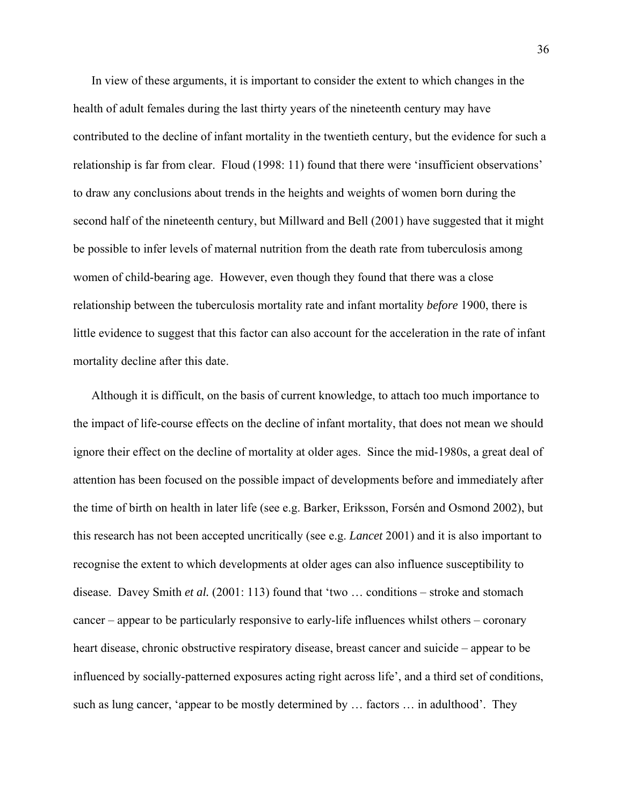In view of these arguments, it is important to consider the extent to which changes in the health of adult females during the last thirty years of the nineteenth century may have contributed to the decline of infant mortality in the twentieth century, but the evidence for such a relationship is far from clear. Floud (1998: 11) found that there were 'insufficient observations' to draw any conclusions about trends in the heights and weights of women born during the second half of the nineteenth century, but Millward and Bell (2001) have suggested that it might be possible to infer levels of maternal nutrition from the death rate from tuberculosis among women of child-bearing age. However, even though they found that there was a close relationship between the tuberculosis mortality rate and infant mortality *before* 1900, there is little evidence to suggest that this factor can also account for the acceleration in the rate of infant mortality decline after this date.

Although it is difficult, on the basis of current knowledge, to attach too much importance to the impact of life-course effects on the decline of infant mortality, that does not mean we should ignore their effect on the decline of mortality at older ages. Since the mid-1980s, a great deal of attention has been focused on the possible impact of developments before and immediately after the time of birth on health in later life (see e.g. Barker, Eriksson, Forsén and Osmond 2002), but this research has not been accepted uncritically (see e.g. *Lancet* 2001) and it is also important to recognise the extent to which developments at older ages can also influence susceptibility to disease. Davey Smith *et al.* (2001: 113) found that 'two … conditions – stroke and stomach cancer – appear to be particularly responsive to early-life influences whilst others – coronary heart disease, chronic obstructive respiratory disease, breast cancer and suicide – appear to be influenced by socially-patterned exposures acting right across life', and a third set of conditions, such as lung cancer, 'appear to be mostly determined by … factors … in adulthood'. They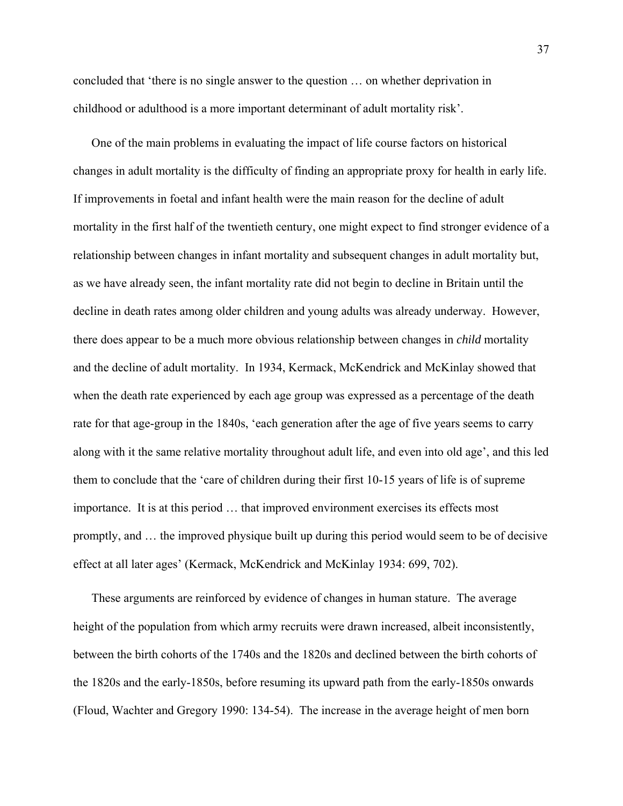concluded that 'there is no single answer to the question … on whether deprivation in childhood or adulthood is a more important determinant of adult mortality risk'.

One of the main problems in evaluating the impact of life course factors on historical changes in adult mortality is the difficulty of finding an appropriate proxy for health in early life. If improvements in foetal and infant health were the main reason for the decline of adult mortality in the first half of the twentieth century, one might expect to find stronger evidence of a relationship between changes in infant mortality and subsequent changes in adult mortality but, as we have already seen, the infant mortality rate did not begin to decline in Britain until the decline in death rates among older children and young adults was already underway. However, there does appear to be a much more obvious relationship between changes in *child* mortality and the decline of adult mortality. In 1934, Kermack, McKendrick and McKinlay showed that when the death rate experienced by each age group was expressed as a percentage of the death rate for that age-group in the 1840s, 'each generation after the age of five years seems to carry along with it the same relative mortality throughout adult life, and even into old age', and this led them to conclude that the 'care of children during their first 10-15 years of life is of supreme importance. It is at this period … that improved environment exercises its effects most promptly, and … the improved physique built up during this period would seem to be of decisive effect at all later ages' (Kermack, McKendrick and McKinlay 1934: 699, 702).

These arguments are reinforced by evidence of changes in human stature. The average height of the population from which army recruits were drawn increased, albeit inconsistently, between the birth cohorts of the 1740s and the 1820s and declined between the birth cohorts of the 1820s and the early-1850s, before resuming its upward path from the early-1850s onwards (Floud, Wachter and Gregory 1990: 134-54). The increase in the average height of men born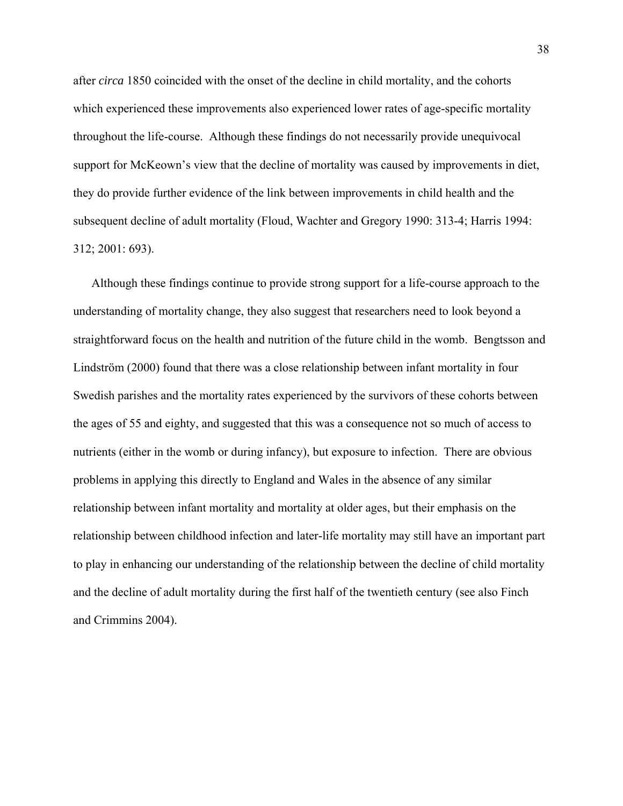after *circa* 1850 coincided with the onset of the decline in child mortality, and the cohorts which experienced these improvements also experienced lower rates of age-specific mortality throughout the life-course. Although these findings do not necessarily provide unequivocal support for McKeown's view that the decline of mortality was caused by improvements in diet, they do provide further evidence of the link between improvements in child health and the subsequent decline of adult mortality (Floud, Wachter and Gregory 1990: 313-4; Harris 1994: 312; 2001: 693).

Although these findings continue to provide strong support for a life-course approach to the understanding of mortality change, they also suggest that researchers need to look beyond a straightforward focus on the health and nutrition of the future child in the womb. Bengtsson and Lindström (2000) found that there was a close relationship between infant mortality in four Swedish parishes and the mortality rates experienced by the survivors of these cohorts between the ages of 55 and eighty, and suggested that this was a consequence not so much of access to nutrients (either in the womb or during infancy), but exposure to infection. There are obvious problems in applying this directly to England and Wales in the absence of any similar relationship between infant mortality and mortality at older ages, but their emphasis on the relationship between childhood infection and later-life mortality may still have an important part to play in enhancing our understanding of the relationship between the decline of child mortality and the decline of adult mortality during the first half of the twentieth century (see also Finch and Crimmins 2004).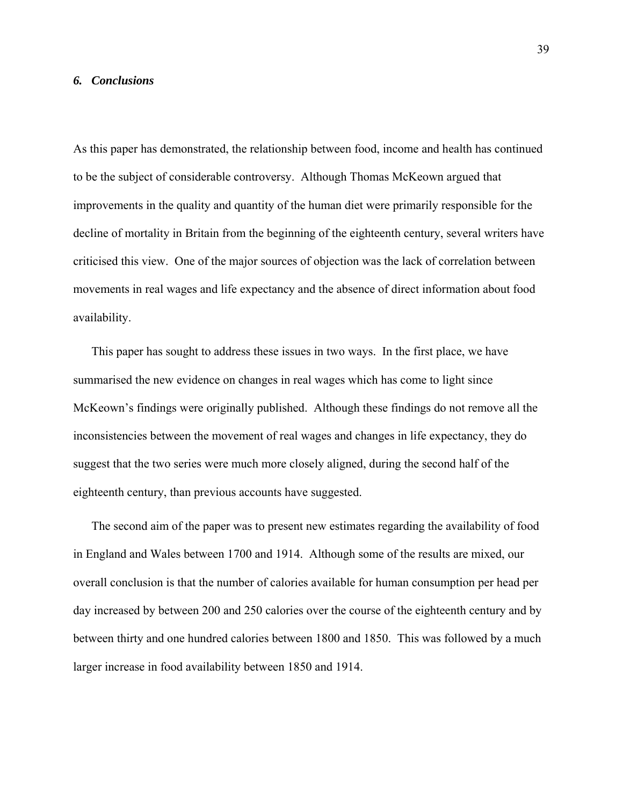### *6. Conclusions*

As this paper has demonstrated, the relationship between food, income and health has continued to be the subject of considerable controversy. Although Thomas McKeown argued that improvements in the quality and quantity of the human diet were primarily responsible for the decline of mortality in Britain from the beginning of the eighteenth century, several writers have criticised this view. One of the major sources of objection was the lack of correlation between movements in real wages and life expectancy and the absence of direct information about food availability.

This paper has sought to address these issues in two ways. In the first place, we have summarised the new evidence on changes in real wages which has come to light since McKeown's findings were originally published. Although these findings do not remove all the inconsistencies between the movement of real wages and changes in life expectancy, they do suggest that the two series were much more closely aligned, during the second half of the eighteenth century, than previous accounts have suggested.

The second aim of the paper was to present new estimates regarding the availability of food in England and Wales between 1700 and 1914. Although some of the results are mixed, our overall conclusion is that the number of calories available for human consumption per head per day increased by between 200 and 250 calories over the course of the eighteenth century and by between thirty and one hundred calories between 1800 and 1850. This was followed by a much larger increase in food availability between 1850 and 1914.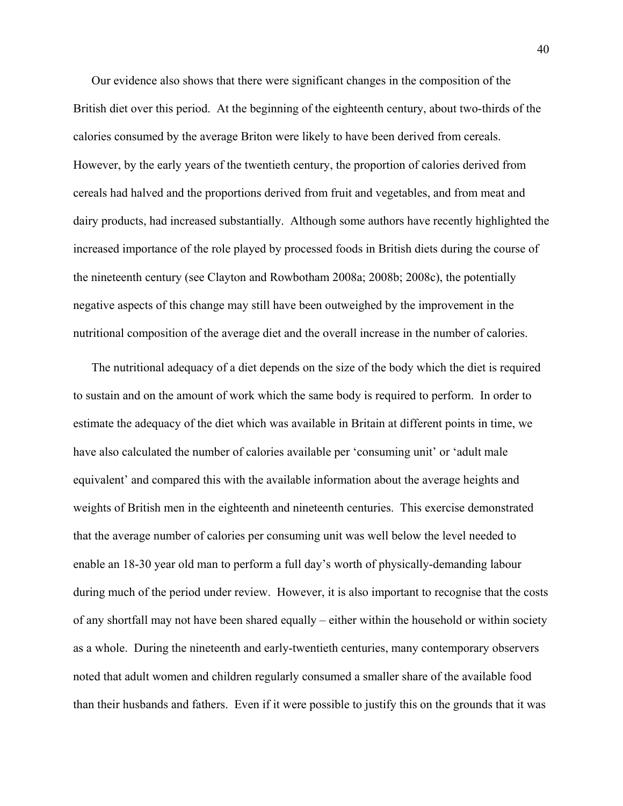Our evidence also shows that there were significant changes in the composition of the British diet over this period. At the beginning of the eighteenth century, about two-thirds of the calories consumed by the average Briton were likely to have been derived from cereals. However, by the early years of the twentieth century, the proportion of calories derived from cereals had halved and the proportions derived from fruit and vegetables, and from meat and dairy products, had increased substantially. Although some authors have recently highlighted the increased importance of the role played by processed foods in British diets during the course of the nineteenth century (see Clayton and Rowbotham 2008a; 2008b; 2008c), the potentially negative aspects of this change may still have been outweighed by the improvement in the nutritional composition of the average diet and the overall increase in the number of calories.

The nutritional adequacy of a diet depends on the size of the body which the diet is required to sustain and on the amount of work which the same body is required to perform. In order to estimate the adequacy of the diet which was available in Britain at different points in time, we have also calculated the number of calories available per 'consuming unit' or 'adult male equivalent' and compared this with the available information about the average heights and weights of British men in the eighteenth and nineteenth centuries. This exercise demonstrated that the average number of calories per consuming unit was well below the level needed to enable an 18-30 year old man to perform a full day's worth of physically-demanding labour during much of the period under review. However, it is also important to recognise that the costs of any shortfall may not have been shared equally – either within the household or within society as a whole. During the nineteenth and early-twentieth centuries, many contemporary observers noted that adult women and children regularly consumed a smaller share of the available food than their husbands and fathers. Even if it were possible to justify this on the grounds that it was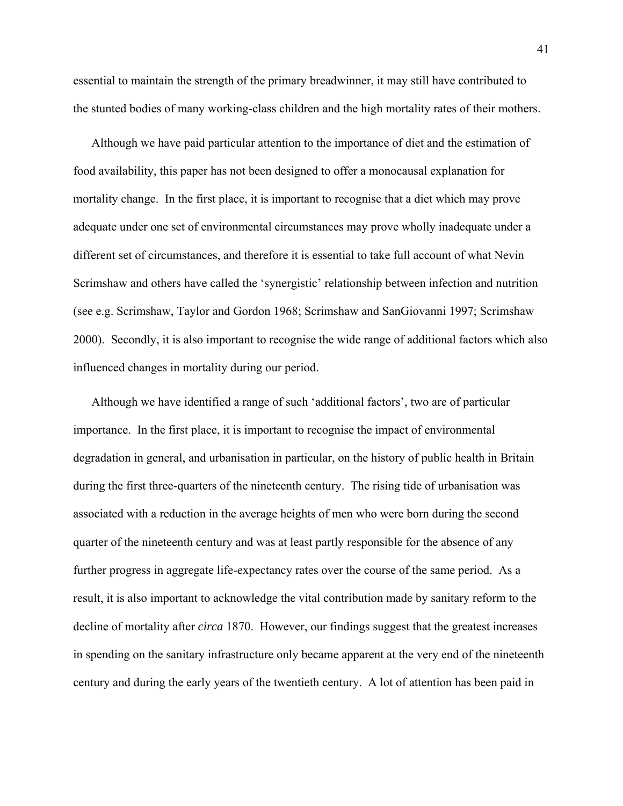essential to maintain the strength of the primary breadwinner, it may still have contributed to the stunted bodies of many working-class children and the high mortality rates of their mothers.

Although we have paid particular attention to the importance of diet and the estimation of food availability, this paper has not been designed to offer a monocausal explanation for mortality change. In the first place, it is important to recognise that a diet which may prove adequate under one set of environmental circumstances may prove wholly inadequate under a different set of circumstances, and therefore it is essential to take full account of what Nevin Scrimshaw and others have called the 'synergistic' relationship between infection and nutrition (see e.g. Scrimshaw, Taylor and Gordon 1968; Scrimshaw and SanGiovanni 1997; Scrimshaw 2000). Secondly, it is also important to recognise the wide range of additional factors which also influenced changes in mortality during our period.

Although we have identified a range of such 'additional factors', two are of particular importance. In the first place, it is important to recognise the impact of environmental degradation in general, and urbanisation in particular, on the history of public health in Britain during the first three-quarters of the nineteenth century. The rising tide of urbanisation was associated with a reduction in the average heights of men who were born during the second quarter of the nineteenth century and was at least partly responsible for the absence of any further progress in aggregate life-expectancy rates over the course of the same period. As a result, it is also important to acknowledge the vital contribution made by sanitary reform to the decline of mortality after *circa* 1870. However, our findings suggest that the greatest increases in spending on the sanitary infrastructure only became apparent at the very end of the nineteenth century and during the early years of the twentieth century. A lot of attention has been paid in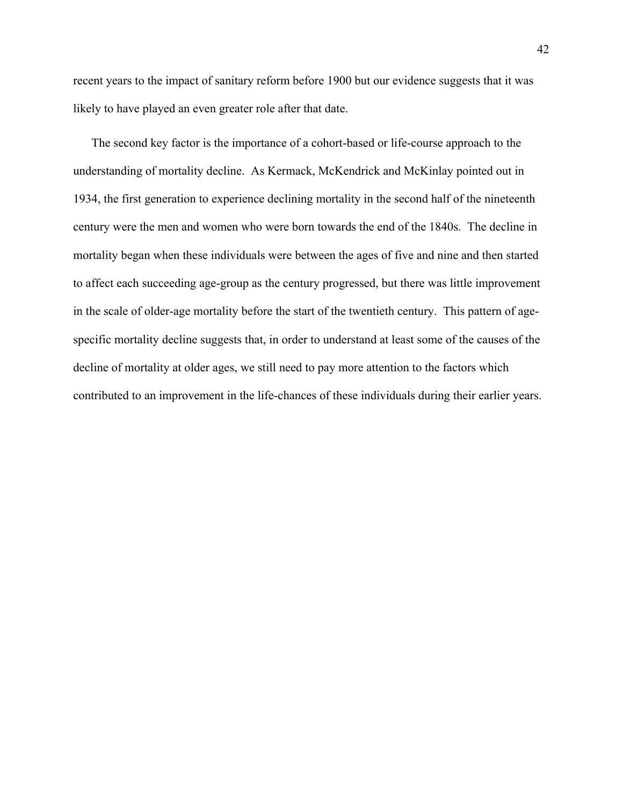recent years to the impact of sanitary reform before 1900 but our evidence suggests that it was likely to have played an even greater role after that date.

The second key factor is the importance of a cohort-based or life-course approach to the understanding of mortality decline. As Kermack, McKendrick and McKinlay pointed out in 1934, the first generation to experience declining mortality in the second half of the nineteenth century were the men and women who were born towards the end of the 1840s. The decline in mortality began when these individuals were between the ages of five and nine and then started to affect each succeeding age-group as the century progressed, but there was little improvement in the scale of older-age mortality before the start of the twentieth century. This pattern of agespecific mortality decline suggests that, in order to understand at least some of the causes of the decline of mortality at older ages, we still need to pay more attention to the factors which contributed to an improvement in the life-chances of these individuals during their earlier years.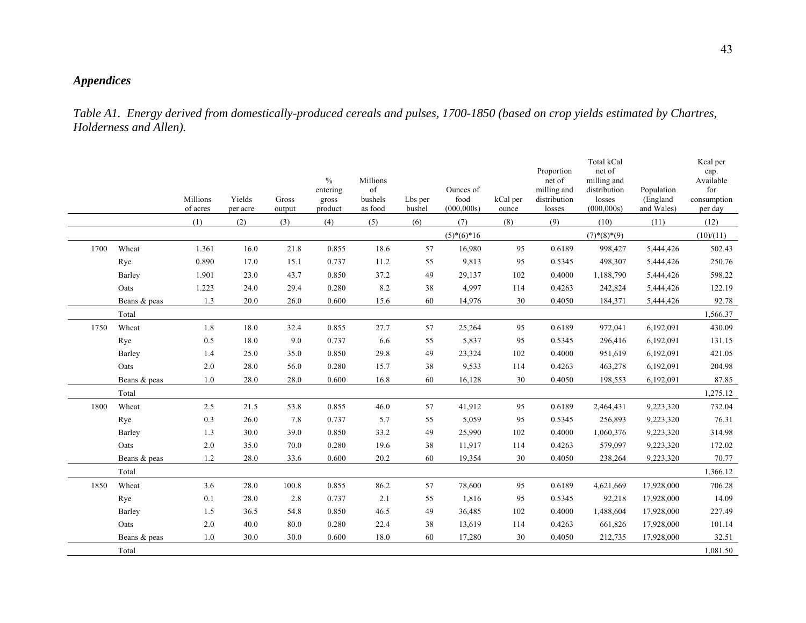# *Appendices*

*Table A1. Energy derived from domestically-produced cereals and pulses, 1700-1850 (based on crop yields estimated by Chartres, Holderness and Allen).*

|      |              | Millions<br>of acres | Yields<br>per acre | Gross<br>output | $\frac{0}{0}$<br>entering<br>gross<br>product | Millions<br>of<br>bushels<br>as food | Lbs per<br>bushel | Ounces of<br>food<br>(000, 000s) | kCal per<br>ounce | Proportion<br>net of<br>milling and<br>distribution<br>losses | Total kCal<br>net of<br>milling and<br>distribution<br>losses<br>(000, 000s) | Population<br>(England<br>and Wales) | Keal per<br>cap.<br>Available<br>for<br>consumption<br>per day |
|------|--------------|----------------------|--------------------|-----------------|-----------------------------------------------|--------------------------------------|-------------------|----------------------------------|-------------------|---------------------------------------------------------------|------------------------------------------------------------------------------|--------------------------------------|----------------------------------------------------------------|
|      |              | (1)                  | (2)                | (3)             | (4)                                           | (5)                                  | (6)               | (7)                              | (8)               | (9)                                                           | (10)                                                                         | (11)                                 | (12)                                                           |
|      |              |                      |                    |                 |                                               |                                      |                   | $(5)*(6)*16$                     |                   |                                                               | $(7)^*(8)^*(9)$                                                              |                                      | (10)/(11)                                                      |
| 1700 | Wheat        | 1.361                | 16.0               | 21.8            | 0.855                                         | 18.6                                 | 57                | 16,980                           | 95                | 0.6189                                                        | 998,427                                                                      | 5,444,426                            | 502.43                                                         |
|      | Rye          | 0.890                | 17.0               | 15.1            | 0.737                                         | 11.2                                 | 55                | 9,813                            | 95                | 0.5345                                                        | 498,307                                                                      | 5,444,426                            | 250.76                                                         |
|      | Barley       | 1.901                | 23.0               | 43.7            | 0.850                                         | 37.2                                 | 49                | 29,137                           | 102               | 0.4000                                                        | 1,188,790                                                                    | 5,444,426                            | 598.22                                                         |
|      | Oats         | 1.223                | 24.0               | 29.4            | 0.280                                         | 8.2                                  | 38                | 4,997                            | 114               | 0.4263                                                        | 242,824                                                                      | 5,444,426                            | 122.19                                                         |
|      | Beans & peas | 1.3                  | 20.0               | 26.0            | 0.600                                         | 15.6                                 | 60                | 14,976                           | 30                | 0.4050                                                        | 184,371                                                                      | 5,444,426                            | 92.78                                                          |
|      | Total        |                      |                    |                 |                                               |                                      |                   |                                  |                   |                                                               |                                                                              |                                      | 1,566.37                                                       |
| 1750 | Wheat        | 1.8                  | 18.0               | 32.4            | 0.855                                         | 27.7                                 | 57                | 25,264                           | 95                | 0.6189                                                        | 972,041                                                                      | 6,192,091                            | 430.09                                                         |
|      | Rye          | 0.5                  | 18.0               | 9.0             | 0.737                                         | 6.6                                  | 55                | 5,837                            | 95                | 0.5345                                                        | 296,416                                                                      | 6,192,091                            | 131.15                                                         |
|      | Barley       | 1.4                  | 25.0               | 35.0            | 0.850                                         | 29.8                                 | 49                | 23,324                           | 102               | 0.4000                                                        | 951,619                                                                      | 6,192,091                            | 421.05                                                         |
|      | Oats         | 2.0                  | 28.0               | 56.0            | 0.280                                         | 15.7                                 | 38                | 9,533                            | 114               | 0.4263                                                        | 463,278                                                                      | 6,192,091                            | 204.98                                                         |
|      | Beans & peas | 1.0                  | 28.0               | 28.0            | 0.600                                         | 16.8                                 | 60                | 16,128                           | 30                | 0.4050                                                        | 198,553                                                                      | 6,192,091                            | 87.85                                                          |
|      | Total        |                      |                    |                 |                                               |                                      |                   |                                  |                   |                                                               |                                                                              |                                      | 1,275.12                                                       |
| 1800 | Wheat        | 2.5                  | 21.5               | 53.8            | 0.855                                         | 46.0                                 | 57                | 41,912                           | 95                | 0.6189                                                        | 2,464,431                                                                    | 9,223,320                            | 732.04                                                         |
|      | Rye          | 0.3                  | 26.0               | 7.8             | 0.737                                         | 5.7                                  | 55                | 5,059                            | 95                | 0.5345                                                        | 256,893                                                                      | 9,223,320                            | 76.31                                                          |
|      | Barley       | 1.3                  | 30.0               | 39.0            | 0.850                                         | 33.2                                 | 49                | 25,990                           | 102               | 0.4000                                                        | 1,060,376                                                                    | 9,223,320                            | 314.98                                                         |
|      | Oats         | $2.0\,$              | 35.0               | 70.0            | 0.280                                         | 19.6                                 | 38                | 11,917                           | 114               | 0.4263                                                        | 579,097                                                                      | 9,223,320                            | 172.02                                                         |
|      | Beans & peas | 1.2                  | 28.0               | 33.6            | 0.600                                         | 20.2                                 | 60                | 19,354                           | 30                | 0.4050                                                        | 238,264                                                                      | 9,223,320                            | 70.77                                                          |
|      | Total        |                      |                    |                 |                                               |                                      |                   |                                  |                   |                                                               |                                                                              |                                      | 1,366.12                                                       |
| 1850 | Wheat        | 3.6                  | 28.0               | 100.8           | 0.855                                         | 86.2                                 | 57                | 78,600                           | 95                | 0.6189                                                        | 4,621,669                                                                    | 17,928,000                           | 706.28                                                         |
|      | Rye          | 0.1                  | 28.0               | 2.8             | 0.737                                         | 2.1                                  | 55                | 1,816                            | 95                | 0.5345                                                        | 92,218                                                                       | 17,928,000                           | 14.09                                                          |
|      | Barley       | 1.5                  | 36.5               | 54.8            | 0.850                                         | 46.5                                 | 49                | 36,485                           | 102               | 0.4000                                                        | 1,488,604                                                                    | 17,928,000                           | 227.49                                                         |
|      | Oats         | $2.0\,$              | 40.0               | 80.0            | 0.280                                         | 22.4                                 | 38                | 13,619                           | 114               | 0.4263                                                        | 661,826                                                                      | 17,928,000                           | 101.14                                                         |
|      | Beans & peas | 1.0                  | 30.0               | 30.0            | 0.600                                         | 18.0                                 | 60                | 17,280                           | 30                | 0.4050                                                        | 212,735                                                                      | 17,928,000                           | 32.51                                                          |
|      | Total        |                      |                    |                 |                                               |                                      |                   |                                  |                   |                                                               |                                                                              |                                      | 1,081.50                                                       |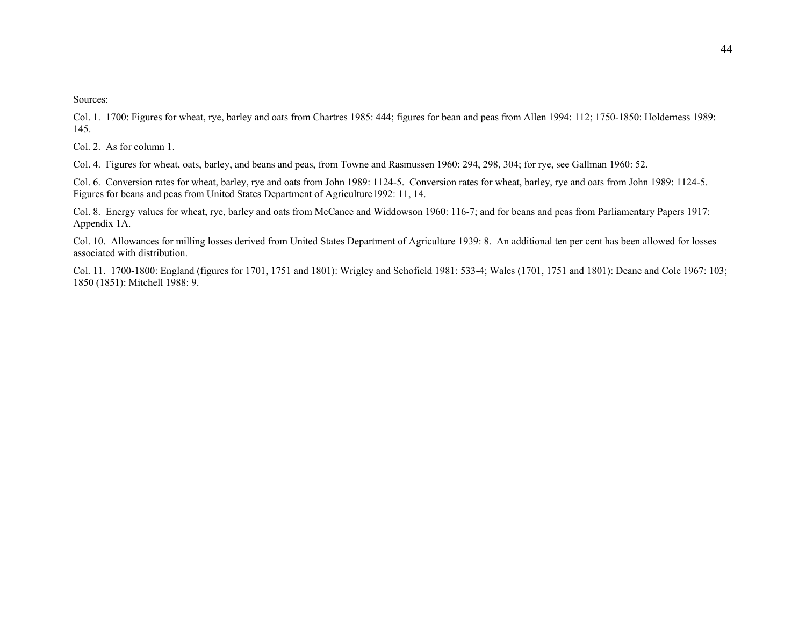Col. 1. 1700: Figures for wheat, rye, barley and oats from Chartres 1985: 444; figures for bean and peas from Allen 1994: 112; 1750-1850: Holderness 1989: 145.

Col. 2. As for column 1.

Col. 4. Figures for wheat, oats, barley, and beans and peas, from Towne and Rasmussen 1960: 294, 298, 304; for rye, see Gallman 1960: 52.

Col. 6. Conversion rates for wheat, barley, rye and oats from John 1989: 1124-5. Conversion rates for wheat, barley, rye and oats from John 1989: 1124-5. Figures for beans and peas from United States Department of Agriculture1992: 11, 14.

Col. 8. Energy values for wheat, rye, barley and oats from McCance and Widdowson 1960: 116-7; and for beans and peas from Parliamentary Papers 1917: Appendix 1A.

Col. 10. Allowances for milling losses derived from United States Department of Agriculture 1939: 8. An additional ten per cent has been allowed for losses associated with distribution.

Col. 11. 1700-1800: England (figures for 1701, 1751 and 1801): Wrigley and Schofield 1981: 533-4; Wales (1701, 1751 and 1801): Deane and Cole 1967: 103; 1850 (1851): Mitchell 1988: 9.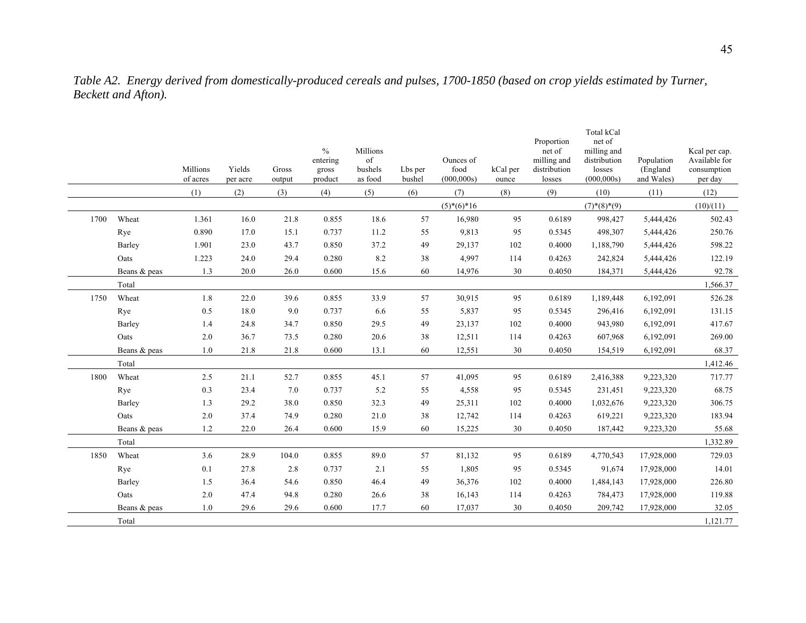|      |              | Millions<br>of acres | Yields<br>per acre | Gross<br>output | $\frac{0}{0}$<br>entering<br>gross<br>product | Millions<br>$% \left( \left( \mathcal{A},\mathcal{A}\right) \right) =\left( \mathcal{A},\mathcal{A}\right)$ of<br>bushels<br>as food | Lbs per<br>bushel | Ounces of<br>food<br>(000, 000s) | kCal per<br>ounce | Proportion<br>net of<br>milling and<br>distribution<br>losses | Total kCal<br>net of<br>milling and<br>distribution<br>losses<br>(000, 000s) | Population<br>(England<br>and Wales) | Kcal per cap.<br>Available for<br>consumption<br>per day |
|------|--------------|----------------------|--------------------|-----------------|-----------------------------------------------|--------------------------------------------------------------------------------------------------------------------------------------|-------------------|----------------------------------|-------------------|---------------------------------------------------------------|------------------------------------------------------------------------------|--------------------------------------|----------------------------------------------------------|
|      |              | (1)                  | (2)                | (3)             | (4)                                           | (5)                                                                                                                                  | (6)               | (7)                              | (8)               | (9)                                                           | (10)                                                                         | (11)                                 | (12)                                                     |
|      |              |                      |                    |                 |                                               |                                                                                                                                      |                   | $(5)*(6)*16$                     |                   |                                                               | $(7)^*(8)^*(9)$                                                              |                                      | (10)/(11)                                                |
| 1700 | Wheat        | 1.361                | 16.0               | 21.8            | 0.855                                         | 18.6                                                                                                                                 | 57                | 16,980                           | 95                | 0.6189                                                        | 998,427                                                                      | 5,444,426                            | 502.43                                                   |
|      | Rye          | 0.890                | 17.0               | 15.1            | 0.737                                         | 11.2                                                                                                                                 | 55                | 9,813                            | 95                | 0.5345                                                        | 498,307                                                                      | 5,444,426                            | 250.76                                                   |
|      | Barley       | 1.901                | 23.0               | 43.7            | 0.850                                         | 37.2                                                                                                                                 | 49                | 29,137                           | 102               | 0.4000                                                        | 1,188,790                                                                    | 5,444,426                            | 598.22                                                   |
|      | Oats         | 1.223                | 24.0               | 29.4            | 0.280                                         | 8.2                                                                                                                                  | 38                | 4,997                            | 114               | 0.4263                                                        | 242,824                                                                      | 5,444,426                            | 122.19                                                   |
|      | Beans & peas | 1.3                  | 20.0               | 26.0            | 0.600                                         | 15.6                                                                                                                                 | 60                | 14,976                           | $30\,$            | 0.4050                                                        | 184,371                                                                      | 5,444,426                            | 92.78                                                    |
|      | Total        |                      |                    |                 |                                               |                                                                                                                                      |                   |                                  |                   |                                                               |                                                                              |                                      | 1,566.37                                                 |
| 1750 | Wheat        | $1.8\,$              | 22.0               | 39.6            | 0.855                                         | 33.9                                                                                                                                 | 57                | 30,915                           | 95                | 0.6189                                                        | 1,189,448                                                                    | 6,192,091                            | 526.28                                                   |
|      | Rye          | 0.5                  | 18.0               | 9.0             | 0.737                                         | 6.6                                                                                                                                  | 55                | 5,837                            | 95                | 0.5345                                                        | 296,416                                                                      | 6,192,091                            | 131.15                                                   |
|      | Barley       | 1.4                  | 24.8               | 34.7            | 0.850                                         | 29.5                                                                                                                                 | 49                | 23,137                           | 102               | 0.4000                                                        | 943,980                                                                      | 6,192,091                            | 417.67                                                   |
|      | Oats         | 2.0                  | 36.7               | 73.5            | 0.280                                         | 20.6                                                                                                                                 | 38                | 12,511                           | 114               | 0.4263                                                        | 607,968                                                                      | 6,192,091                            | 269.00                                                   |
|      | Beans & peas | 1.0                  | 21.8               | 21.8            | 0.600                                         | 13.1                                                                                                                                 | 60                | 12,551                           | 30                | 0.4050                                                        | 154,519                                                                      | 6,192,091                            | 68.37                                                    |
|      | Total        |                      |                    |                 |                                               |                                                                                                                                      |                   |                                  |                   |                                                               |                                                                              |                                      | 1,412.46                                                 |
| 1800 | Wheat        | 2.5                  | 21.1               | 52.7            | 0.855                                         | 45.1                                                                                                                                 | 57                | 41,095                           | 95                | 0.6189                                                        | 2,416,388                                                                    | 9,223,320                            | 717.77                                                   |
|      | Rye          | 0.3                  | 23.4               | 7.0             | 0.737                                         | 5.2                                                                                                                                  | 55                | 4,558                            | 95                | 0.5345                                                        | 231,451                                                                      | 9,223,320                            | 68.75                                                    |
|      | Barley       | 1.3                  | 29.2               | 38.0            | 0.850                                         | 32.3                                                                                                                                 | 49                | 25,311                           | 102               | 0.4000                                                        | 1,032,676                                                                    | 9,223,320                            | 306.75                                                   |
|      | Oats         | 2.0                  | 37.4               | 74.9            | 0.280                                         | 21.0                                                                                                                                 | 38                | 12,742                           | 114               | 0.4263                                                        | 619,221                                                                      | 9,223,320                            | 183.94                                                   |
|      | Beans & peas | 1.2                  | 22.0               | 26.4            | 0.600                                         | 15.9                                                                                                                                 | 60                | 15,225                           | 30                | 0.4050                                                        | 187,442                                                                      | 9,223,320                            | 55.68                                                    |
|      | Total        |                      |                    |                 |                                               |                                                                                                                                      |                   |                                  |                   |                                                               |                                                                              |                                      | 1,332.89                                                 |
| 1850 | Wheat        | 3.6                  | 28.9               | 104.0           | 0.855                                         | 89.0                                                                                                                                 | 57                | 81,132                           | 95                | 0.6189                                                        | 4,770,543                                                                    | 17,928,000                           | 729.03                                                   |
|      | Rye          | 0.1                  | 27.8               | 2.8             | 0.737                                         | 2.1                                                                                                                                  | 55                | 1,805                            | 95                | 0.5345                                                        | 91,674                                                                       | 17,928,000                           | 14.01                                                    |
|      | Barley       | 1.5                  | 36.4               | 54.6            | 0.850                                         | 46.4                                                                                                                                 | 49                | 36,376                           | 102               | 0.4000                                                        | 1,484,143                                                                    | 17,928,000                           | 226.80                                                   |
|      | Oats         | $2.0\,$              | 47.4               | 94.8            | 0.280                                         | 26.6                                                                                                                                 | 38                | 16,143                           | 114               | 0.4263                                                        | 784,473                                                                      | 17,928,000                           | 119.88                                                   |
|      | Beans & peas | 1.0                  | 29.6               | 29.6            | 0.600                                         | 17.7                                                                                                                                 | 60                | 17,037                           | 30                | 0.4050                                                        | 209,742                                                                      | 17,928,000                           | 32.05                                                    |
|      | Total        |                      |                    |                 |                                               |                                                                                                                                      |                   |                                  |                   |                                                               |                                                                              |                                      | 1,121.77                                                 |

*Table A2. Energy derived from domestically-produced cereals and pulses, 1700-1850 (based on crop yields estimated by Turner, Beckett and Afton).*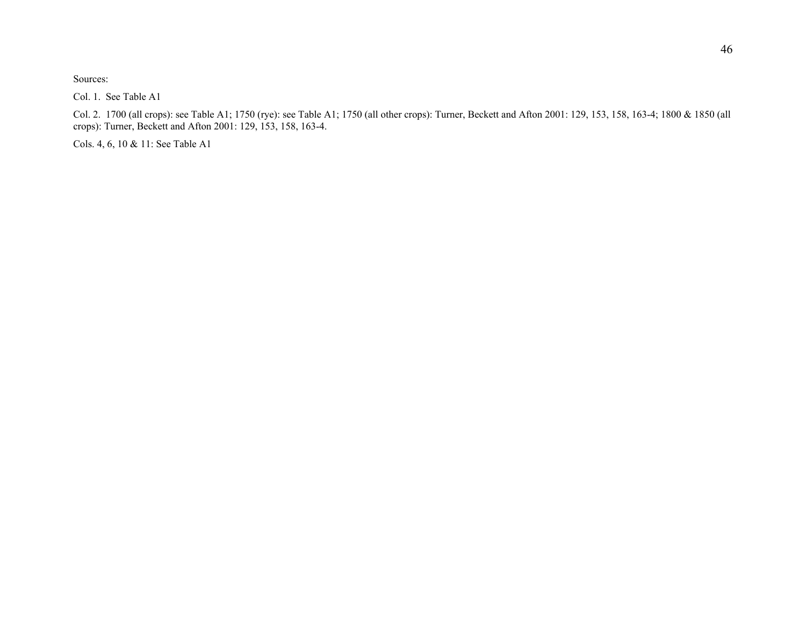Col. 1. See Table A1

Col. 2. 1700 (all crops): see Table A1; 1750 (rye): see Table A1; 1750 (all other crops): Turner, Beckett and Afton 2001: 129, 153, 158, 163-4; 1800 & 1850 (all crops): Turner, Beckett and Afton 2001: 129, 153, 158, 163-4.

Cols. 4, 6, 10 & 11: See Table A1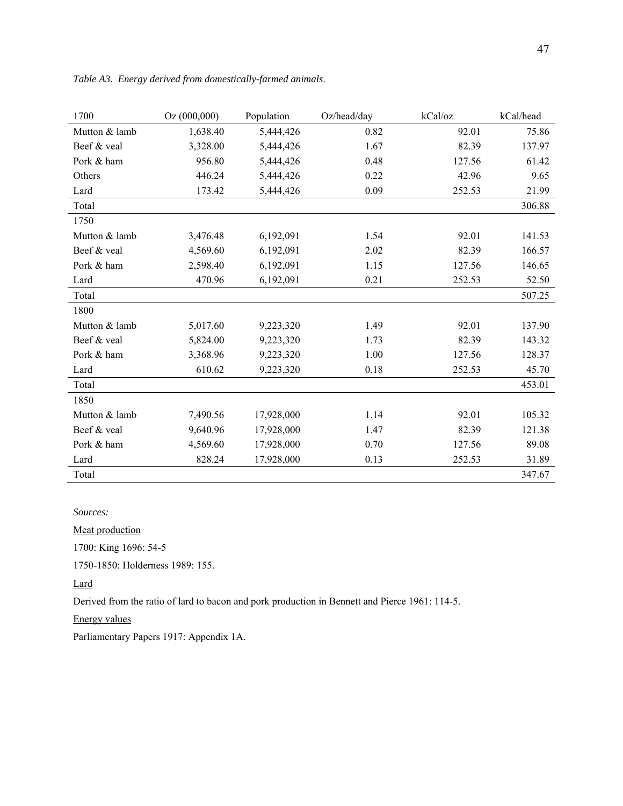| 1700          | Oz(000,000) | Population | Oz/head/day | kCal/oz | kCal/head |
|---------------|-------------|------------|-------------|---------|-----------|
| Mutton & lamb | 1,638.40    | 5,444,426  | 0.82        | 92.01   | 75.86     |
| Beef & veal   | 3,328.00    | 5,444,426  | 1.67        | 82.39   | 137.97    |
| Pork & ham    | 956.80      | 5,444,426  | 0.48        | 127.56  | 61.42     |
| Others        | 446.24      | 5,444,426  | 0.22        | 42.96   | 9.65      |
| Lard          | 173.42      | 5,444,426  | 0.09        | 252.53  | 21.99     |
| Total         |             |            |             |         | 306.88    |
| 1750          |             |            |             |         |           |
| Mutton & lamb | 3,476.48    | 6,192,091  | 1.54        | 92.01   | 141.53    |
| Beef & veal   | 4,569.60    | 6,192,091  | 2.02        | 82.39   | 166.57    |
| Pork & ham    | 2,598.40    | 6,192,091  | 1.15        | 127.56  | 146.65    |
| Lard          | 470.96      | 6,192,091  | 0.21        | 252.53  | 52.50     |
| Total         |             |            |             |         | 507.25    |
| 1800          |             |            |             |         |           |
| Mutton & lamb | 5,017.60    | 9,223,320  | 1.49        | 92.01   | 137.90    |
| Beef & veal   | 5,824.00    | 9,223,320  | 1.73        | 82.39   | 143.32    |
| Pork & ham    | 3,368.96    | 9,223,320  | 1.00        | 127.56  | 128.37    |
| Lard          | 610.62      | 9,223,320  | 0.18        | 252.53  | 45.70     |
| Total         |             |            |             |         | 453.01    |
| 1850          |             |            |             |         |           |
| Mutton & lamb | 7,490.56    | 17,928,000 | 1.14        | 92.01   | 105.32    |
| Beef & veal   | 9,640.96    | 17,928,000 | 1.47        | 82.39   | 121.38    |
| Pork & ham    | 4,569.60    | 17,928,000 | 0.70        | 127.56  | 89.08     |
| Lard          | 828.24      | 17,928,000 | 0.13        | 252.53  | 31.89     |
| Total         |             |            |             |         | 347.67    |

*Table A3. Energy derived from domestically-farmed animals*.

Meat production

1700: King 1696: 54-5

1750-1850: Holderness 1989: 155.

Lard

Derived from the ratio of lard to bacon and pork production in Bennett and Pierce 1961: 114-5.

Energy values

Parliamentary Papers 1917: Appendix 1A.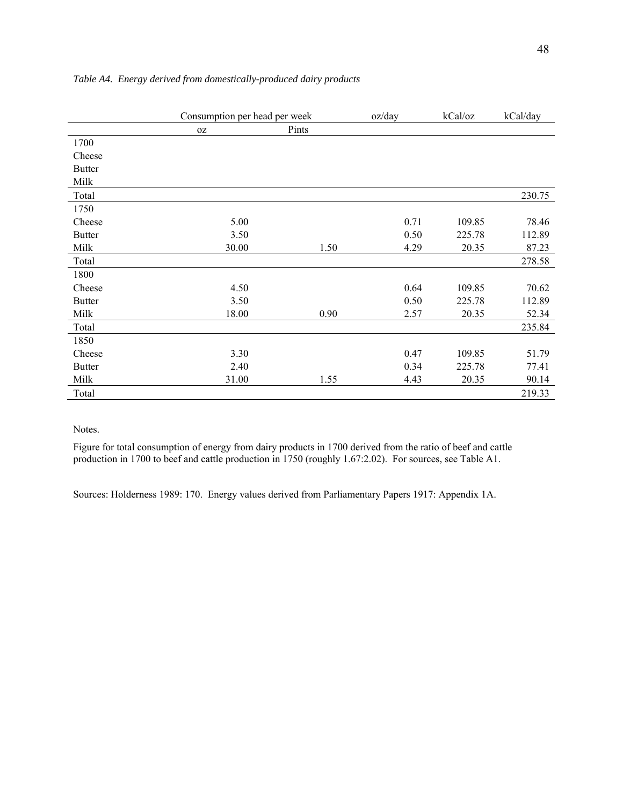|               | Consumption per head per week |       | oz/day | kCal/oz | kCal/day |
|---------------|-------------------------------|-------|--------|---------|----------|
|               | 0Z                            | Pints |        |         |          |
| 1700          |                               |       |        |         |          |
| Cheese        |                               |       |        |         |          |
| <b>Butter</b> |                               |       |        |         |          |
| Milk          |                               |       |        |         |          |
| Total         |                               |       |        |         | 230.75   |
| 1750          |                               |       |        |         |          |
| Cheese        | 5.00                          |       | 0.71   | 109.85  | 78.46    |
| <b>Butter</b> | 3.50                          |       | 0.50   | 225.78  | 112.89   |
| Milk          | 30.00                         | 1.50  | 4.29   | 20.35   | 87.23    |
| Total         |                               |       |        |         | 278.58   |
| 1800          |                               |       |        |         |          |
| Cheese        | 4.50                          |       | 0.64   | 109.85  | 70.62    |
| <b>Butter</b> | 3.50                          |       | 0.50   | 225.78  | 112.89   |
| Milk          | 18.00                         | 0.90  | 2.57   | 20.35   | 52.34    |
| Total         |                               |       |        |         | 235.84   |
| 1850          |                               |       |        |         |          |
| Cheese        | 3.30                          |       | 0.47   | 109.85  | 51.79    |
| <b>Butter</b> | 2.40                          |       | 0.34   | 225.78  | 77.41    |
| Milk          | 31.00                         | 1.55  | 4.43   | 20.35   | 90.14    |
| Total         |                               |       |        |         | 219.33   |

### *Table A4. Energy derived from domestically-produced dairy products*

Notes.

Figure for total consumption of energy from dairy products in 1700 derived from the ratio of beef and cattle production in 1700 to beef and cattle production in 1750 (roughly 1.67:2.02). For sources, see Table A1.

Sources: Holderness 1989: 170. Energy values derived from Parliamentary Papers 1917: Appendix 1A.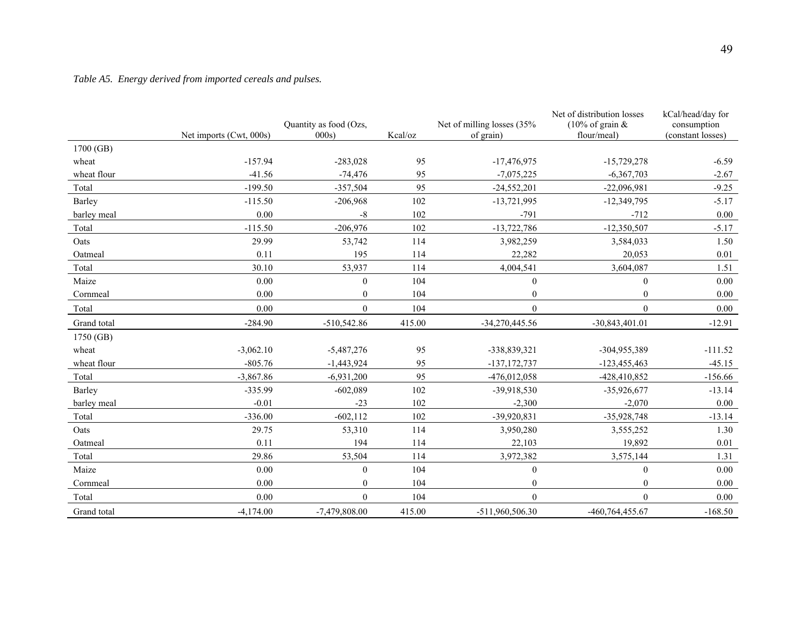## *Table A5. Energy derived from imported cereals and pulses.*

|             |                         | Quantity as food (Ozs, |         | Net of milling losses (35% | Net of distribution losses<br>(10% of grain $&$ | kCal/head/day for<br>consumption |
|-------------|-------------------------|------------------------|---------|----------------------------|-------------------------------------------------|----------------------------------|
|             | Net imports (Cwt, 000s) | 000s                   | Kcal/oz | of grain)                  | flour/meal)                                     | (constant losses)                |
| 1700 (GB)   |                         |                        |         |                            |                                                 |                                  |
| wheat       | $-157.94$               | $-283,028$             | 95      | $-17,476,975$              | $-15,729,278$                                   | $-6.59$                          |
| wheat flour | $-41.56$                | $-74,476$              | 95      | $-7,075,225$               | $-6,367,703$                                    | $-2.67$                          |
| Total       | $-199.50$               | $-357,504$             | 95      | $-24,552,201$              | $-22,096,981$                                   | $-9.25$                          |
| Barley      | $-115.50$               | $-206,968$             | 102     | $-13,721,995$              | $-12,349,795$                                   | $-5.17$                          |
| barley meal | 0.00                    | -8                     | 102     | $-791$                     | $-712$                                          | $0.00\,$                         |
| Total       | $-115.50$               | $-206,976$             | 102     | $-13,722,786$              | $-12,350,507$                                   | $-5.17$                          |
| Oats        | 29.99                   | 53,742                 | 114     | 3,982,259                  | 3,584,033                                       | 1.50                             |
| Oatmeal     | 0.11                    | 195                    | 114     | 22,282                     | 20,053                                          | $0.01\,$                         |
| Total       | 30.10                   | 53,937                 | 114     | 4,004,541                  | 3,604,087                                       | 1.51                             |
| Maize       | 0.00                    | $\mathbf{0}$           | 104     | $\boldsymbol{0}$           | $\boldsymbol{0}$                                | 0.00                             |
| Cornmeal    | 0.00                    | $\mathbf{0}$           | 104     | $\overline{0}$             | $\mathbf{0}$                                    | 0.00                             |
| Total       | 0.00                    | $\overline{0}$         | 104     | $\overline{0}$             | $\mathbf{0}$                                    | 0.00                             |
| Grand total | $-284.90$               | $-510,542.86$          | 415.00  | $-34,270,445.56$           | $-30,843,401.01$                                | $-12.91$                         |
| 1750 (GB)   |                         |                        |         |                            |                                                 |                                  |
| wheat       | $-3,062.10$             | $-5,487,276$           | 95      | -338,839,321               | -304,955,389                                    | $-111.52$                        |
| wheat flour | $-805.76$               | $-1,443,924$           | 95      | $-137, 172, 737$           | $-123,455,463$                                  | $-45.15$                         |
| Total       | $-3,867.86$             | $-6,931,200$           | 95      | $-476,012,058$             | -428,410,852                                    | $-156.66$                        |
| Barley      | $-335.99$               | $-602,089$             | 102     | -39,918,530                | $-35,926,677$                                   | $-13.14$                         |
| barley meal | $-0.01$                 | $-23$                  | 102     | $-2,300$                   | $-2,070$                                        | $0.00\,$                         |
| Total       | $-336.00$               | $-602, 112$            | 102     | -39,920,831                | $-35,928,748$                                   | $-13.14$                         |
| Oats        | 29.75                   | 53,310                 | 114     | 3,950,280                  | 3,555,252                                       | 1.30                             |
| Oatmeal     | 0.11                    | 194                    | 114     | 22,103                     | 19,892                                          | $0.01\,$                         |
| Total       | 29.86                   | 53,504                 | 114     | 3,972,382                  | 3,575,144                                       | 1.31                             |
| Maize       | 0.00                    | $\mathbf{0}$           | 104     | $\boldsymbol{0}$           | $\boldsymbol{0}$                                | $0.00\,$                         |
| Cornmeal    | 0.00                    | $\mathbf{0}$           | 104     | $\mathbf{0}$               | $\mathbf{0}$                                    | 0.00                             |
| Total       | 0.00                    | $\theta$               | 104     | $\theta$                   | $\theta$                                        | 0.00                             |
| Grand total | $-4,174.00$             | $-7,479,808.00$        | 415.00  | -511,960,506.30            | -460,764,455.67                                 | $-168.50$                        |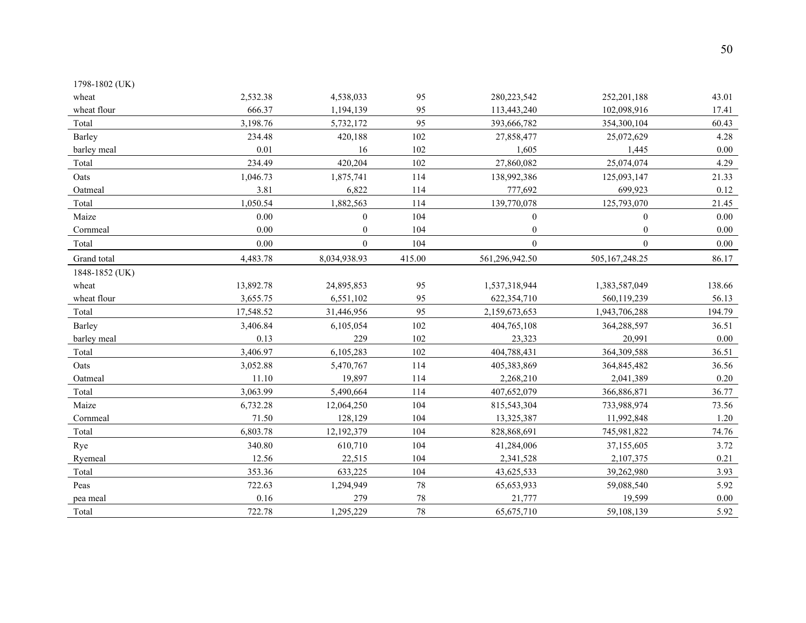| 1798-1802 (UK) |           |                  |        |                  |                  |          |
|----------------|-----------|------------------|--------|------------------|------------------|----------|
| wheat          | 2,532.38  | 4,538,033        | 95     | 280, 223, 542    | 252, 201, 188    | 43.01    |
| wheat flour    | 666.37    | 1,194,139        | 95     | 113,443,240      | 102,098,916      | 17.41    |
| Total          | 3,198.76  | 5,732,172        | 95     | 393,666,782      | 354,300,104      | 60.43    |
| Barley         | 234.48    | 420,188          | 102    | 27,858,477       | 25,072,629       | 4.28     |
| barley meal    | 0.01      | 16               | 102    | 1,605            | 1,445            | $0.00\,$ |
| Total          | 234.49    | 420,204          | 102    | 27,860,082       | 25,074,074       | 4.29     |
| Oats           | 1,046.73  | 1,875,741        | 114    | 138,992,386      | 125,093,147      | 21.33    |
| Oatmeal        | 3.81      | 6,822            | 114    | 777,692          | 699,923          | 0.12     |
| Total          | 1,050.54  | 1,882,563        | 114    | 139,770,078      | 125,793,070      | 21.45    |
| Maize          | 0.00      | $\mathbf{0}$     | 104    | $\boldsymbol{0}$ | $\mathbf{0}$     | 0.00     |
| Cornmeal       | 0.00      | $\boldsymbol{0}$ | 104    | $\boldsymbol{0}$ | $\boldsymbol{0}$ | $0.00\,$ |
| Total          | 0.00      | $\mathbf{0}$     | 104    | $\boldsymbol{0}$ | $\mathbf{0}$     | $0.00\,$ |
| Grand total    | 4,483.78  | 8,034,938.93     | 415.00 | 561,296,942.50   | 505, 167, 248.25 | 86.17    |
| 1848-1852 (UK) |           |                  |        |                  |                  |          |
| wheat          | 13,892.78 | 24,895,853       | 95     | 1,537,318,944    | 1,383,587,049    | 138.66   |
| wheat flour    | 3,655.75  | 6,551,102        | 95     | 622,354,710      | 560,119,239      | 56.13    |
| Total          | 17,548.52 | 31,446,956       | 95     | 2,159,673,653    | 1,943,706,288    | 194.79   |
| Barley         | 3,406.84  | 6,105,054        | 102    | 404,765,108      | 364,288,597      | 36.51    |
| barley meal    | 0.13      | 229              | 102    | 23,323           | 20,991           | $0.00\,$ |
| Total          | 3,406.97  | 6,105,283        | 102    | 404,788,431      | 364,309,588      | 36.51    |
| Oats           | 3,052.88  | 5,470,767        | 114    | 405,383,869      | 364,845,482      | 36.56    |
| Oatmeal        | 11.10     | 19,897           | 114    | 2,268,210        | 2,041,389        | 0.20     |
| Total          | 3,063.99  | 5,490,664        | 114    | 407,652,079      | 366,886,871      | 36.77    |
| Maize          | 6,732.28  | 12,064,250       | 104    | 815,543,304      | 733,988,974      | 73.56    |
| Cornmeal       | 71.50     | 128,129          | 104    | 13,325,387       | 11,992,848       | $1.20\,$ |
| Total          | 6,803.78  | 12,192,379       | 104    | 828,868,691      | 745,981,822      | 74.76    |
| Rye            | 340.80    | 610,710          | 104    | 41,284,006       | 37,155,605       | 3.72     |
| Ryemeal        | 12.56     | 22,515           | 104    | 2,341,528        | 2,107,375        | 0.21     |
| Total          | 353.36    | 633,225          | 104    | 43,625,533       | 39,262,980       | 3.93     |
| Peas           | 722.63    | 1,294,949        | 78     | 65,653,933       | 59,088,540       | 5.92     |
| pea meal       | 0.16      | 279              | 78     | 21,777           | 19,599           | $0.00\,$ |
| Total          | 722.78    | 1,295,229        | 78     | 65,675,710       | 59,108,139       | 5.92     |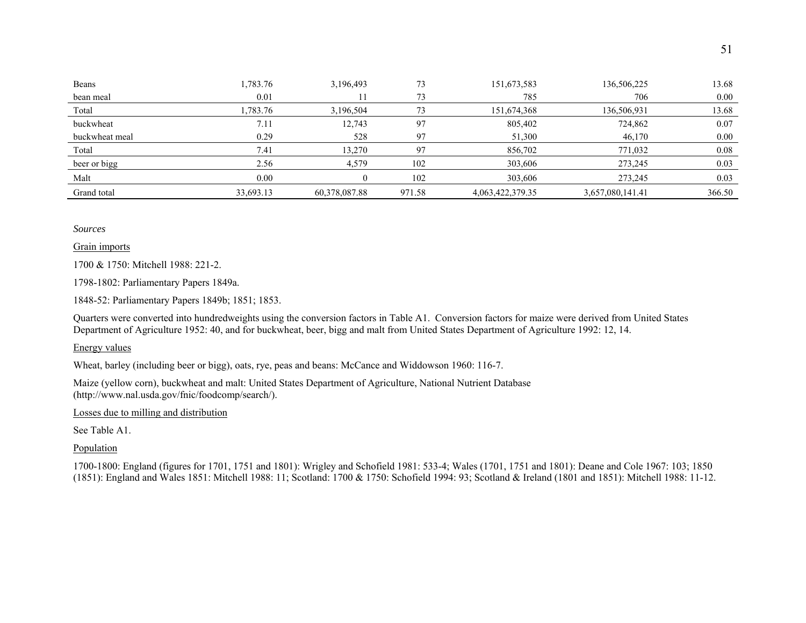| Beans          | 1,783.76  | 3,196,493     | 73     | 151,673,583      | 136,506,225      | 13.68  |
|----------------|-----------|---------------|--------|------------------|------------------|--------|
| bean meal      | 0.01      |               | 73     | 785              | 706              | 0.00   |
| Total          | .783.76   | 3,196,504     | 73     | 151,674,368      | 136,506,931      | 13.68  |
| buckwheat      | 7.11      | 12,743        | 97     | 805,402          | 724,862          | 0.07   |
| buckwheat meal | 0.29      | 528           | 97     | 51,300           | 46,170           | 0.00   |
| Total          | 7.41      | 13,270        | 97     | 856,702          | 771,032          | 0.08   |
| beer or bigg   | 2.56      | 4,579         | 102    | 303,606          | 273,245          | 0.03   |
| Malt           | 0.00      |               | 102    | 303,606          | 273,245          | 0.03   |
| Grand total    | 33,693.13 | 60,378,087.88 | 971.58 | 4,063,422,379.35 | 3,657,080,141.41 | 366.50 |

Grain imports

1700 & 1750: Mitchell 1988: 221-2.

1798-1802: Parliamentary Papers 1849a.

1848-52: Parliamentary Papers 1849b; 1851; 1853.

Quarters were converted into hundredweights using the conversion factors in Table A1. Conversion factors for maize were derived from United States Department of Agriculture 1952: 40, and for buckwheat, beer, bigg and malt from United States Department of Agriculture 1992: 12, 14.

Energy values

Wheat, barley (including beer or bigg), oats, rye, peas and beans: McCance and Widdowson 1960: 116-7.

Maize (yellow corn), buckwheat and malt: United States Department of Agriculture, National Nutrient Database (http://www.nal.usda.gov/fnic/foodcomp/search/).

Losses due to milling and distribution

See Table A1.

Population

1700-1800: England (figures for 1701, 1751 and 1801): Wrigley and Schofield 1981: 533-4; Wales (1701, 1751 and 1801): Deane and Cole 1967: 103; 1850 (1851): England and Wales 1851: Mitchell 1988: 11; Scotland: 1700 & 1750: Schofield 1994: 93; Scotland & Ireland (1801 and 1851): Mitchell 1988: 11-12.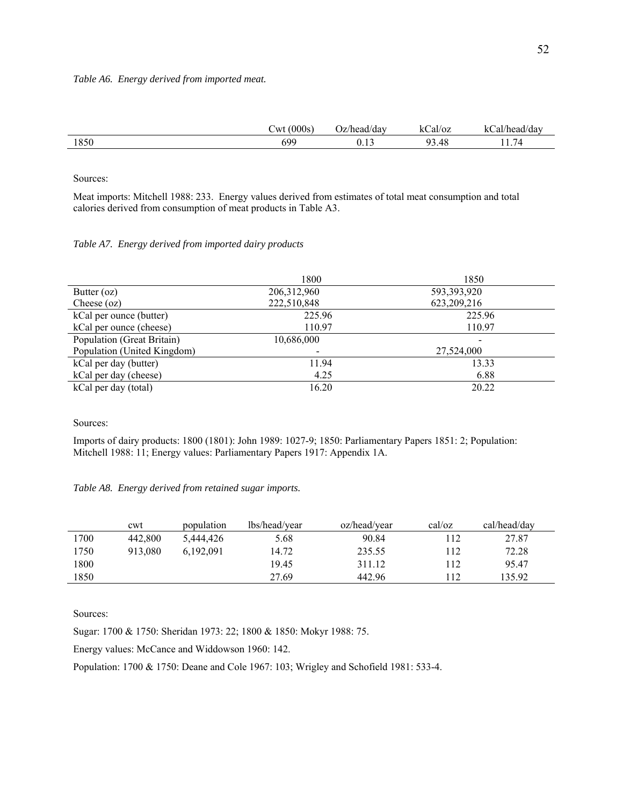|      | 000s<br>`11 7 <del>1</del> | )z/head/dav | ızı<br>al/oz<br>. . | $\sqrt{2}$<br>al.<br>dav<br>nead/ |
|------|----------------------------|-------------|---------------------|-----------------------------------|
| 1850 | 600<br><b>v</b> ,          | $\sim$      | 9.48<br>იი          | -<br>′4<br>.                      |

Meat imports: Mitchell 1988: 233. Energy values derived from estimates of total meat consumption and total calories derived from consumption of meat products in Table A3.

#### *Table A7. Energy derived from imported dairy products*

|                             | 1800          | 1850        |
|-----------------------------|---------------|-------------|
| Butter $(oz)$               | 206, 312, 960 | 593,393,920 |
| Cheese $(oz)$               | 222,510,848   | 623,209,216 |
| kCal per ounce (butter)     | 225.96        | 225.96      |
| kCal per ounce (cheese)     | 110.97        | 110.97      |
| Population (Great Britain)  | 10,686,000    |             |
| Population (United Kingdom) |               | 27,524,000  |
| kCal per day (butter)       | 11.94         | 13.33       |
| kCal per day (cheese)       | 4.25          | 6.88        |
| kCal per day (total)        | 16.20         | 20.22       |

Sources:

Imports of dairy products: 1800 (1801): John 1989: 1027-9; 1850: Parliamentary Papers 1851: 2; Population: Mitchell 1988: 11; Energy values: Parliamentary Papers 1917: Appendix 1A.

### *Table A8. Energy derived from retained sugar imports.*

|      | cwt     | population | lbs/head/year | oz/head/vear | cal/oz | cal/head/day |
|------|---------|------------|---------------|--------------|--------|--------------|
| 1700 | 442,800 | 5.444.426  | 5.68          | 90.84        | 112    | 27.87        |
| 1750 | 913.080 | 6,192,091  | 14.72         | 235.55       | 112    | 72.28        |
| 1800 |         |            | 19.45         | 311.12       | 112    | 95.47        |
| 1850 |         |            | 27.69         | 442.96       | 112    | 135.92       |

Sources:

Sugar: 1700 & 1750: Sheridan 1973: 22; 1800 & 1850: Mokyr 1988: 75.

Energy values: McCance and Widdowson 1960: 142.

Population: 1700 & 1750: Deane and Cole 1967: 103; Wrigley and Schofield 1981: 533-4.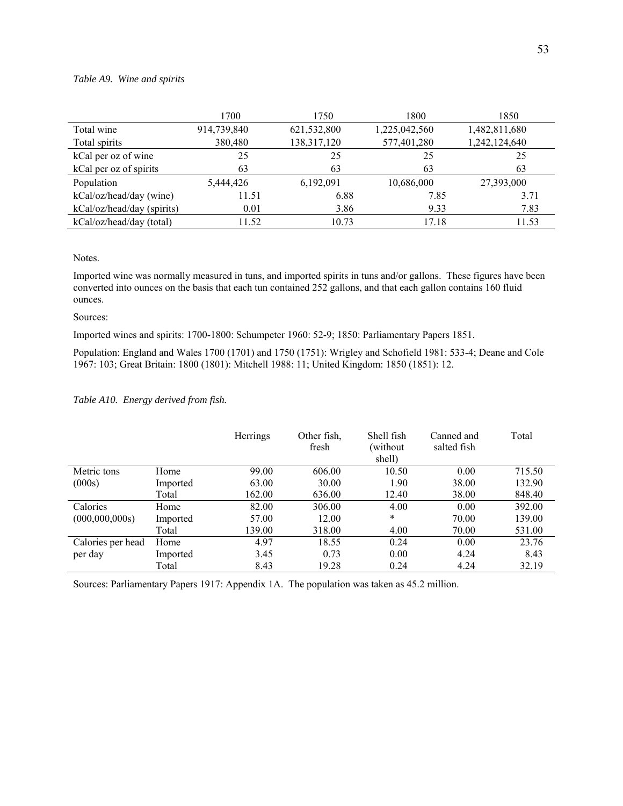### *Table A9. Wine and spirits*

|                            | 1700        | 1750        | 1800          | 1850          |
|----------------------------|-------------|-------------|---------------|---------------|
| Total wine                 | 914,739,840 | 621,532,800 | 1,225,042,560 | 1,482,811,680 |
| Total spirits              | 380,480     | 138,317,120 | 577,401,280   | 1,242,124,640 |
| kCal per oz of wine        | 25          | 25          | 25            | 25            |
| kCal per oz of spirits     | 63          | 63          | 63            | 63            |
| Population                 | 5,444,426   | 6,192,091   | 10,686,000    | 27,393,000    |
| kCal/oz/head/day (wine)    | 11.51       | 6.88        | 7.85          | 3.71          |
| kCal/oz/head/day (spirits) | 0.01        | 3.86        | 9.33          | 7.83          |
| kCal/oz/head/day (total)   | 11.52       | 10.73       | 17.18         | 11.53         |

Notes.

Imported wine was normally measured in tuns, and imported spirits in tuns and/or gallons. These figures have been converted into ounces on the basis that each tun contained 252 gallons, and that each gallon contains 160 fluid ounces.

#### Sources:

Imported wines and spirits: 1700-1800: Schumpeter 1960: 52-9; 1850: Parliamentary Papers 1851.

Population: England and Wales 1700 (1701) and 1750 (1751): Wrigley and Schofield 1981: 533-4; Deane and Cole 1967: 103; Great Britain: 1800 (1801): Mitchell 1988: 11; United Kingdom: 1850 (1851): 12.

### *Table A10. Energy derived from fish.*

|                   |          | Herrings | Other fish,<br>fresh | Shell fish<br>(without)<br>shell) | Canned and<br>salted fish | Total  |
|-------------------|----------|----------|----------------------|-----------------------------------|---------------------------|--------|
| Metric tons       | Home     | 99.00    | 606.00               | 10.50                             | 0.00                      | 715.50 |
| (000s)            | Imported | 63.00    | 30.00                | 1.90                              | 38.00                     | 132.90 |
|                   | Total    | 162.00   | 636.00               | 12.40                             | 38.00                     | 848.40 |
| Calories          | Home     | 82.00    | 306.00               | 4.00                              | 0.00                      | 392.00 |
| (000, 000, 000s)  | Imported | 57.00    | 12.00                | $\ast$                            | 70.00                     | 139.00 |
|                   | Total    | 139.00   | 318.00               | 4.00                              | 70.00                     | 531.00 |
| Calories per head | Home     | 4.97     | 18.55                | 0.24                              | 0.00                      | 23.76  |
| per day           | Imported | 3.45     | 0.73                 | 0.00                              | 4.24                      | 8.43   |
|                   | Total    | 8.43     | 19.28                | 0.24                              | 4.24                      | 32.19  |

Sources: Parliamentary Papers 1917: Appendix 1A. The population was taken as 45.2 million.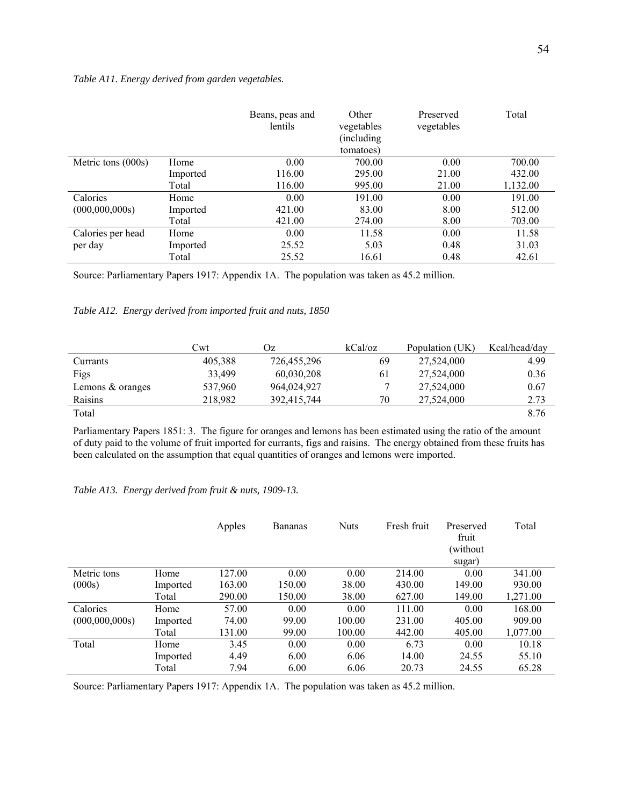### *Table A11. Energy derived from garden vegetables.*

|                    |          | Beans, peas and<br>lentils | Other<br>vegetables<br>(including)<br>tomatoes) | Preserved<br>vegetables | Total    |
|--------------------|----------|----------------------------|-------------------------------------------------|-------------------------|----------|
| Metric tons (000s) | Home     | 0.00                       | 700.00                                          | 0.00                    | 700.00   |
|                    | Imported | 116.00                     | 295.00                                          | 21.00                   | 432.00   |
|                    | Total    | 116.00                     | 995.00                                          | 21.00                   | 1,132.00 |
| Calories           | Home     | 0.00                       | 191.00                                          | 0.00                    | 191.00   |
| (000, 000, 000s)   | Imported | 421.00                     | 83.00                                           | 8.00                    | 512.00   |
|                    | Total    | 421.00                     | 274.00                                          | 8.00                    | 703.00   |
| Calories per head  | Home     | 0.00                       | 11.58                                           | 0.00                    | 11.58    |
| per day            | Imported | 25.52                      | 5.03                                            | 0.48                    | 31.03    |
|                    | Total    | 25.52                      | 16.61                                           | 0.48                    | 42.61    |

Source: Parliamentary Papers 1917: Appendix 1A. The population was taken as 45.2 million.

### *Table A12. Energy derived from imported fruit and nuts, 1850*

|                    | Cwt     | Эz          | kCal/oz | Population (UK) | Kcal/head/day |
|--------------------|---------|-------------|---------|-----------------|---------------|
| Currants           | 405,388 | 726,455,296 | 69      | 27,524,000      | 4.99          |
| Figs               | 33.499  | 60,030,208  | 61      | 27,524,000      | 0.36          |
| Lemons $&$ oranges | 537.960 | 964,024,927 |         | 27,524,000      | 0.67          |
| Raisins            | 218.982 | 392,415,744 | 70      | 27.524.000      | 2.73          |
| Total              |         |             |         |                 | 8.76          |

Parliamentary Papers 1851: 3. The figure for oranges and lemons has been estimated using the ratio of the amount of duty paid to the volume of fruit imported for currants, figs and raisins. The energy obtained from these fruits has been calculated on the assumption that equal quantities of oranges and lemons were imported.

### *Table A13. Energy derived from fruit & nuts, 1909-13.*

|                  |          | Apples | <b>Bananas</b> | <b>Nuts</b> | Fresh fruit | Preserved<br>fruit<br>(without<br>sugar) | Total    |
|------------------|----------|--------|----------------|-------------|-------------|------------------------------------------|----------|
| Metric tons      | Home     | 127.00 | 0.00           | 0.00        | 214.00      | 0.00                                     | 341.00   |
| (000s)           | Imported | 163.00 | 150.00         | 38.00       | 430.00      | 149.00                                   | 930.00   |
|                  | Total    | 290.00 | 150.00         | 38.00       | 627.00      | 149.00                                   | 1,271.00 |
| Calories         | Home     | 57.00  | 0.00           | 0.00        | 111.00      | 0.00                                     | 168.00   |
| (000, 000, 000s) | Imported | 74.00  | 99.00          | 100.00      | 231.00      | 405.00                                   | 909.00   |
|                  | Total    | 131.00 | 99.00          | 100.00      | 442.00      | 405.00                                   | 1,077.00 |
| Total            | Home     | 3.45   | 0.00           | 0.00        | 6.73        | 0.00                                     | 10.18    |
|                  | Imported | 4.49   | 6.00           | 6.06        | 14.00       | 24.55                                    | 55.10    |
|                  | Total    | 7.94   | 6.00           | 6.06        | 20.73       | 24.55                                    | 65.28    |

Source: Parliamentary Papers 1917: Appendix 1A. The population was taken as 45.2 million.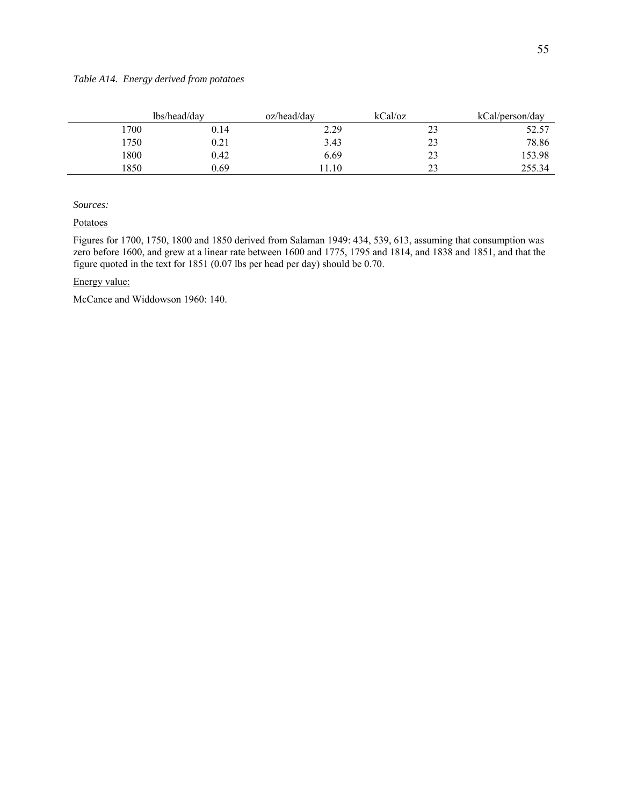|      | lbs/head/dav | oz/head/dav | kCal/oz | kCal/person/day |
|------|--------------|-------------|---------|-----------------|
| 1700 | 0.14         | 2.29        | 23      | 52.57           |
| 1750 | 0.21         | 3.43        | 23      | 78.86           |
| 1800 | 0.42         | 6.69        | 23      | 153.98          |
| 1850 | 0.69         | .10         | 23      | 255.34          |

Potatoes

Figures for 1700, 1750, 1800 and 1850 derived from Salaman 1949: 434, 539, 613, assuming that consumption was zero before 1600, and grew at a linear rate between 1600 and 1775, 1795 and 1814, and 1838 and 1851, and that the figure quoted in the text for 1851 (0.07 lbs per head per day) should be 0.70.

### Energy value:

McCance and Widdowson 1960: 140.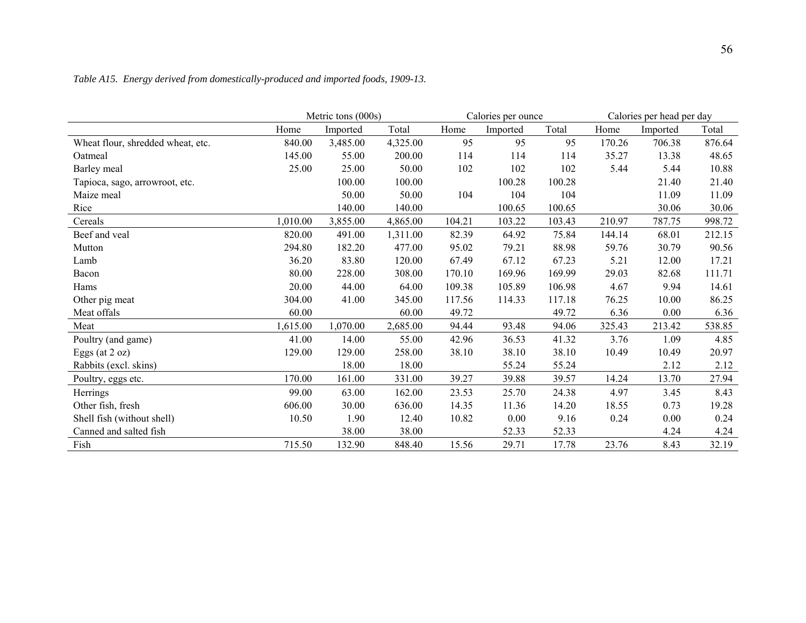|                                   | Metric tons (000s) |          |          | Calories per ounce |          |        | Calories per head per day |          |        |
|-----------------------------------|--------------------|----------|----------|--------------------|----------|--------|---------------------------|----------|--------|
|                                   | Home               | Imported | Total    | Home               | Imported | Total  | Home                      | Imported | Total  |
| Wheat flour, shredded wheat, etc. | 840.00             | 3,485.00 | 4,325.00 | 95                 | 95       | 95     | 170.26                    | 706.38   | 876.64 |
| Oatmeal                           | 145.00             | 55.00    | 200.00   | 114                | 114      | 114    | 35.27                     | 13.38    | 48.65  |
| Barley meal                       | 25.00              | 25.00    | 50.00    | 102                | 102      | 102    | 5.44                      | 5.44     | 10.88  |
| Tapioca, sago, arrowroot, etc.    |                    | 100.00   | 100.00   |                    | 100.28   | 100.28 |                           | 21.40    | 21.40  |
| Maize meal                        |                    | 50.00    | 50.00    | 104                | 104      | 104    |                           | 11.09    | 11.09  |
| Rice                              |                    | 140.00   | 140.00   |                    | 100.65   | 100.65 |                           | 30.06    | 30.06  |
| Cereals                           | 1,010.00           | 3,855.00 | 4,865.00 | 104.21             | 103.22   | 103.43 | 210.97                    | 787.75   | 998.72 |
| Beef and veal                     | 820.00             | 491.00   | 1,311.00 | 82.39              | 64.92    | 75.84  | 144.14                    | 68.01    | 212.15 |
| Mutton                            | 294.80             | 182.20   | 477.00   | 95.02              | 79.21    | 88.98  | 59.76                     | 30.79    | 90.56  |
| Lamb                              | 36.20              | 83.80    | 120.00   | 67.49              | 67.12    | 67.23  | 5.21                      | 12.00    | 17.21  |
| Bacon                             | 80.00              | 228.00   | 308.00   | 170.10             | 169.96   | 169.99 | 29.03                     | 82.68    | 111.71 |
| Hams                              | 20.00              | 44.00    | 64.00    | 109.38             | 105.89   | 106.98 | 4.67                      | 9.94     | 14.61  |
| Other pig meat                    | 304.00             | 41.00    | 345.00   | 117.56             | 114.33   | 117.18 | 76.25                     | 10.00    | 86.25  |
| Meat offals                       | 60.00              |          | 60.00    | 49.72              |          | 49.72  | 6.36                      | 0.00     | 6.36   |
| Meat                              | 1,615.00           | 1,070.00 | 2,685.00 | 94.44              | 93.48    | 94.06  | 325.43                    | 213.42   | 538.85 |
| Poultry (and game)                | 41.00              | 14.00    | 55.00    | 42.96              | 36.53    | 41.32  | 3.76                      | 1.09     | 4.85   |
| Eggs (at $2 oz$ )                 | 129.00             | 129.00   | 258.00   | 38.10              | 38.10    | 38.10  | 10.49                     | 10.49    | 20.97  |
| Rabbits (excl. skins)             |                    | 18.00    | 18.00    |                    | 55.24    | 55.24  |                           | 2.12     | 2.12   |
| Poultry, eggs etc.                | 170.00             | 161.00   | 331.00   | 39.27              | 39.88    | 39.57  | 14.24                     | 13.70    | 27.94  |
| Herrings                          | 99.00              | 63.00    | 162.00   | 23.53              | 25.70    | 24.38  | 4.97                      | 3.45     | 8.43   |
| Other fish, fresh                 | 606.00             | 30.00    | 636.00   | 14.35              | 11.36    | 14.20  | 18.55                     | 0.73     | 19.28  |
| Shell fish (without shell)        | 10.50              | 1.90     | 12.40    | 10.82              | 0.00     | 9.16   | 0.24                      | 0.00     | 0.24   |
| Canned and salted fish            |                    | 38.00    | 38.00    |                    | 52.33    | 52.33  |                           | 4.24     | 4.24   |
| Fish                              | 715.50             | 132.90   | 848.40   | 15.56              | 29.71    | 17.78  | 23.76                     | 8.43     | 32.19  |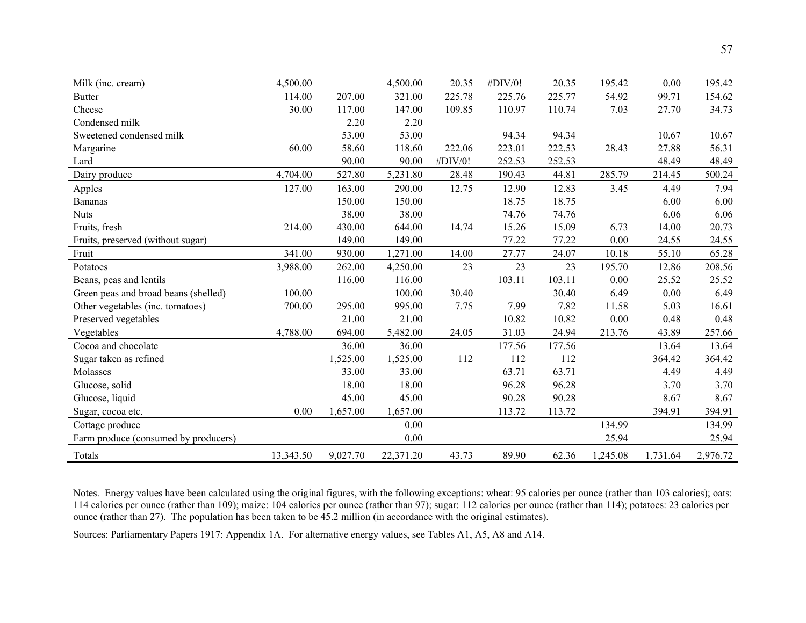| Milk (inc. cream)                    | 4,500.00  |          | 4,500.00  | 20.35   | #DIV/0! | 20.35  | 195.42   | 0.00     | 195.42   |
|--------------------------------------|-----------|----------|-----------|---------|---------|--------|----------|----------|----------|
| <b>Butter</b>                        | 114.00    | 207.00   | 321.00    | 225.78  | 225.76  | 225.77 | 54.92    | 99.71    | 154.62   |
| Cheese                               | 30.00     | 117.00   | 147.00    | 109.85  | 110.97  | 110.74 | 7.03     | 27.70    | 34.73    |
| Condensed milk                       |           | 2.20     | 2.20      |         |         |        |          |          |          |
| Sweetened condensed milk             |           | 53.00    | 53.00     |         | 94.34   | 94.34  |          | 10.67    | 10.67    |
| Margarine                            | 60.00     | 58.60    | 118.60    | 222.06  | 223.01  | 222.53 | 28.43    | 27.88    | 56.31    |
| Lard                                 |           | 90.00    | 90.00     | #DIV/0! | 252.53  | 252.53 |          | 48.49    | 48.49    |
| Dairy produce                        | 4,704.00  | 527.80   | 5,231.80  | 28.48   | 190.43  | 44.81  | 285.79   | 214.45   | 500.24   |
| Apples                               | 127.00    | 163.00   | 290.00    | 12.75   | 12.90   | 12.83  | 3.45     | 4.49     | 7.94     |
| <b>Bananas</b>                       |           | 150.00   | 150.00    |         | 18.75   | 18.75  |          | 6.00     | 6.00     |
| <b>Nuts</b>                          |           | 38.00    | 38.00     |         | 74.76   | 74.76  |          | 6.06     | 6.06     |
| Fruits, fresh                        | 214.00    | 430.00   | 644.00    | 14.74   | 15.26   | 15.09  | 6.73     | 14.00    | 20.73    |
| Fruits, preserved (without sugar)    |           | 149.00   | 149.00    |         | 77.22   | 77.22  | 0.00     | 24.55    | 24.55    |
| Fruit                                | 341.00    | 930.00   | 1,271.00  | 14.00   | 27.77   | 24.07  | 10.18    | 55.10    | 65.28    |
| Potatoes                             | 3,988.00  | 262.00   | 4,250.00  | 23      | 23      | 23     | 195.70   | 12.86    | 208.56   |
| Beans, peas and lentils              |           | 116.00   | 116.00    |         | 103.11  | 103.11 | 0.00     | 25.52    | 25.52    |
| Green peas and broad beans (shelled) | 100.00    |          | 100.00    | 30.40   |         | 30.40  | 6.49     | 0.00     | 6.49     |
| Other vegetables (inc. tomatoes)     | 700.00    | 295.00   | 995.00    | 7.75    | 7.99    | 7.82   | 11.58    | 5.03     | 16.61    |
| Preserved vegetables                 |           | 21.00    | 21.00     |         | 10.82   | 10.82  | 0.00     | 0.48     | 0.48     |
| Vegetables                           | 4,788.00  | 694.00   | 5,482.00  | 24.05   | 31.03   | 24.94  | 213.76   | 43.89    | 257.66   |
| Cocoa and chocolate                  |           | 36.00    | 36.00     |         | 177.56  | 177.56 |          | 13.64    | 13.64    |
| Sugar taken as refined               |           | 1,525.00 | 1,525.00  | 112     | 112     | 112    |          | 364.42   | 364.42   |
| Molasses                             |           | 33.00    | 33.00     |         | 63.71   | 63.71  |          | 4.49     | 4.49     |
| Glucose, solid                       |           | 18.00    | 18.00     |         | 96.28   | 96.28  |          | 3.70     | 3.70     |
| Glucose, liquid                      |           | 45.00    | 45.00     |         | 90.28   | 90.28  |          | 8.67     | 8.67     |
| Sugar, cocoa etc.                    | 0.00      | 1,657.00 | 1,657.00  |         | 113.72  | 113.72 |          | 394.91   | 394.91   |
| Cottage produce                      |           |          | 0.00      |         |         |        | 134.99   |          | 134.99   |
| Farm produce (consumed by producers) |           |          | 0.00      |         |         |        | 25.94    |          | 25.94    |
| Totals                               | 13,343.50 | 9,027.70 | 22,371.20 | 43.73   | 89.90   | 62.36  | 1,245.08 | 1,731.64 | 2,976.72 |
|                                      |           |          |           |         |         |        |          |          |          |

Notes. Energy values have been calculated using the original figures, with the following exceptions: wheat: 95 calories per ounce (rather than 103 calories); oats: 114 calories per ounce (rather than 109); maize: 104 calories per ounce (rather than 97); sugar: 112 calories per ounce (rather than 114); potatoes: 23 calories per ounce (rather than 27). The population has been taken to be 45.2 million (in accordance with the original estimates).

Sources: Parliamentary Papers 1917: Appendix 1A. For alternative energy values, see Tables A1, A5, A8 and A14.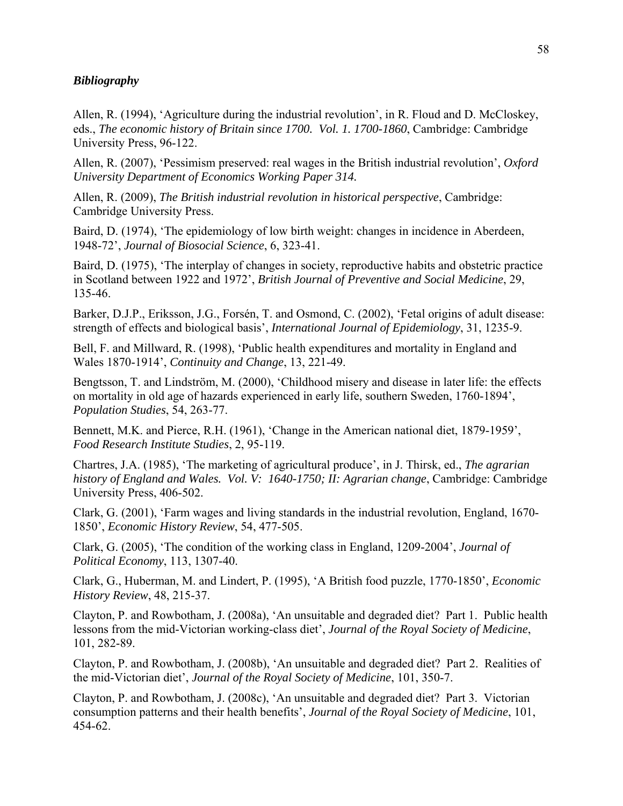## *Bibliography*

Allen, R. (1994), 'Agriculture during the industrial revolution', in R. Floud and D. McCloskey, eds., *The economic history of Britain since 1700. Vol. 1. 1700-1860*, Cambridge: Cambridge University Press, 96-122.

Allen, R. (2007), 'Pessimism preserved: real wages in the British industrial revolution', *Oxford University Department of Economics Working Paper 314.*

Allen, R. (2009), *The British industrial revolution in historical perspective*, Cambridge: Cambridge University Press.

Baird, D. (1974), 'The epidemiology of low birth weight: changes in incidence in Aberdeen, 1948-72', *Journal of Biosocial Science*, 6, 323-41.

Baird, D. (1975), 'The interplay of changes in society, reproductive habits and obstetric practice in Scotland between 1922 and 1972', *British Journal of Preventive and Social Medicine*, 29, 135-46.

Barker, D.J.P., Eriksson, J.G., Forsén, T. and Osmond, C. (2002), 'Fetal origins of adult disease: strength of effects and biological basis', *International Journal of Epidemiology*, 31, 1235-9.

Bell, F. and Millward, R. (1998), 'Public health expenditures and mortality in England and Wales 1870-1914', *Continuity and Change*, 13, 221-49.

Bengtsson, T. and Lindström, M. (2000), 'Childhood misery and disease in later life: the effects on mortality in old age of hazards experienced in early life, southern Sweden, 1760-1894', *Population Studies*, 54, 263-77.

Bennett, M.K. and Pierce, R.H. (1961), 'Change in the American national diet, 1879-1959', *Food Research Institute Studies*, 2, 95-119.

Chartres, J.A. (1985), 'The marketing of agricultural produce', in J. Thirsk, ed., *The agrarian history of England and Wales. Vol. V: 1640-1750; II: Agrarian change*, Cambridge: Cambridge University Press, 406-502.

Clark, G. (2001), 'Farm wages and living standards in the industrial revolution, England, 1670- 1850', *Economic History Review*, 54, 477-505.

Clark, G. (2005), 'The condition of the working class in England, 1209-2004', *Journal of Political Economy*, 113, 1307-40.

Clark, G., Huberman, M. and Lindert, P. (1995), 'A British food puzzle, 1770-1850', *Economic History Review*, 48, 215-37.

Clayton, P. and Rowbotham, J. (2008a), 'An unsuitable and degraded diet? Part 1. Public health lessons from the mid-Victorian working-class diet', *Journal of the Royal Society of Medicine*, 101, 282-89.

Clayton, P. and Rowbotham, J. (2008b), 'An unsuitable and degraded diet? Part 2. Realities of the mid-Victorian diet', *Journal of the Royal Society of Medicine*, 101, 350-7.

Clayton, P. and Rowbotham, J. (2008c), 'An unsuitable and degraded diet? Part 3. Victorian consumption patterns and their health benefits', *Journal of the Royal Society of Medicine*, 101, 454-62.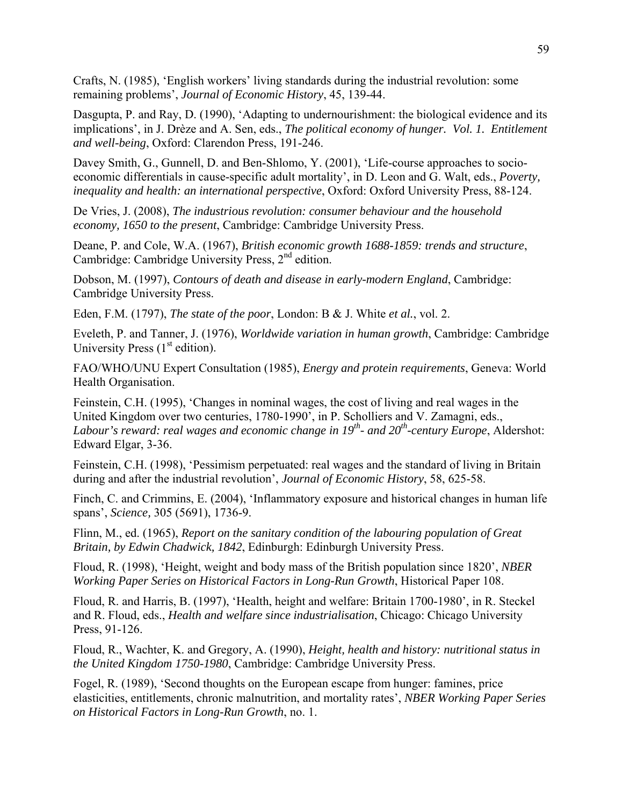Crafts, N. (1985), 'English workers' living standards during the industrial revolution: some remaining problems', *Journal of Economic History*, 45, 139-44.

Dasgupta, P. and Ray, D. (1990), 'Adapting to undernourishment: the biological evidence and its implications', in J. Drèze and A. Sen, eds., *The political economy of hunger. Vol. 1. Entitlement and well-being*, Oxford: Clarendon Press, 191-246.

Davey Smith, G., Gunnell, D. and Ben-Shlomo, Y. (2001), 'Life-course approaches to socioeconomic differentials in cause-specific adult mortality', in D. Leon and G. Walt, eds., *Poverty, inequality and health: an international perspective*, Oxford: Oxford University Press, 88-124.

De Vries, J. (2008), *The industrious revolution: consumer behaviour and the household economy, 1650 to the present*, Cambridge: Cambridge University Press.

Deane, P. and Cole, W.A. (1967), *British economic growth 1688-1859: trends and structure*, Cambridge: Cambridge University Press, 2<sup>nd</sup> edition.

Dobson, M. (1997), *Contours of death and disease in early-modern England*, Cambridge: Cambridge University Press.

Eden, F.M. (1797), *The state of the poor*, London: B & J. White *et al.*, vol. 2.

Eveleth, P. and Tanner, J. (1976), *Worldwide variation in human growth*, Cambridge: Cambridge University Press  $(1<sup>st</sup> edition).$ 

FAO/WHO/UNU Expert Consultation (1985), *Energy and protein requirements*, Geneva: World Health Organisation.

Feinstein, C.H. (1995), 'Changes in nominal wages, the cost of living and real wages in the United Kingdom over two centuries, 1780-1990', in P. Scholliers and V. Zamagni, eds., Labour's reward: real wages and economic change in 19<sup>th</sup>- and 20<sup>th</sup>-century Europe, Aldershot: Edward Elgar, 3-36.

Feinstein, C.H. (1998), 'Pessimism perpetuated: real wages and the standard of living in Britain during and after the industrial revolution', *Journal of Economic History*, 58, 625-58.

Finch, C. and Crimmins, E. (2004), 'Inflammatory exposure and historical changes in human life spans', *Science,* 305 (5691), 1736-9.

Flinn, M., ed. (1965), *Report on the sanitary condition of the labouring population of Great Britain, by Edwin Chadwick, 1842*, Edinburgh: Edinburgh University Press.

Floud, R. (1998), 'Height, weight and body mass of the British population since 1820', *NBER Working Paper Series on Historical Factors in Long-Run Growth*, Historical Paper 108.

Floud, R. and Harris, B. (1997), 'Health, height and welfare: Britain 1700-1980', in R. Steckel and R. Floud, eds., *Health and welfare since industrialisation*, Chicago: Chicago University Press, 91-126.

Floud, R., Wachter, K. and Gregory, A. (1990), *Height, health and history: nutritional status in the United Kingdom 1750-1980*, Cambridge: Cambridge University Press.

Fogel, R. (1989), 'Second thoughts on the European escape from hunger: famines, price elasticities, entitlements, chronic malnutrition, and mortality rates', *NBER Working Paper Series on Historical Factors in Long-Run Growth*, no. 1.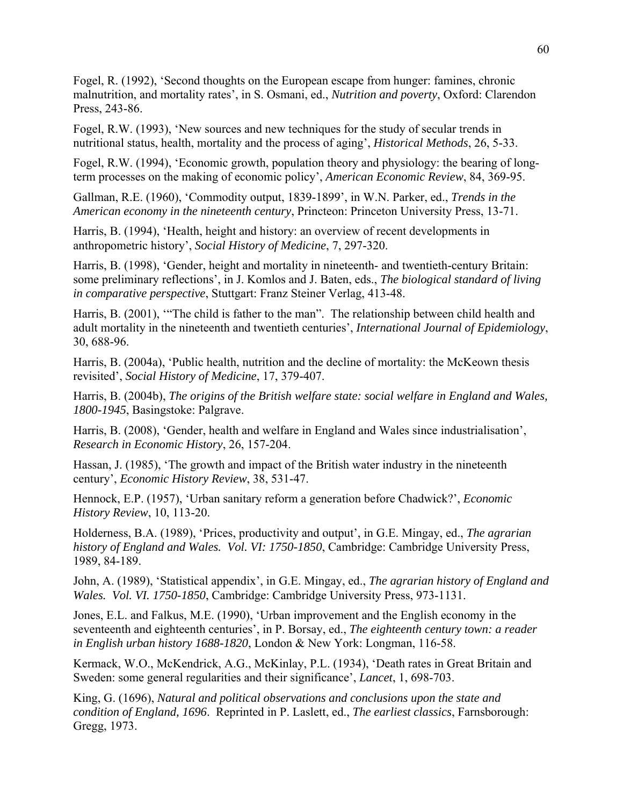Fogel, R. (1992), 'Second thoughts on the European escape from hunger: famines, chronic malnutrition, and mortality rates', in S. Osmani, ed., *Nutrition and poverty*, Oxford: Clarendon Press, 243-86.

Fogel, R.W. (1993), 'New sources and new techniques for the study of secular trends in nutritional status, health, mortality and the process of aging', *Historical Methods*, 26, 5-33.

Fogel, R.W. (1994), 'Economic growth, population theory and physiology: the bearing of longterm processes on the making of economic policy', *American Economic Review*, 84, 369-95.

Gallman, R.E. (1960), 'Commodity output, 1839-1899', in W.N. Parker, ed., *Trends in the American economy in the nineteenth century*, Princteon: Princeton University Press, 13-71.

Harris, B. (1994), 'Health, height and history: an overview of recent developments in anthropometric history', *Social History of Medicine*, 7, 297-320.

Harris, B. (1998), 'Gender, height and mortality in nineteenth- and twentieth-century Britain: some preliminary reflections', in J. Komlos and J. Baten, eds., *The biological standard of living in comparative perspective*, Stuttgart: Franz Steiner Verlag, 413-48.

Harris, B. (2001), '"The child is father to the man". The relationship between child health and adult mortality in the nineteenth and twentieth centuries', *International Journal of Epidemiology*, 30, 688-96.

Harris, B. (2004a), 'Public health, nutrition and the decline of mortality: the McKeown thesis revisited', *Social History of Medicine*, 17, 379-407.

Harris, B. (2004b), *The origins of the British welfare state: social welfare in England and Wales, 1800-1945*, Basingstoke: Palgrave.

Harris, B. (2008), 'Gender, health and welfare in England and Wales since industrialisation', *Research in Economic History*, 26, 157-204.

Hassan, J. (1985), 'The growth and impact of the British water industry in the nineteenth century', *Economic History Review*, 38, 531-47.

Hennock, E.P. (1957), 'Urban sanitary reform a generation before Chadwick?', *Economic History Review*, 10, 113-20.

Holderness, B.A. (1989), 'Prices, productivity and output', in G.E. Mingay, ed., *The agrarian history of England and Wales. Vol. VI: 1750-1850*, Cambridge: Cambridge University Press, 1989, 84-189.

John, A. (1989), 'Statistical appendix', in G.E. Mingay, ed., *The agrarian history of England and Wales. Vol. VI. 1750-1850*, Cambridge: Cambridge University Press, 973-1131.

Jones, E.L. and Falkus, M.E. (1990), 'Urban improvement and the English economy in the seventeenth and eighteenth centuries', in P. Borsay, ed., *The eighteenth century town: a reader in English urban history 1688-1820*, London & New York: Longman, 116-58.

Kermack, W.O., McKendrick, A.G., McKinlay, P.L. (1934), 'Death rates in Great Britain and Sweden: some general regularities and their significance', *Lancet*, 1, 698-703.

King, G. (1696), *Natural and political observations and conclusions upon the state and condition of England, 1696*. Reprinted in P. Laslett, ed., *The earliest classics*, Farnsborough: Gregg, 1973.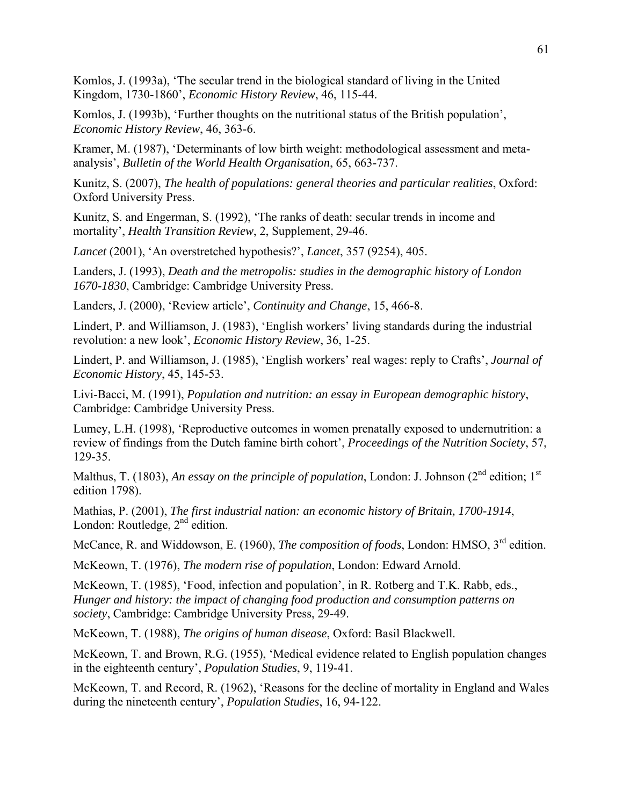Komlos, J. (1993a), 'The secular trend in the biological standard of living in the United Kingdom, 1730-1860', *Economic History Review*, 46, 115-44.

Komlos, J. (1993b), 'Further thoughts on the nutritional status of the British population', *Economic History Review*, 46, 363-6.

Kramer, M. (1987), 'Determinants of low birth weight: methodological assessment and metaanalysis', *Bulletin of the World Health Organisation*, 65, 663-737.

Kunitz, S. (2007), *The health of populations: general theories and particular realities*, Oxford: Oxford University Press.

Kunitz, S. and Engerman, S. (1992), 'The ranks of death: secular trends in income and mortality', *Health Transition Review*, 2, Supplement, 29-46.

*Lancet* (2001), 'An overstretched hypothesis?', *Lancet*, 357 (9254), 405.

Landers, J. (1993), *Death and the metropolis: studies in the demographic history of London 1670-1830*, Cambridge: Cambridge University Press.

Landers, J. (2000), 'Review article', *Continuity and Change*, 15, 466-8.

Lindert, P. and Williamson, J. (1983), 'English workers' living standards during the industrial revolution: a new look', *Economic History Review*, 36, 1-25.

Lindert, P. and Williamson, J. (1985), 'English workers' real wages: reply to Crafts', *Journal of Economic History*, 45, 145-53.

Livi-Bacci, M. (1991), *Population and nutrition: an essay in European demographic history*, Cambridge: Cambridge University Press.

Lumey, L.H. (1998), 'Reproductive outcomes in women prenatally exposed to undernutrition: a review of findings from the Dutch famine birth cohort', *Proceedings of the Nutrition Society*, 57, 129-35.

Malthus, T. (1803), *An essay on the principle of population*, London: J. Johnson (2<sup>nd</sup> edition; 1<sup>st</sup> edition 1798).

Mathias, P. (2001), *The first industrial nation: an economic history of Britain, 1700-1914*, London: Routledge,  $2<sup>nd</sup>$  edition.

McCance, R. and Widdowson, E. (1960), *The composition of foods*, London: HMSO, 3<sup>rd</sup> edition.

McKeown, T. (1976), *The modern rise of population*, London: Edward Arnold.

McKeown, T. (1985), 'Food, infection and population', in R. Rotberg and T.K. Rabb, eds., *Hunger and history: the impact of changing food production and consumption patterns on society*, Cambridge: Cambridge University Press, 29-49.

McKeown, T. (1988), *The origins of human disease*, Oxford: Basil Blackwell.

McKeown, T. and Brown, R.G. (1955), 'Medical evidence related to English population changes in the eighteenth century', *Population Studies*, 9, 119-41.

McKeown, T. and Record, R. (1962), 'Reasons for the decline of mortality in England and Wales during the nineteenth century', *Population Studies*, 16, 94-122.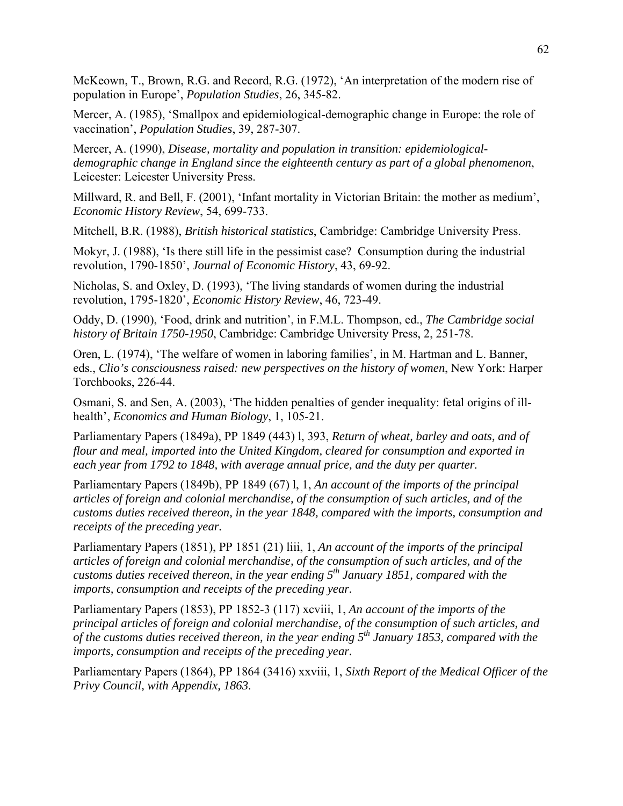McKeown, T., Brown, R.G. and Record, R.G. (1972), 'An interpretation of the modern rise of population in Europe', *Population Studies*, 26, 345-82.

Mercer, A. (1985), 'Smallpox and epidemiological-demographic change in Europe: the role of vaccination', *Population Studies*, 39, 287-307.

Mercer, A. (1990), *Disease, mortality and population in transition: epidemiologicaldemographic change in England since the eighteenth century as part of a global phenomenon*, Leicester: Leicester University Press.

Millward, R. and Bell, F. (2001), 'Infant mortality in Victorian Britain: the mother as medium', *Economic History Review*, 54, 699-733.

Mitchell, B.R. (1988), *British historical statistics*, Cambridge: Cambridge University Press.

Mokyr, J. (1988), 'Is there still life in the pessimist case? Consumption during the industrial revolution, 1790-1850', *Journal of Economic History*, 43, 69-92.

Nicholas, S. and Oxley, D. (1993), 'The living standards of women during the industrial revolution, 1795-1820', *Economic History Review*, 46, 723-49.

Oddy, D. (1990), 'Food, drink and nutrition', in F.M.L. Thompson, ed., *The Cambridge social history of Britain 1750-1950*, Cambridge: Cambridge University Press, 2, 251-78.

Oren, L. (1974), 'The welfare of women in laboring families', in M. Hartman and L. Banner, eds., *Clio's consciousness raised: new perspectives on the history of women*, New York: Harper Torchbooks, 226-44.

Osmani, S. and Sen, A. (2003), 'The hidden penalties of gender inequality: fetal origins of illhealth', *Economics and Human Biology*, 1, 105-21.

Parliamentary Papers (1849a), PP 1849 (443) l, 393, *Return of wheat, barley and oats, and of flour and meal, imported into the United Kingdom, cleared for consumption and exported in each year from 1792 to 1848, with average annual price, and the duty per quarter.*

Parliamentary Papers (1849b), PP 1849 (67) l, 1, *An account of the imports of the principal articles of foreign and colonial merchandise, of the consumption of such articles, and of the customs duties received thereon, in the year 1848, compared with the imports, consumption and receipts of the preceding year.*

Parliamentary Papers (1851), PP 1851 (21) liii, 1, *An account of the imports of the principal articles of foreign and colonial merchandise, of the consumption of such articles, and of the customs duties received thereon, in the year ending 5th January 1851, compared with the imports, consumption and receipts of the preceding year.*

Parliamentary Papers (1853), PP 1852-3 (117) xcviii, 1, *An account of the imports of the principal articles of foreign and colonial merchandise, of the consumption of such articles, and of the customs duties received thereon, in the year ending 5th January 1853, compared with the imports, consumption and receipts of the preceding year.*

Parliamentary Papers (1864), PP 1864 (3416) xxviii, 1, *Sixth Report of the Medical Officer of the Privy Council, with Appendix, 1863*.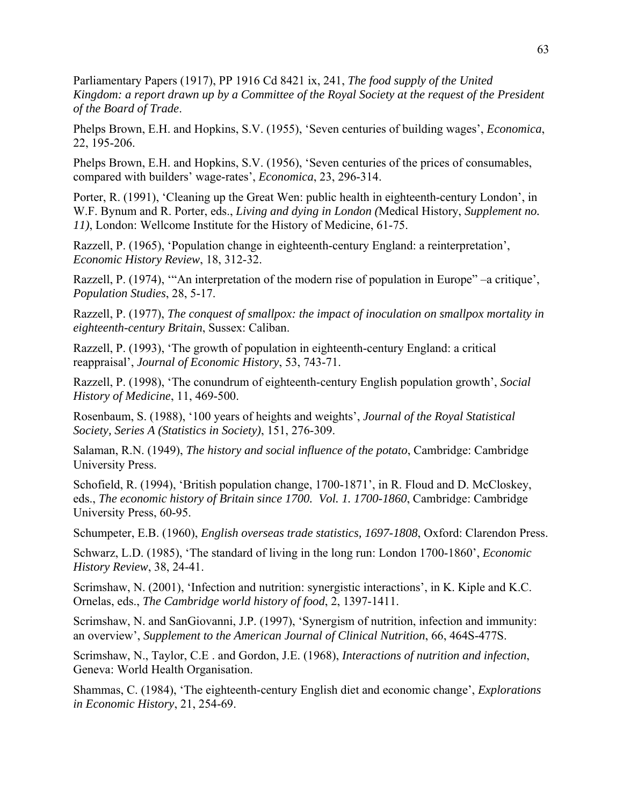Parliamentary Papers (1917), PP 1916 Cd 8421 ix, 241, *The food supply of the United Kingdom: a report drawn up by a Committee of the Royal Society at the request of the President of the Board of Trade*.

Phelps Brown, E.H. and Hopkins, S.V. (1955), 'Seven centuries of building wages', *Economica*, 22, 195-206.

Phelps Brown, E.H. and Hopkins, S.V. (1956), 'Seven centuries of the prices of consumables, compared with builders' wage-rates', *Economica*, 23, 296-314.

Porter, R. (1991), 'Cleaning up the Great Wen: public health in eighteenth-century London', in W.F. Bynum and R. Porter, eds., *Living and dying in London (*Medical History, *Supplement no. 11)*, London: Wellcome Institute for the History of Medicine, 61-75.

Razzell, P. (1965), 'Population change in eighteenth-century England: a reinterpretation', *Economic History Review*, 18, 312-32.

Razzell, P. (1974), "An interpretation of the modern rise of population in Europe" –a critique', *Population Studies*, 28, 5-17.

Razzell, P. (1977), *The conquest of smallpox: the impact of inoculation on smallpox mortality in eighteenth-century Britain*, Sussex: Caliban.

Razzell, P. (1993), 'The growth of population in eighteenth-century England: a critical reappraisal', *Journal of Economic History*, 53, 743-71.

Razzell, P. (1998), 'The conundrum of eighteenth-century English population growth', *Social History of Medicine*, 11, 469-500.

Rosenbaum, S. (1988), '100 years of heights and weights', *Journal of the Royal Statistical Society, Series A (Statistics in Society)*, 151, 276-309.

Salaman, R.N. (1949), *The history and social influence of the potato*, Cambridge: Cambridge University Press.

Schofield, R. (1994), 'British population change, 1700-1871', in R. Floud and D. McCloskey, eds., *The economic history of Britain since 1700. Vol. 1. 1700-1860*, Cambridge: Cambridge University Press, 60-95.

Schumpeter, E.B. (1960), *English overseas trade statistics, 1697-1808*, Oxford: Clarendon Press.

Schwarz, L.D. (1985), 'The standard of living in the long run: London 1700-1860', *Economic History Review*, 38, 24-41.

Scrimshaw, N. (2001), 'Infection and nutrition: synergistic interactions', in K. Kiple and K.C. Ornelas, eds., *The Cambridge world history of food*, 2, 1397-1411.

Scrimshaw, N. and SanGiovanni, J.P. (1997), 'Synergism of nutrition, infection and immunity: an overview', *Supplement to the American Journal of Clinical Nutrition*, 66, 464S-477S.

Scrimshaw, N., Taylor, C.E . and Gordon, J.E. (1968), *Interactions of nutrition and infection*, Geneva: World Health Organisation.

Shammas, C. (1984), 'The eighteenth-century English diet and economic change', *Explorations in Economic History*, 21, 254-69.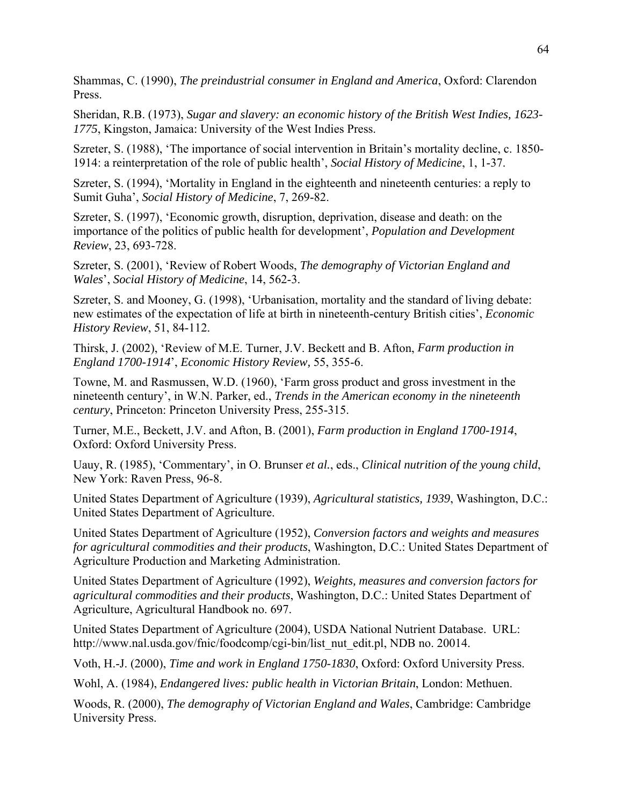Shammas, C. (1990), *The preindustrial consumer in England and America*, Oxford: Clarendon Press.

Sheridan, R.B. (1973), *Sugar and slavery: an economic history of the British West Indies, 1623- 1775*, Kingston, Jamaica: University of the West Indies Press.

Szreter, S. (1988), 'The importance of social intervention in Britain's mortality decline, c. 1850- 1914: a reinterpretation of the role of public health', *Social History of Medicine*, 1, 1-37.

Szreter, S. (1994), 'Mortality in England in the eighteenth and nineteenth centuries: a reply to Sumit Guha', *Social History of Medicine*, 7, 269-82.

Szreter, S. (1997), 'Economic growth, disruption, deprivation, disease and death: on the importance of the politics of public health for development', *Population and Development Review*, 23, 693-728.

Szreter, S. (2001), 'Review of Robert Woods, *The demography of Victorian England and Wales*', *Social History of Medicine*, 14, 562-3.

Szreter, S. and Mooney, G. (1998), 'Urbanisation, mortality and the standard of living debate: new estimates of the expectation of life at birth in nineteenth-century British cities', *Economic History Review*, 51, 84-112.

Thirsk, J. (2002), 'Review of M.E. Turner, J.V. Beckett and B. Afton, *Farm production in England 1700-1914*', *Economic History Review,* 55, 355-6.

Towne, M. and Rasmussen, W.D. (1960), 'Farm gross product and gross investment in the nineteenth century', in W.N. Parker, ed., *Trends in the American economy in the nineteenth century*, Princeton: Princeton University Press, 255-315.

Turner, M.E., Beckett, J.V. and Afton, B. (2001), *Farm production in England 1700-1914*, Oxford: Oxford University Press.

Uauy, R. (1985), 'Commentary', in O. Brunser *et al.*, eds., *Clinical nutrition of the young child*, New York: Raven Press, 96-8.

United States Department of Agriculture (1939), *Agricultural statistics, 1939*, Washington, D.C.: United States Department of Agriculture.

United States Department of Agriculture (1952), *Conversion factors and weights and measures for agricultural commodities and their products*, Washington, D.C.: United States Department of Agriculture Production and Marketing Administration.

United States Department of Agriculture (1992), *Weights, measures and conversion factors for agricultural commodities and their products*, Washington, D.C.: United States Department of Agriculture, Agricultural Handbook no. 697.

United States Department of Agriculture (2004), USDA National Nutrient Database. URL: http://www.nal.usda.gov/fnic/foodcomp/cgi-bin/list\_nut\_edit.pl, NDB no. 20014.

Voth, H.-J. (2000), *Time and work in England 1750-1830*, Oxford: Oxford University Press.

Wohl, A. (1984), *Endangered lives: public health in Victorian Britain*, London: Methuen.

Woods, R. (2000), *The demography of Victorian England and Wales*, Cambridge: Cambridge University Press.